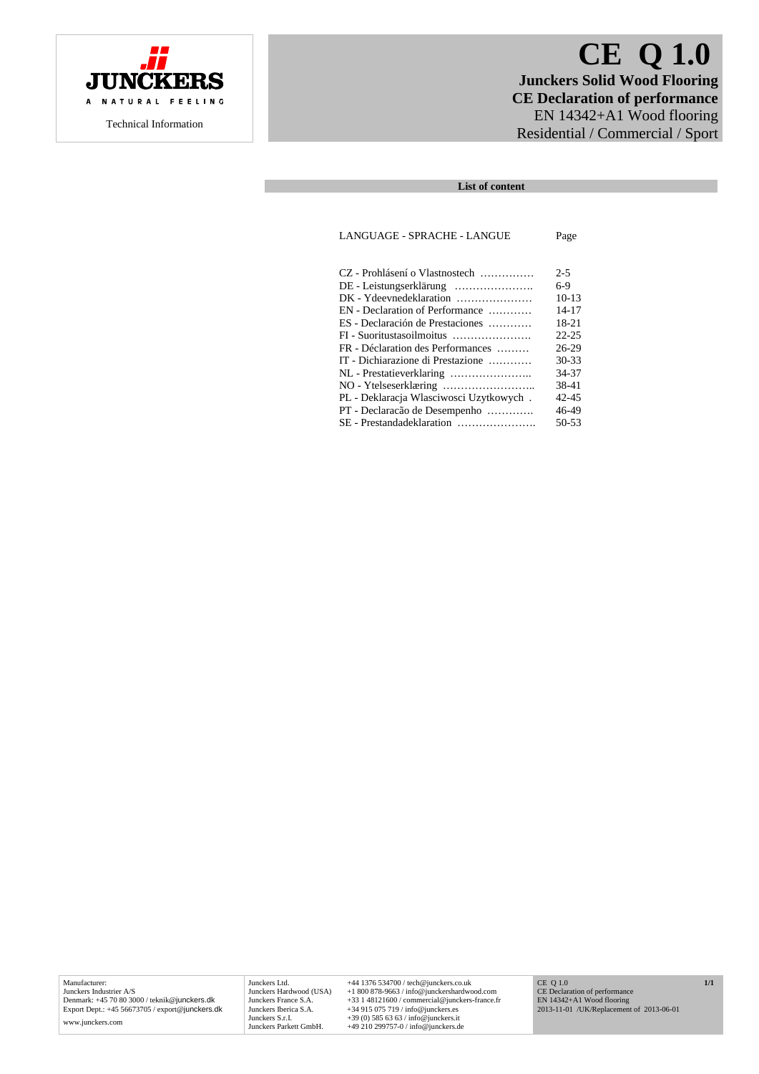

# **CE Q 1.0 Junckers Solid Wood Flooring CE Declaration of performance**  EN 14342+A1 Wood flooring Residential / Commercial / Sport

# **List of content**

## LANGUAGE - SPRACHE - LANGUE Page

| CZ - Prohlásení o Vlastnostech             | $2 - 5$   |
|--------------------------------------------|-----------|
|                                            | $6-9$     |
| DK - Ydeevnedeklaration                    | $10-13$   |
| $EN$ - Declaration of Performance $\ldots$ | $14 - 17$ |
| ES - Declaración de Prestaciones           | 18-21     |
|                                            | $22 - 25$ |
| FR - Déclaration des Performances          | $26-29$   |
| IT - Dichiarazione di Prestazione          | $30 - 33$ |
|                                            | 34-37     |
|                                            | 38-41     |
| PL - Deklaracja Własciwosci Uzytkowych.    | 42-45     |
| PT - Declaração de Desempenho              | 46-49     |
| SE - Prestandadeklaration                  | $50 - 53$ |

Manufacturer: Junckers Industrier A/S Denmark: +45 70 80 3000 / teknik@junckers.dk Export Dept.: +45 56673705 / export@junckers.dk www.junckers.com

Junckers Ltd.  $+44$  1376 534700 / tech@junckers.co.uk<br>Junckers Hardwood (USA)  $+1800878963$  / info@junckershardwood.com<br>Junckers France S.A.  $+33$  148121600 / commercial@junckers-france.fr<br>Junckers Berica S.A.  $+349150757$ 

CE Q 1.0 CE Declaration of performance EN 14342+A1 Wood flooring 2013-11-01 /UK/Replacement of 2013-06-01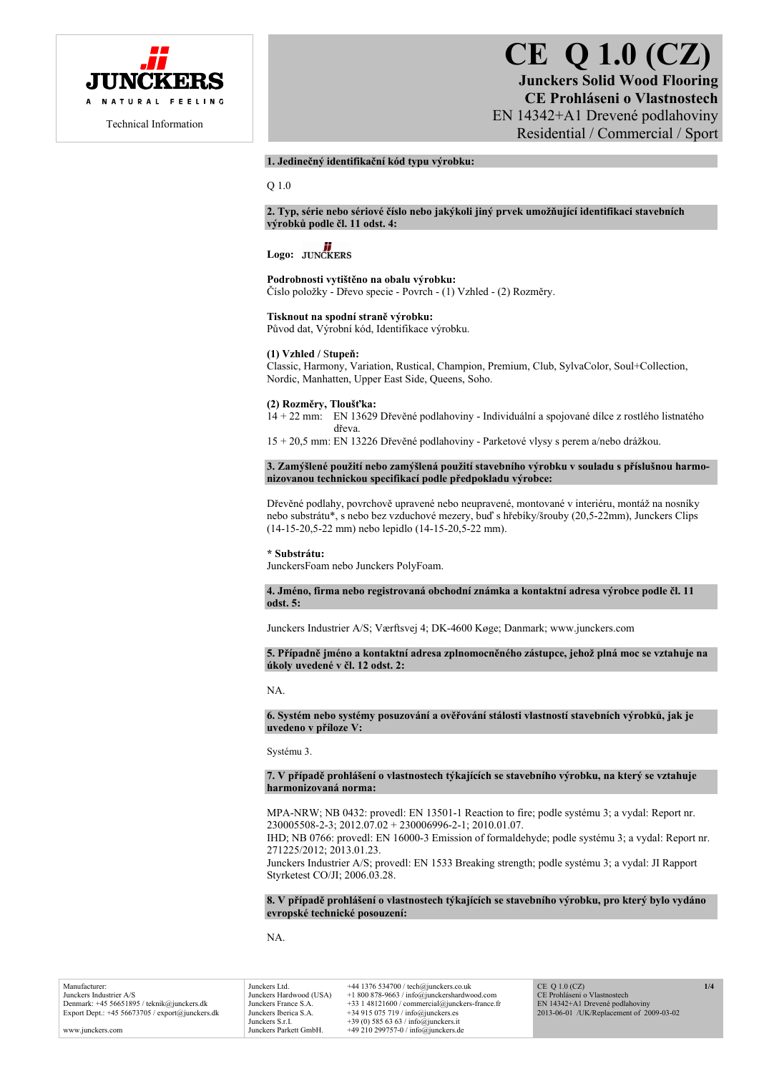

# **CE Q 1.0 (CZ) Junckers Solid Wood Flooring CE Prohláseni o Vlastnostech**  EN 14342+A1 Drevené podlahoviny Residential / Commercial / Sport

# **1. Jedinečný identifikační kód typu výrobku:**

Q 1.0

**2. Typ, série nebo sériové číslo nebo jakýkoli jiný prvek umožňující identifikaci stavebních výrobků podle čl. 11 odst. 4:** 

# Logo: **JUNCKERS**

#### **Podrobnosti vytištěno na obalu výrobku:**

Číslo položky - Dřevo specie - Povrch - (1) Vzhled - (2) Rozměry.

#### **Tisknout na spodní straně výrobku:**

Původ dat, Výrobní kód, Identifikace výrobku.

## **(1) Vzhled /** S**tupeň:**

Classic, Harmony, Variation, Rustical, Champion, Premium, Club, SylvaColor, Soul+Collection, Nordic, Manhatten, Upper East Side, Queens, Soho.

#### **(2) Rozměry, Tloušťka:**

14 + 22 mm: EN 13629 Dřevěné podlahoviny - Individuální a spojované dílce z rostlého listnatého dřeva.

15 + 20,5 mm: EN 13226 Dřevěné podlahoviny - Parketové vlysy s perem a/nebo drážkou.

# **3. Zamýšlené použití nebo zamýšlená použití stavebního výrobku v souladu s příslušnou harmonizovanou technickou specifikací podle předpokladu výrobce:**

Dřevěné podlahy, povrchově upravené nebo neupravené, montované v interiéru, montáž na nosníky nebo substrátu\*, s nebo bez vzduchové mezery, buď s hřebíky/šrouby (20,5-22mm), Junckers Clips (14-15-20,5-22 mm) nebo lepidlo (14-15-20,5-22 mm).

#### **\* Substrátu:**

JunckersFoam nebo Junckers PolyFoam.

**4. Jméno, firma nebo registrovaná obchodní známka a kontaktní adresa výrobce podle čl. 11 odst. 5:** 

Junckers Industrier A/S; Værftsvej 4; DK-4600 Køge; Danmark; www.junckers.com

#### **5. Případně jméno a kontaktní adresa zplnomocněného zástupce, jehož plná moc se vztahuje na úkoly uvedené v čl. 12 odst. 2:**

NA.

#### **6. Systém nebo systémy posuzování a ověřování stálosti vlastností stavebních výrobků, jak je uvedeno v příloze V:**

Systému 3.

#### **7. V případě prohlášení o vlastnostech týkajících se stavebního výrobku, na který se vztahuje harmonizovaná norma:**

MPA-NRW; NB 0432: provedl: EN 13501-1 Reaction to fire; podle systému 3; a vydal: Report nr. 230005508-2-3; 2012.07.02 + 230006996-2-1; 2010.01.07.

IHD; NB 0766: provedl: EN 16000-3 Emission of formaldehyde; podle systému 3; a vydal: Report nr. 271225/2012; 2013.01.23.

Junckers Industrier A/S; provedl: EN 1533 Breaking strength; podle systému 3; a vydal: JI Rapport Styrketest CO/JI; 2006.03.28.

# **8. V případě prohlášení o vlastnostech týkajících se stavebního výrobku, pro který bylo vydáno evropské technické posouzení:**

NA.

| Manufacturer:                                               |
|-------------------------------------------------------------|
| Junckers Industrier A/S                                     |
| Denmark: +45 56651895 / teknik@junckers.dk                  |
| Export Dept.: $+45\,56673705$ / export $\omega$ junckers.dk |
|                                                             |

www.junckers.com

Junckers Ltd. +44 1376 534700 / tech@junckers.co.uk<br>Junckers Hardwood (USA) +1 800 878-9663 / info@junckershardwo Junckers Hardwood (USA) +1 800 878-9663 / info@junckershardwood.com Junckers France S.A. +33 1 48121600 / commercial@junckers-france.fr<br>Junckers Iberica S.A. +34 915 075 719 / info@junckers.es Junckers Iberica S.A.  $+34915075719 / info@junckers.$ <br>Junckers S r I  $+39(0)5856363 / info@junckers.$ Junckers S.r.I. +39 (0) 585 63 63 / info@junckers.it<br>Junckers Parkett GmbH. +49 210 299757-0 / info@junckers d  $+49$  210 299757-0 / info@junckers.de

CE Q 1.0 (CZ) CE Prohláseni o Vlastnostech EN 14342+A1 Drevené podlahoviny 2013-06-01 /UK/Replacement of 2009-03-02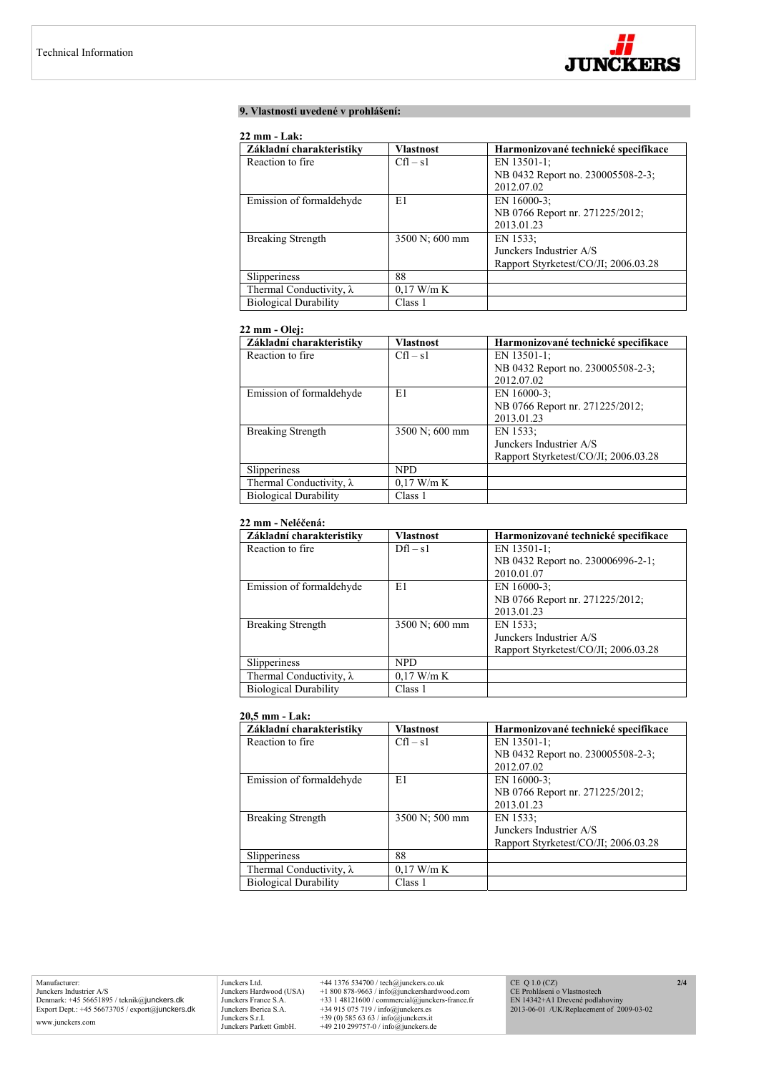

# **9. Vlastnosti uvedené v prohlášení:**

# **22 mm - Lak:**

| 44 HHL - LAN.                   |                  |                                      |  |
|---------------------------------|------------------|--------------------------------------|--|
| Základní charakteristiky        | <b>Vlastnost</b> | Harmonizované technické specifikace  |  |
| Reaction to fire.               | $Cfl - s1$       | EN $13501-1$ ;                       |  |
|                                 |                  | NB 0432 Report no. 230005508-2-3;    |  |
|                                 |                  | 2012.07.02                           |  |
| Emission of formaldehyde        | E1               | EN 16000-3:                          |  |
|                                 |                  | NB 0766 Report nr. 271225/2012;      |  |
|                                 |                  | 2013.01.23                           |  |
| <b>Breaking Strength</b>        | 3500 N; 600 mm   | EN 1533;                             |  |
|                                 |                  | Junckers Industrier A/S              |  |
|                                 |                  | Rapport Styrketest/CO/JI; 2006.03.28 |  |
| Slipperiness                    | 88               |                                      |  |
| Thermal Conductivity, $\lambda$ | $0.17$ W/m K     |                                      |  |
| <b>Biological Durability</b>    | Class 1          |                                      |  |

# **22 mm - Olej:**

| Základní charakteristiky        | <b>Vlastnost</b> | Harmonizované technické specifikace  |
|---------------------------------|------------------|--------------------------------------|
| Reaction to fire.               | $Cfl - s1$       | EN 13501-1;                          |
|                                 |                  | NB 0432 Report no. 230005508-2-3;    |
|                                 |                  | 2012.07.02                           |
| Emission of formaldehyde        | E1               | EN 16000-3:                          |
|                                 |                  | NB 0766 Report nr. 271225/2012;      |
|                                 |                  | 2013.01.23                           |
| <b>Breaking Strength</b>        | 3500 N; 600 mm   | EN 1533:                             |
|                                 |                  | Junckers Industrier A/S              |
|                                 |                  | Rapport Styrketest/CO/JI; 2006.03.28 |
| Slipperiness                    | <b>NPD</b>       |                                      |
| Thermal Conductivity, $\lambda$ | $0.17$ W/m K     |                                      |
| <b>Biological Durability</b>    | Class 1          |                                      |

# **22 mm - Neléčená:**

| Základní charakteristiky        | <b>Vlastnost</b> | Harmonizované technické specifikace  |
|---------------------------------|------------------|--------------------------------------|
| Reaction to fire.               | $Dfl - s1$       | EN $13501-1$ ;                       |
|                                 |                  | NB 0432 Report no. 230006996-2-1;    |
|                                 |                  | 2010.01.07                           |
| Emission of formaldehyde        | E1               | EN 16000-3:                          |
|                                 |                  | NB 0766 Report nr. 271225/2012;      |
|                                 |                  | 2013.01.23                           |
| <b>Breaking Strength</b>        | 3500 N; 600 mm   | EN 1533:                             |
|                                 |                  | Junckers Industrier A/S              |
|                                 |                  | Rapport Styrketest/CO/JI; 2006.03.28 |
| Slipperiness                    | <b>NPD</b>       |                                      |
| Thermal Conductivity, $\lambda$ | $0.17$ W/m K     |                                      |
| <b>Biological Durability</b>    | Class 1          |                                      |

## **20,5 mm - Lak:**

| Základní charakteristiky        | <b>Vlastnost</b> | Harmonizované technické specifikace  |
|---------------------------------|------------------|--------------------------------------|
| Reaction to fire.               | $Cfl - s1$       | EN 13501-1;                          |
|                                 |                  | NB 0432 Report no. 230005508-2-3;    |
|                                 |                  | 2012.07.02                           |
| Emission of formaldehyde        | E1               | EN 16000-3:                          |
|                                 |                  | NB 0766 Report nr. 271225/2012;      |
|                                 |                  | 2013.01.23                           |
| <b>Breaking Strength</b>        | 3500 N; 500 mm   | EN 1533:                             |
|                                 |                  | Junckers Industrier A/S              |
|                                 |                  | Rapport Styrketest/CO/JI: 2006.03.28 |
| Slipperiness                    | 88               |                                      |
| Thermal Conductivity, $\lambda$ | $0.17$ W/m K     |                                      |
| <b>Biological Durability</b>    | Class 1          |                                      |

Manufacturer: Junckers Industrier A/S Denmark: +45 56651895 / teknik@junckers.dk Export Dept.: +45 56673705 / export@junckers.dk www.junckers.com

Junckers Ltd. +44 1376 534700 / tech@junckers.co.uk<br>Junckers Hardwood (USA) +1 800 878-9663 / info@junckershardwo<br>Junckers France S.A. +33 1 48121600 / commercial@junckers.<br>Junckers Iberica S.A. +34 915 075 719 / info@junc Junckers Hardwood (USA) +1 800 878-9663 / info@junckershardwood.com<br>Junckers Iberica S.A. +33 1 48121600 / commercial@junckers-france.fr<br>Junckers Iberica S.A. +34 915 075 719 / info@junckers.est<br>Junckers S.r.I. +39 (0) 585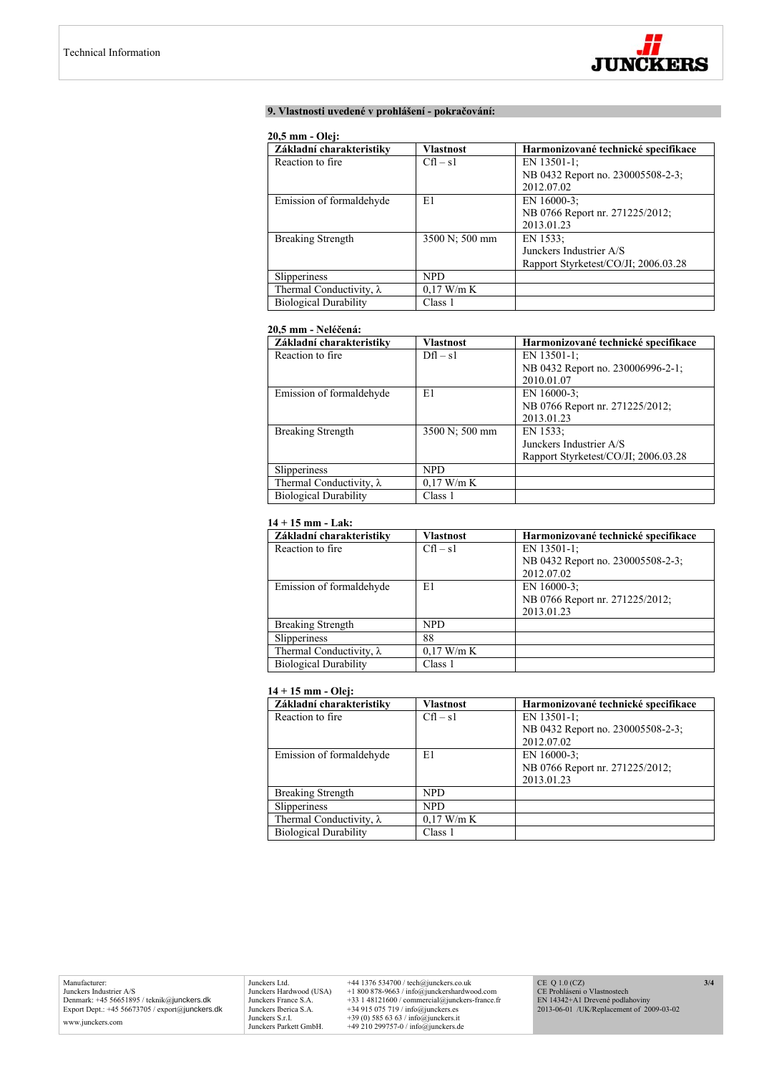

# **9. Vlastnosti uvedené v prohlášení - pokračování:**

## **20,5 mm - Olej:**

| Základní charakteristiky        | Vlastnost      | Harmonizované technické specifikace  |
|---------------------------------|----------------|--------------------------------------|
| Reaction to fire.               | $Cfl - s1$     | EN 13501-1;                          |
|                                 |                | NB 0432 Report no. 230005508-2-3;    |
|                                 |                | 2012.07.02                           |
| Emission of formaldehyde        | E1             | EN 16000-3:                          |
|                                 |                | NB 0766 Report nr. 271225/2012;      |
|                                 |                | 2013.01.23                           |
| <b>Breaking Strength</b>        | 3500 N; 500 mm | EN 1533:                             |
|                                 |                | Junckers Industrier A/S              |
|                                 |                | Rapport Styrketest/CO/JI; 2006.03.28 |
| Slipperiness                    | NPD.           |                                      |
| Thermal Conductivity, $\lambda$ | $0.17$ W/m K   |                                      |
| <b>Biological Durability</b>    | Class 1        |                                      |

# **20,5 mm - Neléčená:**

| Základní charakteristiky        | <b>Vlastnost</b> | Harmonizované technické specifikace  |
|---------------------------------|------------------|--------------------------------------|
| Reaction to fire.               | $Dfl - s1$       | EN 13501-1:                          |
|                                 |                  | NB 0432 Report no. 230006996-2-1;    |
|                                 |                  | 2010.01.07                           |
| Emission of formaldehyde        | E1               | EN 16000-3:                          |
|                                 |                  | NB 0766 Report nr. 271225/2012;      |
|                                 |                  | 2013.01.23                           |
| Breaking Strength               | 3500 N; 500 mm   | EN 1533:                             |
|                                 |                  | Junckers Industrier A/S              |
|                                 |                  | Rapport Styrketest/CO/JI; 2006.03.28 |
| Slipperiness                    | <b>NPD</b>       |                                      |
| Thermal Conductivity, $\lambda$ | $0.17$ W/m K     |                                      |
| <b>Biological Durability</b>    | Class 1          |                                      |

# **14 + 15 mm - Lak:**

| Základní charakteristiky        | <b>Vlastnost</b> | Harmonizované technické specifikace |
|---------------------------------|------------------|-------------------------------------|
| Reaction to fire.               | $Cfl - s1$       | EN $13501-1$ ;                      |
|                                 |                  | NB 0432 Report no. 230005508-2-3;   |
|                                 |                  | 2012.07.02                          |
| Emission of formaldehyde        | E1               | EN 16000-3:                         |
|                                 |                  | NB 0766 Report nr. 271225/2012;     |
|                                 |                  | 2013.01.23                          |
| <b>Breaking Strength</b>        | <b>NPD</b>       |                                     |
| Slipperiness                    | 88               |                                     |
| Thermal Conductivity, $\lambda$ | $0.17$ W/m K     |                                     |
| <b>Biological Durability</b>    | Class 1          |                                     |

# **14 + 15 mm - Olej:**

| Základní charakteristiky        | Vlastnost    | Harmonizované technické specifikace |
|---------------------------------|--------------|-------------------------------------|
| Reaction to fire.               | $Cfl - s1$   | EN 13501-1:                         |
|                                 |              | NB 0432 Report no. 230005508-2-3;   |
|                                 |              | 2012.07.02                          |
| Emission of formaldehyde        | E1           | EN 16000-3:                         |
|                                 |              | NB 0766 Report nr. 271225/2012;     |
|                                 |              | 2013.01.23                          |
| <b>Breaking Strength</b>        | <b>NPD</b>   |                                     |
| Slipperiness                    | <b>NPD</b>   |                                     |
| Thermal Conductivity, $\lambda$ | $0.17$ W/m K |                                     |
| <b>Biological Durability</b>    | Class 1      |                                     |

Junckers Ltd.  $+44$  1376 534700 / tech@junckers.co.uk<br>Junckers Hardwood (USA)  $+18008789.63$  / info@junckershardwood.com<br>Junckers France S.A.  $+33$  148121600 / commercial@junckers-france.fr<br>Junckers Berica S.A.  $+34915075$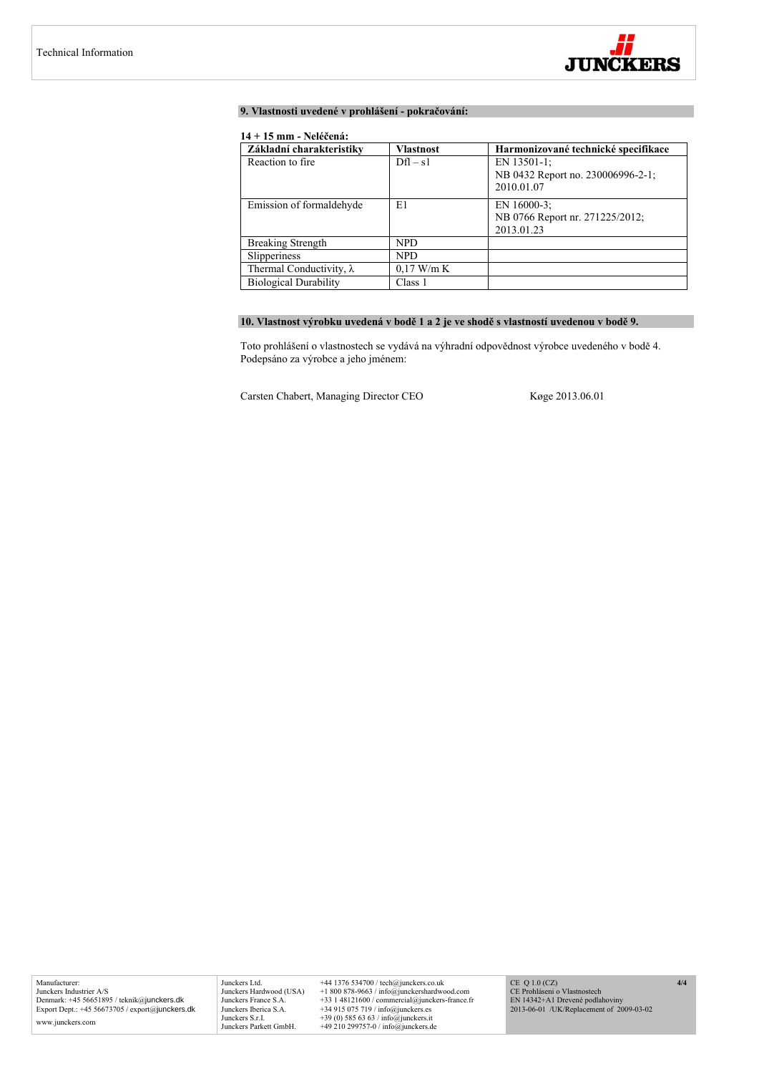

# **9. Vlastnosti uvedené v prohlášení - pokračování:**

# **14 + 15 mm - Neléčená:**

| Základní charakteristiky        | <b>Vlastnost</b> | Harmonizované technické specifikace                               |
|---------------------------------|------------------|-------------------------------------------------------------------|
| Reaction to fire.               | $Dfl - s1$       | EN $13501-1$ ;<br>NB 0432 Report no. 230006996-2-1;<br>2010.01.07 |
| Emission of formaldehyde        | E1               | EN $16000-3$ ;<br>NB 0766 Report nr. 271225/2012;<br>2013.01.23   |
| <b>Breaking Strength</b>        | <b>NPD</b>       |                                                                   |
| Slipperiness                    | <b>NPD</b>       |                                                                   |
| Thermal Conductivity, $\lambda$ | $0.17$ W/m K     |                                                                   |
| <b>Biological Durability</b>    | Class 1          |                                                                   |

# **10. Vlastnost výrobku uvedená v bodě 1 a 2 je ve shodě s vlastností uvedenou v bodě 9.**

Toto prohlášení o vlastnostech se vydává na výhradní odpovědnost výrobce uvedeného v bodě 4. Podepsáno za výrobce a jeho jménem:

Carsten Chabert, Managing Director CEO Køge 2013.06.01

Junckers Ltd. +44 1376 534700 / tech@junckers.co.uk<br>Junckers Hardwood (USA) +1 800 878-9663 / info@junckershardwc Junckers Hardwood (USA) +1 800 878-9663 / info@junckershardwood.com<br>Junckers Iberica S.A. +33 1 48121600 / commercial@junckers-france.fr<br>Junckers Iberica S.A. +34 915 075 719 / info@junckers.est<br>Junckers S.r.I. +39 (0) 585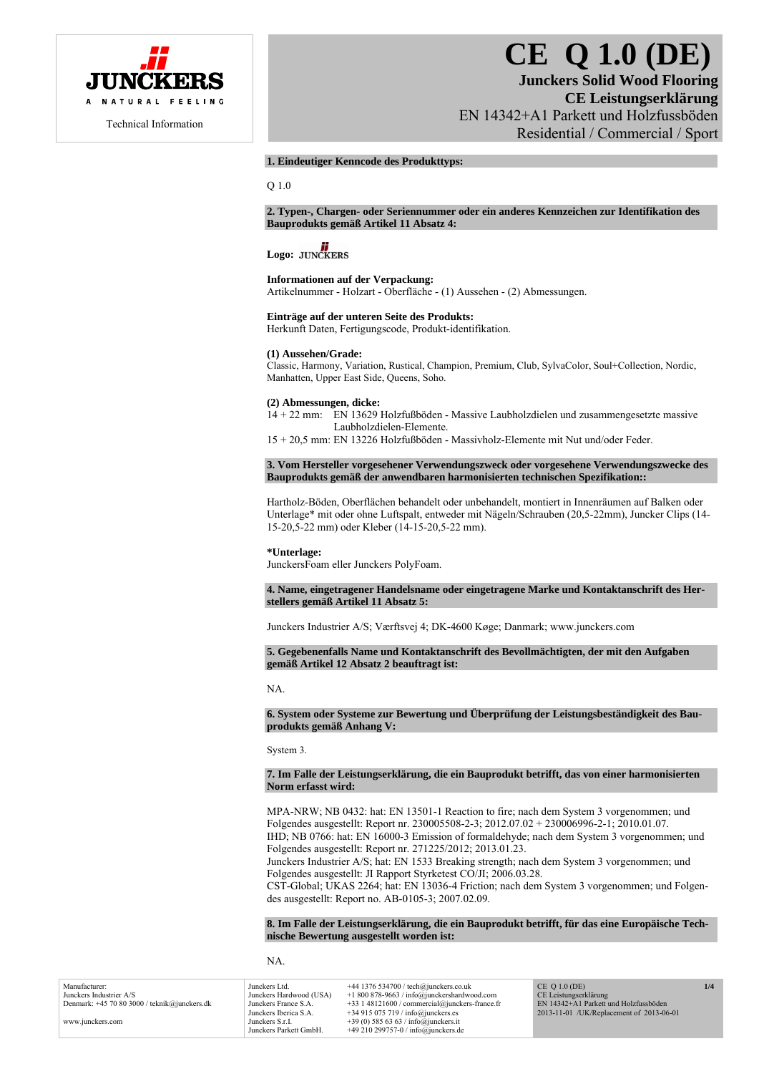

# **CE Q 1.0 (DE)**

# **Junckers Solid Wood Flooring CE Leistungserklärung**  EN 14342+A1 Parkett und Holzfussböden Residential / Commercial / Sport

## **1. Eindeutiger Kenncode des Produkttyps:**

Q 1.0

#### **2. Typen-, Chargen- oder Seriennummer oder ein anderes Kennzeichen zur Identifikation des Bauprodukts gemäß Artikel 11 Absatz 4:**

# Logo: **JUNCKERS**

# **Informationen auf der Verpackung:**

Artikelnummer - Holzart - Oberfläche - (1) Aussehen - (2) Abmessungen.

# **Einträge auf der unteren Seite des Produkts:**

Herkunft Daten, Fertigungscode, Produkt-identifikation.

# **(1) Aussehen/Grade:**

Classic, Harmony, Variation, Rustical, Champion, Premium, Club, SylvaColor, Soul+Collection, Nordic, Manhatten, Upper East Side, Queens, Soho.

#### **(2) Abmessungen, dicke:**

14 + 22 mm: EN 13629 Holzfußböden - Massive Laubholzdielen und zusammengesetzte massive Laubholzdielen-Elemente.

15 + 20,5 mm: EN 13226 Holzfußböden - Massivholz-Elemente mit Nut und/oder Feder.

**3. Vom Hersteller vorgesehener Verwendungszweck oder vorgesehene Verwendungszwecke des Bauprodukts gemäß der anwendbaren harmonisierten technischen Spezifikation::** 

Hartholz-Böden, Oberflächen behandelt oder unbehandelt, montiert in Innenräumen auf Balken oder Unterlage\* mit oder ohne Luftspalt, entweder mit Nägeln/Schrauben (20,5-22mm), Juncker Clips (14- 15-20,5-22 mm) oder Kleber (14-15-20,5-22 mm).

#### **\*Unterlage:**

JunckersFoam eller Junckers PolyFoam.

**4. Name, eingetragener Handelsname oder eingetragene Marke und Kontaktanschrift des Herstellers gemäß Artikel 11 Absatz 5:** 

Junckers Industrier A/S; Værftsvej 4; DK-4600 Køge; Danmark; www.junckers.com

# **5. Gegebenenfalls Name und Kontaktanschrift des Bevollmächtigten, der mit den Aufgaben gemäß Artikel 12 Absatz 2 beauftragt ist:**

NA.

#### **6. System oder Systeme zur Bewertung und Überprüfung der Leistungsbeständigkeit des Bauprodukts gemäß Anhang V:**

System 3.

## **7. Im Falle der Leistungserklärung, die ein Bauprodukt betrifft, das von einer harmonisierten Norm erfasst wird:**

MPA-NRW; NB 0432: hat: EN 13501-1 Reaction to fire; nach dem System 3 vorgenommen; und Folgendes ausgestellt: Report nr. 230005508-2-3; 2012.07.02 + 230006996-2-1; 2010.01.07. IHD; NB 0766: hat: EN 16000-3 Emission of formaldehyde; nach dem System 3 vorgenommen; und Folgendes ausgestellt: Report nr. 271225/2012; 2013.01.23. Junckers Industrier A/S; hat: EN 1533 Breaking strength; nach dem System 3 vorgenommen; und

Folgendes ausgestellt: JI Rapport Styrketest CO/JI; 2006.03.28. CST-Global; UKAS 2264; hat: EN 13036-4 Friction; nach dem System 3 vorgenommen; und Folgendes ausgestellt: Report no. AB-0105-3; 2007.02.09.

#### **8. Im Falle der Leistungserklärung, die ein Bauprodukt betrifft, für das eine Europäische Technische Bewertung ausgestellt worden ist:**

NA.

| Manufacturer:                                  | Junckers Ltd.           | $+44$ 1376 534700 / tech@junckers.co.uk          | $CE$ O 1.0 (DE)                          | 1/4 |
|------------------------------------------------|-------------------------|--------------------------------------------------|------------------------------------------|-----|
| Junckers Industrier A/S                        | Junckers Hardwood (USA) | $+1800878-9663$ / info@junckershardwood.com      | CE Leistungserklärung                    |     |
| Denmark: $+45$ 70 80 3000 / teknik@junckers.dk | Junckers France S.A.    | $+33$ 1 48121600 / commercial@junckers-france.fr | EN 14342+A1 Parkett und Holzfussböden    |     |
|                                                | Junckers Iberica S.A.   | $+34915075719/$ info@junckers.es                 | 2013-11-01 /UK/Replacement of 2013-06-01 |     |
| www.junckers.com                               | Junckers S.r.I.         | +39 (0) 585 63 63 / info@junckers.it             |                                          |     |
|                                                | Junckers Parkett GmbH.  | +49 210 299757-0 / info@junckers.de              |                                          |     |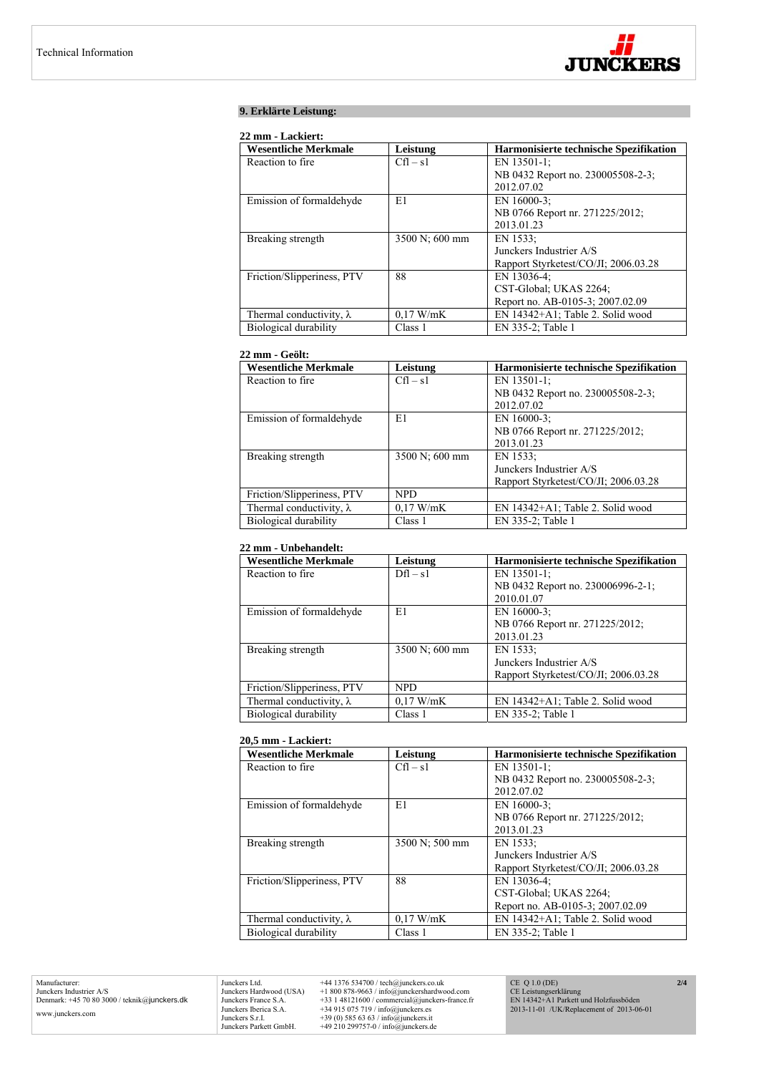

# **9. Erklärte Leistung:**

# **22 mm - Lackiert:**

| <b>Wesentliche Merkmale</b>     | Leistung       | <b>Harmonisierte technische Spezifikation</b> |
|---------------------------------|----------------|-----------------------------------------------|
| Reaction to fire.               | $Cfl - s1$     | EN 13501-1:                                   |
|                                 |                | NB 0432 Report no. 230005508-2-3;             |
|                                 |                | 2012.07.02                                    |
| Emission of formaldehyde        | E1             | EN 16000-3;                                   |
|                                 |                | NB 0766 Report nr. 271225/2012;               |
|                                 |                | 2013.01.23                                    |
| Breaking strength               | 3500 N; 600 mm | EN 1533:                                      |
|                                 |                | Junckers Industrier A/S                       |
|                                 |                | Rapport Styrketest/CO/JI; 2006.03.28          |
| Friction/Slipperiness, PTV      | 88             | EN 13036-4:                                   |
|                                 |                | CST-Global; UKAS 2264;                        |
|                                 |                | Report no. AB-0105-3; 2007.02.09              |
| Thermal conductivity, $\lambda$ | $0.17$ W/mK    | EN 14342+A1; Table 2. Solid wood              |
| Biological durability           | Class 1        | EN 335-2; Table 1                             |

# **22 mm - Geölt:**

| <b>Wesentliche Merkmale</b>     | Leistung       | Harmonisierte technische Spezifikation |
|---------------------------------|----------------|----------------------------------------|
| Reaction to fire.               | $Cfl - s1$     | EN 13501-1;                            |
|                                 |                | NB 0432 Report no. 230005508-2-3;      |
|                                 |                | 2012.07.02                             |
| Emission of formaldehyde        | E1             | EN 16000-3:                            |
|                                 |                | NB 0766 Report nr. 271225/2012;        |
|                                 |                | 2013.01.23                             |
| Breaking strength               | 3500 N; 600 mm | EN 1533:                               |
|                                 |                | Junckers Industrier A/S                |
|                                 |                | Rapport Styrketest/CO/JI: 2006.03.28   |
| Friction/Slipperiness, PTV      | NPD.           |                                        |
| Thermal conductivity, $\lambda$ | 0.17 W/mK      | EN 14342+A1; Table 2. Solid wood       |
| Biological durability           | Class 1        | EN 335-2; Table 1                      |

# **22 mm - Unbehandelt:**

| <b>Wesentliche Merkmale</b>     | Leistung       | Harmonisierte technische Spezifikation |
|---------------------------------|----------------|----------------------------------------|
| Reaction to fire.               | $Dfl - s1$     | EN 13501-1;                            |
|                                 |                | NB 0432 Report no. 230006996-2-1;      |
|                                 |                | 2010.01.07                             |
| Emission of formaldehyde        | E1             | EN 16000-3;                            |
|                                 |                | NB 0766 Report nr. 271225/2012;        |
|                                 |                | 2013.01.23                             |
| Breaking strength               | 3500 N; 600 mm | EN 1533:                               |
|                                 |                | Junckers Industrier A/S                |
|                                 |                | Rapport Styrketest/CO/JI; 2006.03.28   |
| Friction/Slipperiness, PTV      | <b>NPD</b>     |                                        |
| Thermal conductivity, $\lambda$ | $0.17$ W/mK    | EN 14342+A1; Table 2. Solid wood       |
| Biological durability           | Class 1        | EN 335-2; Table 1                      |

#### **20,5 mm - Lackiert:**

| <b>Wesentliche Merkmale</b>     | Leistung       | Harmonisierte technische Spezifikation |
|---------------------------------|----------------|----------------------------------------|
| Reaction to fire.               | $Cfl - s1$     | EN 13501-1;                            |
|                                 |                | NB 0432 Report no. 230005508-2-3;      |
|                                 |                | 2012.07.02                             |
| Emission of formaldehyde        | E1             | EN $16000-3$ :                         |
|                                 |                | NB 0766 Report nr. 271225/2012;        |
|                                 |                | 2013.01.23                             |
| Breaking strength               | 3500 N; 500 mm | EN 1533:                               |
|                                 |                | Junckers Industrier A/S                |
|                                 |                | Rapport Styrketest/CO/JI; 2006.03.28   |
| Friction/Slipperiness, PTV      | 88             | EN 13036-4:                            |
|                                 |                | CST-Global: UKAS 2264;                 |
|                                 |                | Report no. AB-0105-3; 2007.02.09       |
| Thermal conductivity, $\lambda$ | 0.17 W/mK      | EN 14342+A1; Table 2. Solid wood       |
| Biological durability           | Class 1        | EN 335-2; Table 1                      |

Manufacturer: Junckers Industrier A/S Denmark: +45 70 80 3000 / teknik@junckers.dk www.junckers.com

Junckers Ltd. +44 1376 534700 / tech@junckers.co.uk<br>Junckers Hardwood (USA) +1 800 878-9663 / info@junckershardword<br>Junckers France S.A. +33 1 48121600 / commercial@junckers.<br>Junckers Iberica S.A. +34 915 075 719 / info@ju Junckers Hardwood (USA) +1 800 878-9663 / info@junckershardwood.com<br>Junckers Iberica S.A. +33 1 48121600 / commercial@junckers-france.fr<br>Junckers Iberica S.A. +34 915 075 719 / info@junckers.est<br>Junckers S.r.I. +39 (0) 585 CE Q 1.0 (DE) CE Leistungserklärung EN 14342+A1 Parkett und Holzfussböden 2013-11-01 /UK/Replacement of 2013-06-01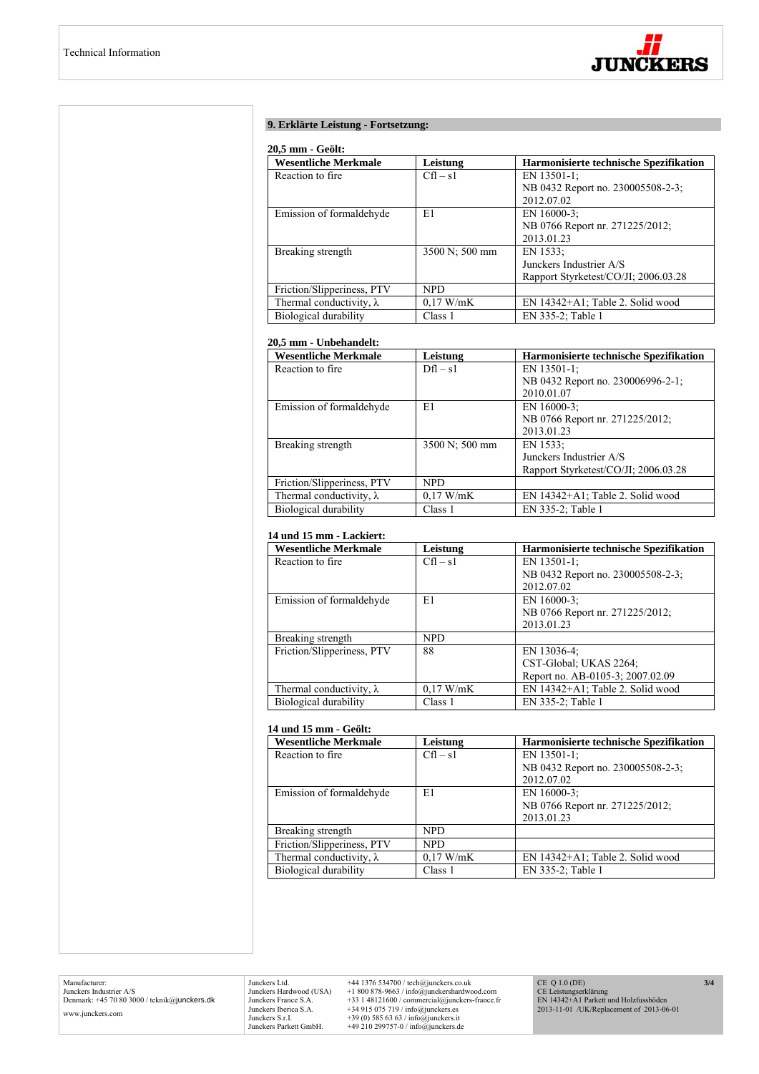

# **9. Erklärte Leistung - Fortsetzung:**

#### **20,5 mm - Geölt:**

| <b>Wesentliche Merkmale</b>     | Leistung       | Harmonisierte technische Spezifikation |
|---------------------------------|----------------|----------------------------------------|
| Reaction to fire.               | $Cfl - s1$     | EN 13501-1:                            |
|                                 |                | NB 0432 Report no. 230005508-2-3;      |
|                                 |                | 2012.07.02                             |
| Emission of formaldehyde        | E1             | EN 16000-3:                            |
|                                 |                | NB 0766 Report nr. 271225/2012;        |
|                                 |                | 2013.01.23                             |
| Breaking strength               | 3500 N; 500 mm | EN 1533:                               |
|                                 |                | Junckers Industrier A/S                |
|                                 |                | Rapport Styrketest/CO/JI; 2006.03.28   |
| Friction/Slipperiness, PTV      | NPD.           |                                        |
| Thermal conductivity, $\lambda$ | 0.17 W/mK      | EN 14342+A1; Table 2. Solid wood       |
| Biological durability           | Class 1        | EN 335-2; Table 1                      |

# **20,5 mm - Unbehandelt:**

| <b>Wesentliche Merkmale</b>     | Leistung       | Harmonisierte technische Spezifikation |
|---------------------------------|----------------|----------------------------------------|
| Reaction to fire.               | $Dfl - s1$     | EN 13501-1:                            |
|                                 |                | NB 0432 Report no. 230006996-2-1;      |
|                                 |                | 2010.01.07                             |
| Emission of formaldehyde        | E1             | EN $16000-3$ ;                         |
|                                 |                | NB 0766 Report nr. 271225/2012;        |
|                                 |                | 2013.01.23                             |
| Breaking strength               | 3500 N; 500 mm | EN 1533:                               |
|                                 |                | Junckers Industrier A/S                |
|                                 |                | Rapport Styrketest/CO/JI; 2006.03.28   |
| Friction/Slipperiness, PTV      | <b>NPD</b>     |                                        |
| Thermal conductivity, $\lambda$ | $0.17$ W/mK    | EN 14342+A1; Table 2. Solid wood       |
| Biological durability           | Class 1        | EN 335-2; Table 1                      |

# **14 und 15 mm - Lackiert:**

| <b>Wesentliche Merkmale</b>     | Leistung    | Harmonisierte technische Spezifikation |
|---------------------------------|-------------|----------------------------------------|
| Reaction to fire.               | $Cfl - s1$  | EN 13501-1:                            |
|                                 |             | NB 0432 Report no. 230005508-2-3;      |
|                                 |             | 2012.07.02                             |
| Emission of formaldehyde        | E1          | EN $16000-3$ ;                         |
|                                 |             | NB 0766 Report nr. 271225/2012;        |
|                                 |             | 2013.01.23                             |
| Breaking strength               | <b>NPD</b>  |                                        |
| Friction/Slipperiness, PTV      | 88          | EN 13036-4;                            |
|                                 |             | CST-Global; UKAS 2264;                 |
|                                 |             | Report no. AB-0105-3; 2007.02.09       |
| Thermal conductivity, $\lambda$ | $0.17$ W/mK | EN 14342+A1; Table 2. Solid wood       |
| Biological durability           | Class 1     | EN 335-2; Table 1                      |

#### **14 und 15 mm - Geölt:**

| <b>Wesentliche Merkmale</b>     | Leistung    | <b>Harmonisierte technische Spezifikation</b> |
|---------------------------------|-------------|-----------------------------------------------|
| Reaction to fire.               | $Cfl - s1$  | EN 13501-1;                                   |
|                                 |             | NB 0432 Report no. 230005508-2-3;             |
|                                 |             | 2012.07.02                                    |
| Emission of formaldehyde        | E1          | EN 16000-3:                                   |
|                                 |             | NB 0766 Report nr. 271225/2012;               |
|                                 |             | 2013.01.23                                    |
| Breaking strength               | NPD.        |                                               |
| Friction/Slipperiness, PTV      | <b>NPD</b>  |                                               |
| Thermal conductivity, $\lambda$ | $0.17$ W/mK | EN 14342+A1; Table 2. Solid wood              |
| Biological durability           | Class 1     | EN 335-2; Table 1                             |

Manufacturer: Junckers Industrier A/S Denmark: +45 70 80 3000 / teknik@junckers.dk www.junckers.com

Junckers Ltd.  $+44$  1376 534700 / tech@junckers.co.uk<br>Junckers Hardwood (USA)  $+18008789.63$  / info@junckershardwood.com<br>Junckers France S.A.  $+33$  148121600 / commercial@junckers-france.fr<br>Junckers Berica S.A.  $+34915075$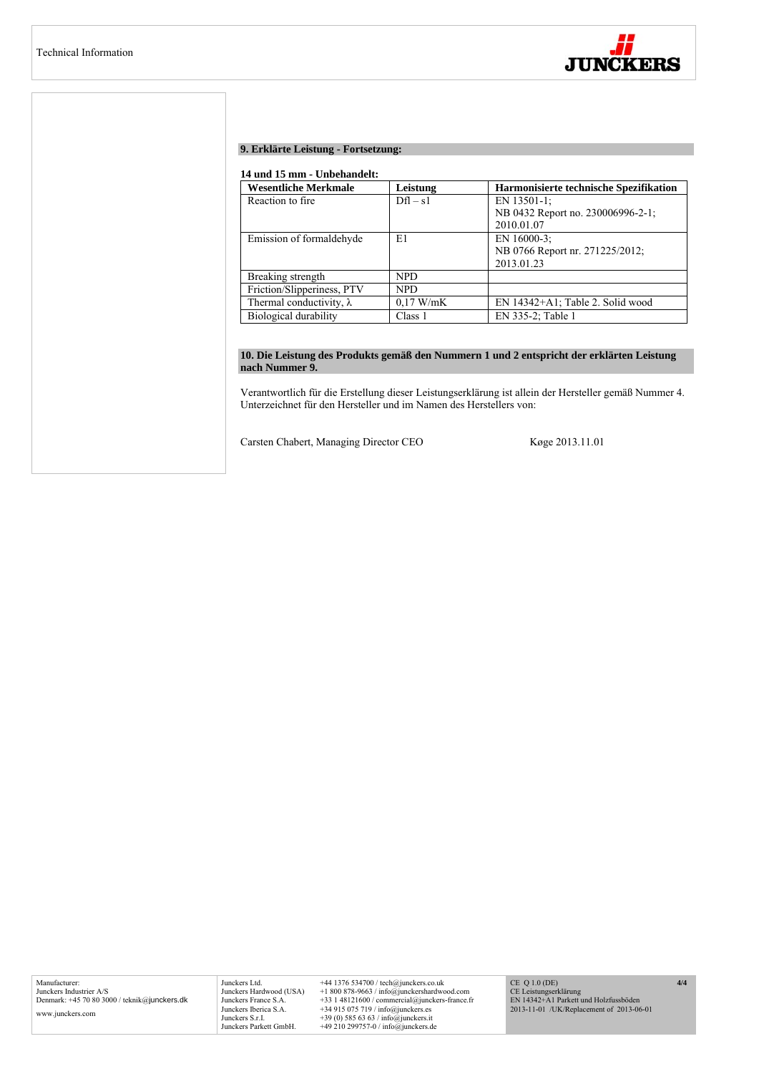

# **9. Erklärte Leistung - Fortsetzung:**

## **14 und 15 mm - Unbehandelt:**

| <b>Wesentliche Merkmale</b>     | Leistung    | Harmonisierte technische Spezifikation |
|---------------------------------|-------------|----------------------------------------|
| Reaction to fire.               | $Dfl - s1$  | EN 13501-1;                            |
|                                 |             | NB 0432 Report no. 230006996-2-1;      |
|                                 |             | 2010.01.07                             |
| Emission of formaldehyde        | E1          | EN 16000-3:                            |
|                                 |             | NB 0766 Report nr. 271225/2012;        |
|                                 |             | 2013.01.23                             |
| Breaking strength               | NPD.        |                                        |
| Friction/Slipperiness, PTV      | <b>NPD</b>  |                                        |
| Thermal conductivity, $\lambda$ | $0.17$ W/mK | EN 14342+A1; Table 2. Solid wood       |
| Biological durability           | Class 1     | EN 335-2; Table 1                      |

# **10. Die Leistung des Produkts gemäß den Nummern 1 und 2 entspricht der erklärten Leistung nach Nummer 9.**

Verantwortlich für die Erstellung dieser Leistungserklärung ist allein der Hersteller gemäß Nummer 4. Unterzeichnet für den Hersteller und im Namen des Herstellers von:

Carsten Chabert, Managing Director CEO Køge 2013.11.01

Manufacturer: Junckers Industrier A/S Denmark: +45 70 80 3000 / teknik@junckers.dk www.junckers.com

Junckers Ltd. +44 1376 534700 / tech@junckers.co.uk<br>Junckers Hardwood (USA) +1 800 878-9663 / info@junckershardwc Junckers Hardwood (USA) +1 800 878-9663 / info@junckershardwood.com<br>Junckers Iberica S.A. +33 1 48121600 / commercial@junckers-france.fr<br>Junckers Iberica S.A. +34 915 075 719 / info@junckers.est<br>Junckers S.r.I. +39 (0) 585 CE Q 1.0 (DE) CE Leistungserklärung EN 14342+A1 Parkett und Holzfussböden 2013-11-01 /UK/Replacement of 2013-06-01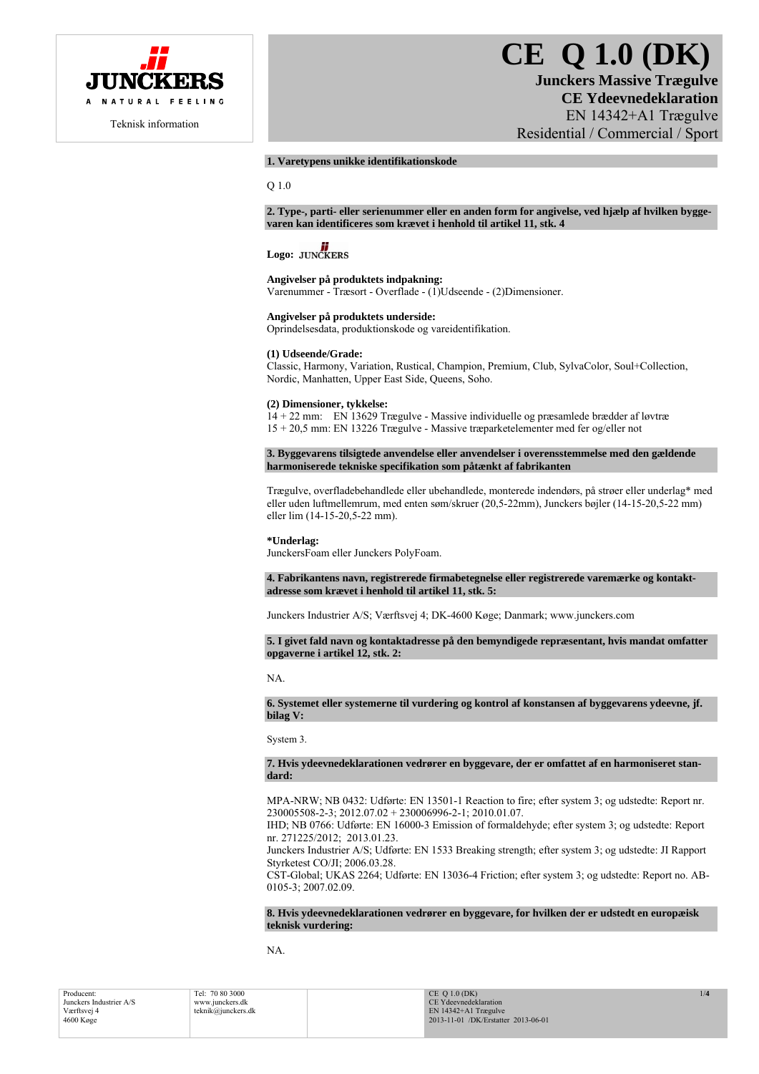

Teknisk information

# **CE Q 1.0 (DK)**

**Junckers Massive Trægulve CE Ydeevnedeklaration**  EN 14342+A1 Trægulve Residential / Commercial / Sport

# **1. Varetypens unikke identifikationskode**

Q 1.0

**2. Type-, parti- eller serienummer eller en anden form for angivelse, ved hjælp af hvilken byggevaren kan identificeres som krævet i henhold til artikel 11, stk. 4** 

# Logo: **JUNCKERS**

# **Angivelser på produktets indpakning:**

Varenummer - Træsort - Overflade - (1)Udseende - (2)Dimensioner.

# **Angivelser på produktets underside:**

Oprindelsesdata, produktionskode og vareidentifikation.

## **(1) Udseende/Grade:**

Classic, Harmony, Variation, Rustical, Champion, Premium, Club, SylvaColor, Soul+Collection, Nordic, Manhatten, Upper East Side, Queens, Soho.

# **(2) Dimensioner, tykkelse:**

14 + 22 mm: EN 13629 Trægulve - Massive individuelle og præsamlede brædder af løvtræ 15 + 20,5 mm: EN 13226 Trægulve - Massive træparketelementer med fer og/eller not

**3. Byggevarens tilsigtede anvendelse eller anvendelser i overensstemmelse med den gældende harmoniserede tekniske specifikation som påtænkt af fabrikanten** 

Trægulve, overfladebehandlede eller ubehandlede, monterede indendørs, på strøer eller underlag\* med eller uden luftmellemrum, med enten søm/skruer (20,5-22mm), Junckers bøjler (14-15-20,5-22 mm) eller lim (14-15-20,5-22 mm).

# **\*Underlag:**

JunckersFoam eller Junckers PolyFoam.

**4. Fabrikantens navn, registrerede firmabetegnelse eller registrerede varemærke og kontaktadresse som krævet i henhold til artikel 11, stk. 5:** 

Junckers Industrier A/S; Værftsvej 4; DK-4600 Køge; Danmark; www.junckers.com

**5. I givet fald navn og kontaktadresse på den bemyndigede repræsentant, hvis mandat omfatter opgaverne i artikel 12, stk. 2:** 

# NA.

**6. Systemet eller systemerne til vurdering og kontrol af konstansen af byggevarens ydeevne, jf. bilag V:** 

System 3.

**7. Hvis ydeevnedeklarationen vedrører en byggevare, der er omfattet af en harmoniseret standard:** 

MPA-NRW; NB 0432: Udførte: EN 13501-1 Reaction to fire; efter system 3; og udstedte: Report nr. 230005508-2-3; 2012.07.02 + 230006996-2-1; 2010.01.07.

IHD; NB 0766: Udførte: EN 16000-3 Emission of formaldehyde; efter system 3; og udstedte: Report nr. 271225/2012; 2013.01.23.

Junckers Industrier A/S; Udførte: EN 1533 Breaking strength; efter system 3; og udstedte: JI Rapport Styrketest CO/JI; 2006.03.28.

CST-Global; UKAS 2264; Udførte: EN 13036-4 Friction; efter system 3; og udstedte: Report no. AB-0105-3; 2007.02.09.

# **8. Hvis ydeevnedeklarationen vedrører en byggevare, for hvilken der er udstedt en europæisk teknisk vurdering:**

NA.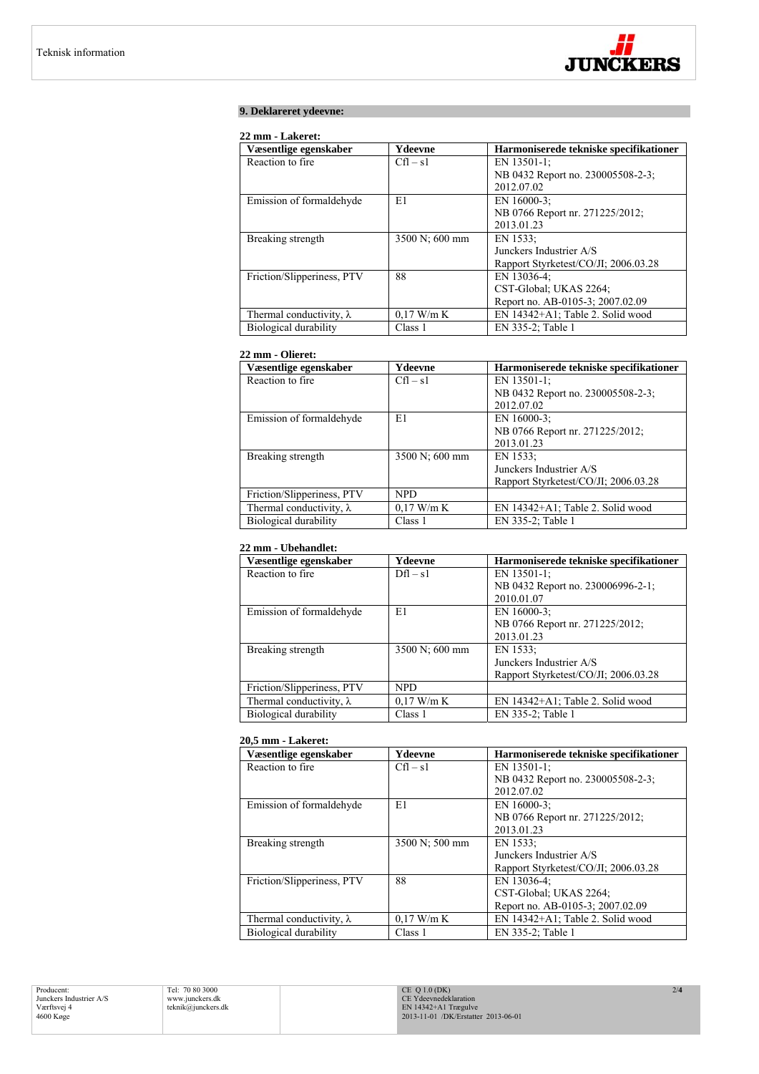

# **9. Deklareret ydeevne:**

# **22 mm - Lakeret:**

| Væsentlige egenskaber           | Ydeevne        | Harmoniserede tekniske specifikationer |
|---------------------------------|----------------|----------------------------------------|
| Reaction to fire.               | $Cfl - s1$     | EN 13501-1:                            |
|                                 |                | NB 0432 Report no. 230005508-2-3;      |
|                                 |                | 2012.07.02                             |
| Emission of formaldehyde        | E1             | EN $16000-3$ ;                         |
|                                 |                | NB 0766 Report nr. 271225/2012;        |
|                                 |                | 2013.01.23                             |
| Breaking strength               | 3500 N; 600 mm | EN 1533;                               |
|                                 |                | Junckers Industrier A/S                |
|                                 |                | Rapport Styrketest/CO/JI; 2006.03.28   |
| Friction/Slipperiness, PTV      | 88             | EN 13036-4:                            |
|                                 |                | CST-Global; UKAS 2264;                 |
|                                 |                | Report no. AB-0105-3; 2007.02.09       |
| Thermal conductivity, $\lambda$ | $0.17$ W/m K   | EN 14342+A1; Table 2. Solid wood       |
| Biological durability           | Class 1        | EN 335-2; Table 1                      |

# **22 mm - Olieret:**

| Væsentlige egenskaber           | Ydeevne        | Harmoniserede tekniske specifikationer |
|---------------------------------|----------------|----------------------------------------|
| Reaction to fire.               | $Cfl - s1$     | EN 13501-1;                            |
|                                 |                | NB 0432 Report no. 230005508-2-3;      |
|                                 |                | 2012.07.02                             |
| Emission of formaldehyde        | E1             | EN 16000-3;                            |
|                                 |                | NB 0766 Report nr. 271225/2012;        |
|                                 |                | 2013.01.23                             |
| Breaking strength               | 3500 N; 600 mm | EN 1533:                               |
|                                 |                | Junckers Industrier A/S                |
|                                 |                | Rapport Styrketest/CO/JI; 2006.03.28   |
| Friction/Slipperiness, PTV      | <b>NPD</b>     |                                        |
| Thermal conductivity, $\lambda$ | $0.17$ W/m K   | EN 14342+A1; Table 2. Solid wood       |
| Biological durability           | Class 1        | EN 335-2; Table 1                      |

# **22 mm - Ubehandlet:**

| Væsentlige egenskaber           | Ydeevne        | Harmoniserede tekniske specifikationer |
|---------------------------------|----------------|----------------------------------------|
| Reaction to fire                | $Df1 - s1$     | EN 13501-1;                            |
|                                 |                | NB 0432 Report no. 230006996-2-1;      |
|                                 |                | 2010.01.07                             |
| Emission of formaldehyde        | E1             | EN 16000-3;                            |
|                                 |                | NB 0766 Report nr. 271225/2012;        |
|                                 |                | 2013.01.23                             |
| Breaking strength               | 3500 N; 600 mm | EN 1533:                               |
|                                 |                | Junckers Industrier A/S                |
|                                 |                | Rapport Styrketest/CO/JI; 2006.03.28   |
| Friction/Slipperiness, PTV      | <b>NPD</b>     |                                        |
| Thermal conductivity, $\lambda$ | $0.17$ W/m K   | EN 14342+A1; Table 2. Solid wood       |
| Biological durability           | Class 1        | EN 335-2; Table 1                      |

## **20,5 mm - Lakeret:**

| Væsentlige egenskaber           | Ydeevne        | Harmoniserede tekniske specifikationer |
|---------------------------------|----------------|----------------------------------------|
| Reaction to fire                | $Cfl - s1$     | EN 13501-1;                            |
|                                 |                | NB 0432 Report no. 230005508-2-3;      |
|                                 |                | 2012.07.02                             |
| Emission of formaldehyde        | E1             | EN 16000-3:                            |
|                                 |                | NB 0766 Report nr. 271225/2012;        |
|                                 |                | 2013.01.23                             |
| Breaking strength               | 3500 N; 500 mm | EN 1533:                               |
|                                 |                | Junckers Industrier A/S                |
|                                 |                | Rapport Styrketest/CO/JI; 2006.03.28   |
| Friction/Slipperiness, PTV      | 88             | EN 13036-4;                            |
|                                 |                | CST-Global; UKAS 2264;                 |
|                                 |                | Report no. AB-0105-3; 2007.02.09       |
| Thermal conductivity, $\lambda$ | $0.17$ W/m K   | EN 14342+A1; Table 2. Solid wood       |
| Biological durability           | Class 1        | EN 335-2; Table 1                      |

Producent: Junckers Industrier A/S Værftsvej 4 4600 Køge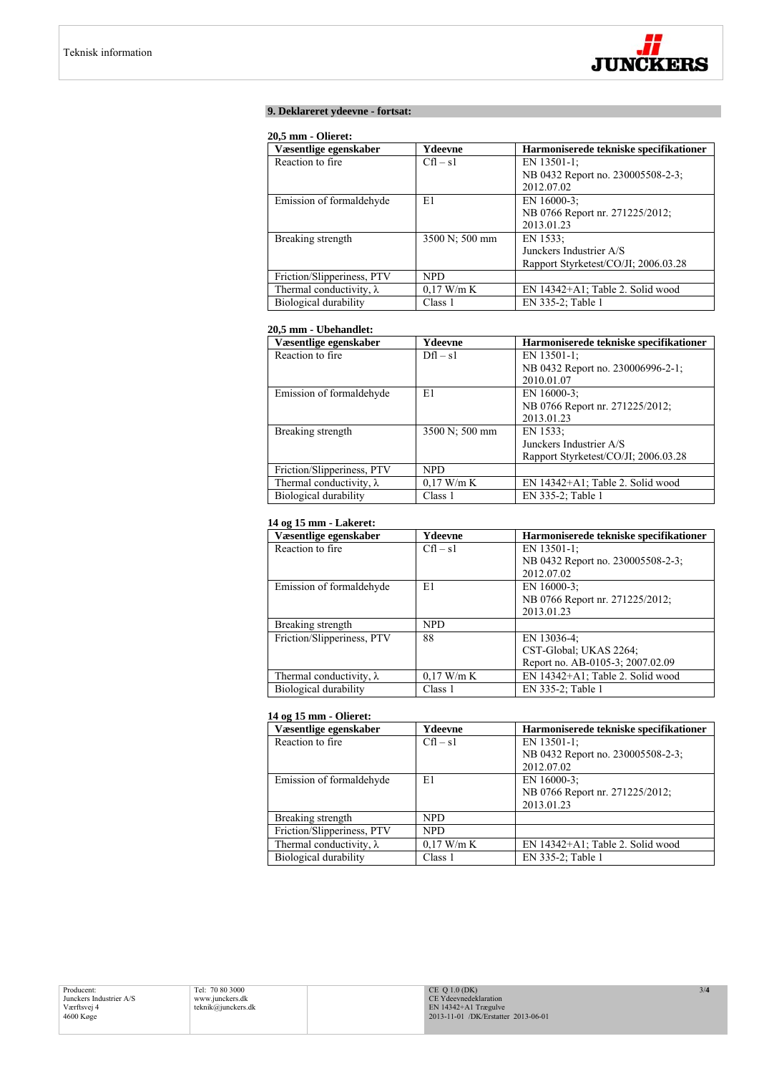

# **9. Deklareret ydeevne - fortsat:**

## **20,5 mm - Olieret:**

| Væsentlige egenskaber           | Ydeevne        | Harmoniserede tekniske specifikationer |
|---------------------------------|----------------|----------------------------------------|
| Reaction to fire.               | $Cfl - s1$     | EN 13501-1:                            |
|                                 |                | NB 0432 Report no. 230005508-2-3;      |
|                                 |                | 2012.07.02                             |
| Emission of formaldehyde        | E1             | EN 16000-3:                            |
|                                 |                | NB 0766 Report nr. 271225/2012;        |
|                                 |                | 2013.01.23                             |
| Breaking strength               | 3500 N; 500 mm | EN 1533:                               |
|                                 |                | Junckers Industrier A/S                |
|                                 |                | Rapport Styrketest/CO/JI; 2006.03.28   |
| Friction/Slipperiness, PTV      | <b>NPD</b>     |                                        |
| Thermal conductivity, $\lambda$ | $0.17$ W/m K   | EN 14342+A1; Table 2. Solid wood       |
| Biological durability           | Class 1        | EN 335-2; Table 1                      |

# **20,5 mm - Ubehandlet:**

| Væsentlige egenskaber           | Ydeevne        | Harmoniserede tekniske specifikationer |
|---------------------------------|----------------|----------------------------------------|
| Reaction to fire                | $Dfl - s1$     | EN 13501-1:                            |
|                                 |                | NB 0432 Report no. 230006996-2-1;      |
|                                 |                | 2010.01.07                             |
| Emission of formaldehyde        | E1             | EN $16000-3$ ;                         |
|                                 |                | NB 0766 Report nr. 271225/2012;        |
|                                 |                | 2013.01.23                             |
| Breaking strength               | 3500 N; 500 mm | EN 1533:                               |
|                                 |                | Junckers Industrier A/S                |
|                                 |                | Rapport Styrketest/CO/JI; 2006.03.28   |
| Friction/Slipperiness, PTV      | <b>NPD</b>     |                                        |
| Thermal conductivity, $\lambda$ | $0.17$ W/m K   | EN 14342+A1; Table 2. Solid wood       |
| Biological durability           | Class 1        | EN 335-2; Table 1                      |

# **14 og 15 mm - Lakeret:**

| Væsentlige egenskaber           | Ydeevne      | Harmoniserede tekniske specifikationer |
|---------------------------------|--------------|----------------------------------------|
| Reaction to fire.               | $Cfl - s1$   | EN $13501-1$ ;                         |
|                                 |              | NB 0432 Report no. 230005508-2-3;      |
|                                 |              | 2012.07.02                             |
| Emission of formaldehyde        | E1           | EN 16000-3:                            |
|                                 |              | NB 0766 Report nr. 271225/2012;        |
|                                 |              | 2013.01.23                             |
| Breaking strength               | <b>NPD</b>   |                                        |
| Friction/Slipperiness, PTV      | 88           | EN 13036-4;                            |
|                                 |              | CST-Global; UKAS 2264;                 |
|                                 |              | Report no. AB-0105-3; 2007.02.09       |
| Thermal conductivity, $\lambda$ | $0.17$ W/m K | EN 14342+A1; Table 2. Solid wood       |
| Biological durability           | Class 1      | EN 335-2; Table 1                      |

# **14 og 15 mm - Olieret:**

| Væsentlige egenskaber           | Ydeevne      | Harmoniserede tekniske specifikationer |
|---------------------------------|--------------|----------------------------------------|
| Reaction to fire.               | $Cfl - s1$   | EN 13501-1;                            |
|                                 |              | NB 0432 Report no. 230005508-2-3;      |
|                                 |              | 2012.07.02                             |
| Emission of formaldehyde        | E1           | EN 16000-3:                            |
|                                 |              | NB 0766 Report nr. 271225/2012;        |
|                                 |              | 2013.01.23                             |
| Breaking strength               | NPD.         |                                        |
| Friction/Slipperiness, PTV      | <b>NPD</b>   |                                        |
| Thermal conductivity, $\lambda$ | $0.17$ W/m K | EN 14342+A1; Table 2. Solid wood       |
| Biological durability           | Class 1      | EN 335-2; Table 1                      |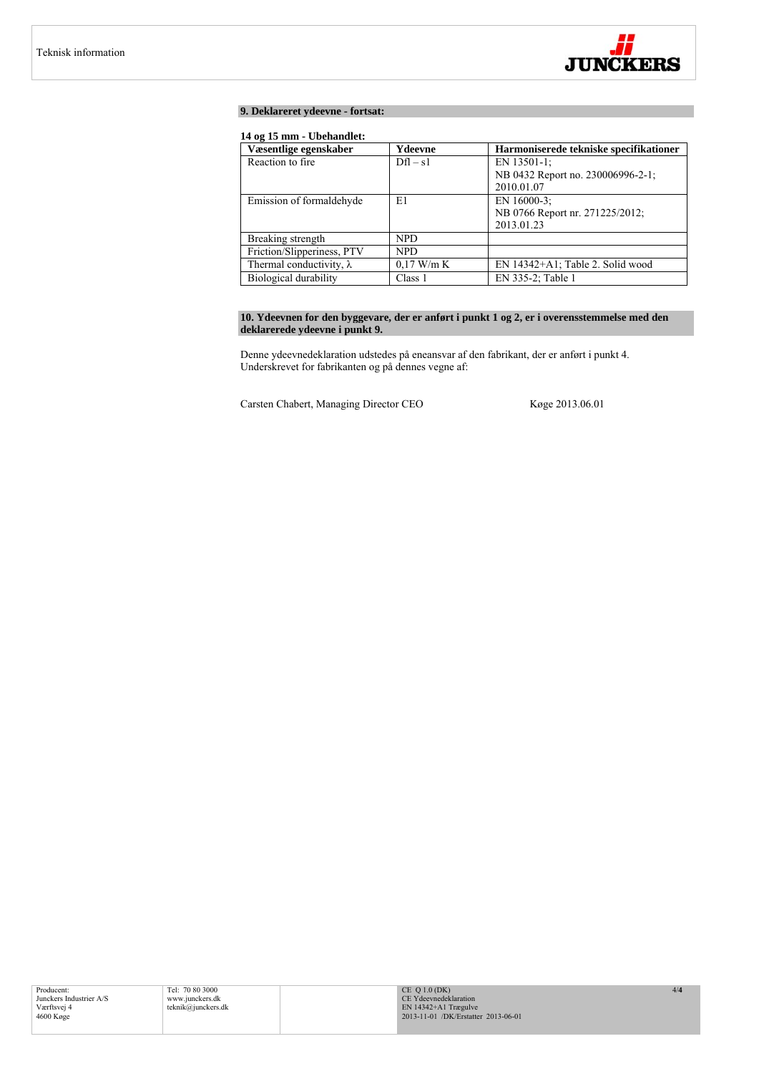

# **9. Deklareret ydeevne - fortsat:**

# **14 og 15 mm - Ubehandlet:**

| Væsentlige egenskaber           | Ydeevne      | Harmoniserede tekniske specifikationer |
|---------------------------------|--------------|----------------------------------------|
| Reaction to fire.               | $Dfl - s1$   | EN 13501-1;                            |
|                                 |              | NB 0432 Report no. 230006996-2-1;      |
|                                 |              | 2010.01.07                             |
| Emission of formaldehyde        | E1           | EN 16000-3:                            |
|                                 |              | NB 0766 Report nr. 271225/2012;        |
|                                 |              | 2013.01.23                             |
| Breaking strength               | <b>NPD</b>   |                                        |
| Friction/Slipperiness, PTV      | <b>NPD</b>   |                                        |
| Thermal conductivity, $\lambda$ | $0.17$ W/m K | EN 14342+A1; Table 2. Solid wood       |
| Biological durability           | Class 1      | EN 335-2; Table 1                      |

# **10. Ydeevnen for den byggevare, der er anført i punkt 1 og 2, er i overensstemmelse med den deklarerede ydeevne i punkt 9.**

Denne ydeevnedeklaration udstedes på eneansvar af den fabrikant, der er anført i punkt 4. Underskrevet for fabrikanten og på dennes vegne af:

Carsten Chabert, Managing Director CEO Køge 2013.06.01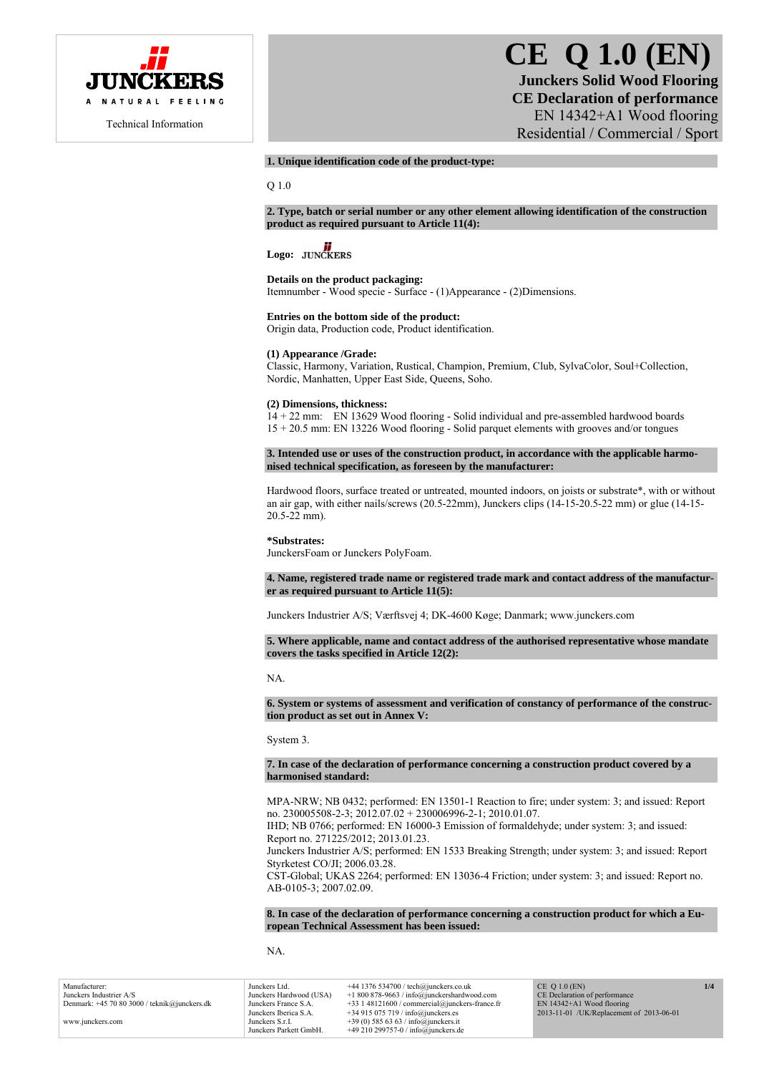

# **CE Q 1.0 (EN) Junckers Solid Wood Flooring CE Declaration of performance**  EN 14342+A1 Wood flooring Residential / Commercial / Sport

# **1. Unique identification code of the product-type:**

Q 1.0

**2. Type, batch or serial number or any other element allowing identification of the construction product as required pursuant to Article 11(4):** 

# Logo: **JUNCKERS**

**Details on the product packaging:** 

Itemnumber - Wood specie - Surface - (1)Appearance - (2)Dimensions.

#### **Entries on the bottom side of the product:**

Origin data, Production code, Product identification.

## **(1) Appearance /Grade:**

Classic, Harmony, Variation, Rustical, Champion, Premium, Club, SylvaColor, Soul+Collection, Nordic, Manhatten, Upper East Side, Queens, Soho.

# **(2) Dimensions, thickness:**

14 + 22 mm: EN 13629 Wood flooring - Solid individual and pre-assembled hardwood boards 15 + 20.5 mm: EN 13226 Wood flooring - Solid parquet elements with grooves and/or tongues

**3. Intended use or uses of the construction product, in accordance with the applicable harmonised technical specification, as foreseen by the manufacturer:** 

Hardwood floors, surface treated or untreated, mounted indoors, on joists or substrate\*, with or without an air gap, with either nails/screws (20.5-22mm), Junckers clips (14-15-20.5-22 mm) or glue (14-15- 20.5-22 mm).

#### **\*Substrates:**

JunckersFoam or Junckers PolyFoam.

**4. Name, registered trade name or registered trade mark and contact address of the manufacturer as required pursuant to Article 11(5):** 

Junckers Industrier A/S; Værftsvej 4; DK-4600 Køge; Danmark; www.junckers.com

**5. Where applicable, name and contact address of the authorised representative whose mandate covers the tasks specified in Article 12(2):** 

#### NA.

**6. System or systems of assessment and verification of constancy of performance of the construction product as set out in Annex V:** 

System 3.

#### **7. In case of the declaration of performance concerning a construction product covered by a harmonised standard:**

MPA-NRW; NB 0432; performed: EN 13501-1 Reaction to fire; under system: 3; and issued: Report no. 230005508-2-3; 2012.07.02 + 230006996-2-1; 2010.01.07.

IHD; NB 0766; performed: EN 16000-3 Emission of formaldehyde; under system: 3; and issued: Report no. 271225/2012; 2013.01.23.

Junckers Industrier A/S; performed: EN 1533 Breaking Strength; under system: 3; and issued: Report Styrketest CO/JI; 2006.03.28.

CST-Global; UKAS 2264; performed: EN 13036-4 Friction; under system: 3; and issued: Report no. AB-0105-3; 2007.02.09.

**8. In case of the declaration of performance concerning a construction product for which a European Technical Assessment has been issued:** 

NA.

| Manufacturer:                              | Junckers Ltd.           | $+44$ 1376 534700 / tech@junckers.co.uk          | $CE$ O 1.0 $(EN)$                        | 1/4 |
|--------------------------------------------|-------------------------|--------------------------------------------------|------------------------------------------|-----|
| Junckers Industrier A/S                    | Junckers Hardwood (USA) | $+1800878-9663$ / info@junckershardwood.com      | CE Declaration of performance            |     |
| Denmark: $+457080300$ / teknik@junckers.dk | Junckers France S.A.    | $+33$ 1 48121600 / commercial@junckers-france.fr | $EN$ 14342+A1 Wood flooring              |     |
|                                            | Junckers Iberica S.A.   | $+34915075719$ / info@junckers.es                | 2013-11-01 /UK/Replacement of 2013-06-01 |     |
| www.junckers.com                           | Junckers S.r.I.         | +39 (0) 585 63 63 / info@junckers.it             |                                          |     |
|                                            | Junckers Parkett GmbH.  | $+49210299757-0$ / info@junckers.de              |                                          |     |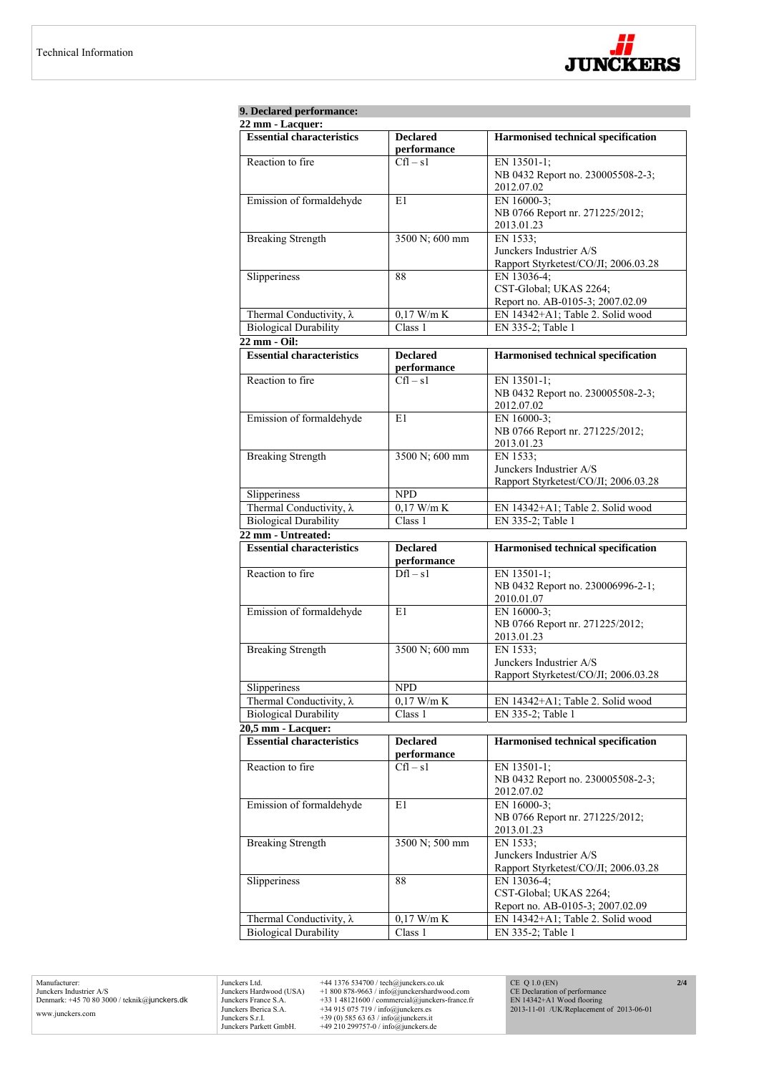

| 9. Declared performance:<br>$22$ mm - Lacquer:                  |                                |                                                                 |  |
|-----------------------------------------------------------------|--------------------------------|-----------------------------------------------------------------|--|
| <b>Essential characteristics</b>                                | <b>Declared</b><br>performance | Harmonised technical specification                              |  |
| Reaction to fire                                                | $Cfl - s1$                     | EN 13501-1;                                                     |  |
|                                                                 |                                | NB 0432 Report no. 230005508-2-3;<br>2012.07.02                 |  |
| Emission of formaldehyde                                        | EN 16000-3;<br>E1              |                                                                 |  |
|                                                                 |                                | NB 0766 Report nr. 271225/2012;<br>2013.01.23                   |  |
| <b>Breaking Strength</b>                                        | 3500 N; 600 mm                 | EN 1533;                                                        |  |
|                                                                 |                                | Junckers Industrier A/S<br>Rapport Styrketest/CO/JI; 2006.03.28 |  |
| Slipperiness                                                    | 88                             | EN 13036-4;                                                     |  |
|                                                                 |                                | CST-Global; UKAS 2264;                                          |  |
|                                                                 |                                | Report no. AB-0105-3; 2007.02.09                                |  |
| Thermal Conductivity, $\lambda$                                 | $0,17$ W/m $\overline{K}$      | EN 14342+A1; Table 2. Solid wood                                |  |
| <b>Biological Durability</b>                                    | Class 1                        | EN 335-2; Table 1                                               |  |
| $22 \text{ mm} - \text{Oil}:$                                   |                                |                                                                 |  |
| <b>Essential characteristics</b>                                | <b>Declared</b><br>performance | <b>Harmonised technical specification</b>                       |  |
| Reaction to fire                                                | $Cfl - s1$                     | EN 13501-1;                                                     |  |
|                                                                 |                                | NB 0432 Report no. 230005508-2-3;                               |  |
|                                                                 |                                | 2012.07.02                                                      |  |
| Emission of formaldehyde                                        | E1                             | EN 16000-3;                                                     |  |
|                                                                 |                                | NB 0766 Report nr. 271225/2012;                                 |  |
|                                                                 |                                | 2013.01.23                                                      |  |
| <b>Breaking Strength</b>                                        | 3500 N; 600 mm                 | EN 1533;                                                        |  |
|                                                                 |                                | Junckers Industrier A/S                                         |  |
|                                                                 |                                | Rapport Styrketest/CO/JI; 2006.03.28                            |  |
| Slipperiness                                                    | <b>NPD</b>                     |                                                                 |  |
| Thermal Conductivity, $\lambda$                                 | $0,17$ W/m K                   | EN 14342+A1; Table 2. Solid wood                                |  |
| <b>Biological Durability</b>                                    | Class 1                        | EN 335-2; Table 1                                               |  |
| 22 mm - Untreated:                                              |                                |                                                                 |  |
| <b>Essential characteristics</b>                                | <b>Declared</b><br>performance | Harmonised technical specification                              |  |
| Reaction to fire                                                | $Dfl - s1$                     | EN 13501-1;                                                     |  |
|                                                                 |                                | NB 0432 Report no. 230006996-2-1;<br>2010.01.07                 |  |
| Emission of formaldehyde                                        | E1                             | EN 16000-3:                                                     |  |
|                                                                 |                                |                                                                 |  |
|                                                                 |                                | NB 0766 Report nr. 271225/2012;                                 |  |
|                                                                 |                                | 2013.01.23                                                      |  |
| <b>Breaking Strength</b>                                        | 3500 N; 600 mm                 | EN 1533;                                                        |  |
|                                                                 |                                | Junckers Industrier A/S                                         |  |
| Slipperiness                                                    | <b>NPD</b>                     | Rapport Styrketest/CO/JI; 2006.03.28                            |  |
|                                                                 | $0,17$ W/m K                   | EN 14342+A1; Table 2. Solid wood                                |  |
| Thermal Conductivity, $\lambda$<br><b>Biological Durability</b> | Class 1                        | EN 335-2; Table 1                                               |  |
|                                                                 |                                |                                                                 |  |
| 20,5 mm - Lacquer:<br><b>Essential characteristics</b>          | <b>Declared</b>                | Harmonised technical specification                              |  |
|                                                                 | performance                    |                                                                 |  |
| Reaction to fire                                                | $Cfl - s1$                     | EN 13501-1;                                                     |  |
|                                                                 |                                | NB 0432 Report no. 230005508-2-3;                               |  |
|                                                                 | E1                             | 2012.07.02<br>EN 16000-3;                                       |  |
| Emission of formaldehyde                                        |                                | NB 0766 Report nr. 271225/2012;<br>2013.01.23                   |  |
|                                                                 | 3500 N; 500 mm                 | EN 1533;                                                        |  |
| <b>Breaking Strength</b>                                        |                                | Junckers Industrier A/S                                         |  |
|                                                                 |                                | Rapport Styrketest/CO/JI; 2006.03.28                            |  |
| Slipperiness                                                    | 88                             | EN 13036-4;                                                     |  |
|                                                                 |                                | CST-Global; UKAS 2264;                                          |  |
|                                                                 |                                | Report no. AB-0105-3; 2007.02.09                                |  |
| Thermal Conductivity, $\lambda$<br><b>Biological Durability</b> | $0,17$ W/m K<br>Class 1        | EN 14342+A1; Table 2. Solid wood<br>EN 335-2; Table 1           |  |

Manufacturer: Junckers Industrier A/S Denmark: +45 70 80 3000 / teknik@junckers.dk www.junckers.com

Junckers Ltd.  $+44$  1376 534700 / tech@junckers co.uk<br>Junckers Hardwood (USA)  $+18008789.63$  / info@junckershardwood.com<br>Junckers France S.A.  $+33$  148121600 / commercial@junckers-france.fr<br>Junckers Berica S.A.  $+34915075$ 

CE Q 1.0 (EN) CE Declaration of performance EN 14342+A1 Wood flooring 2013-11-01 /UK/Replacement of 2013-06-01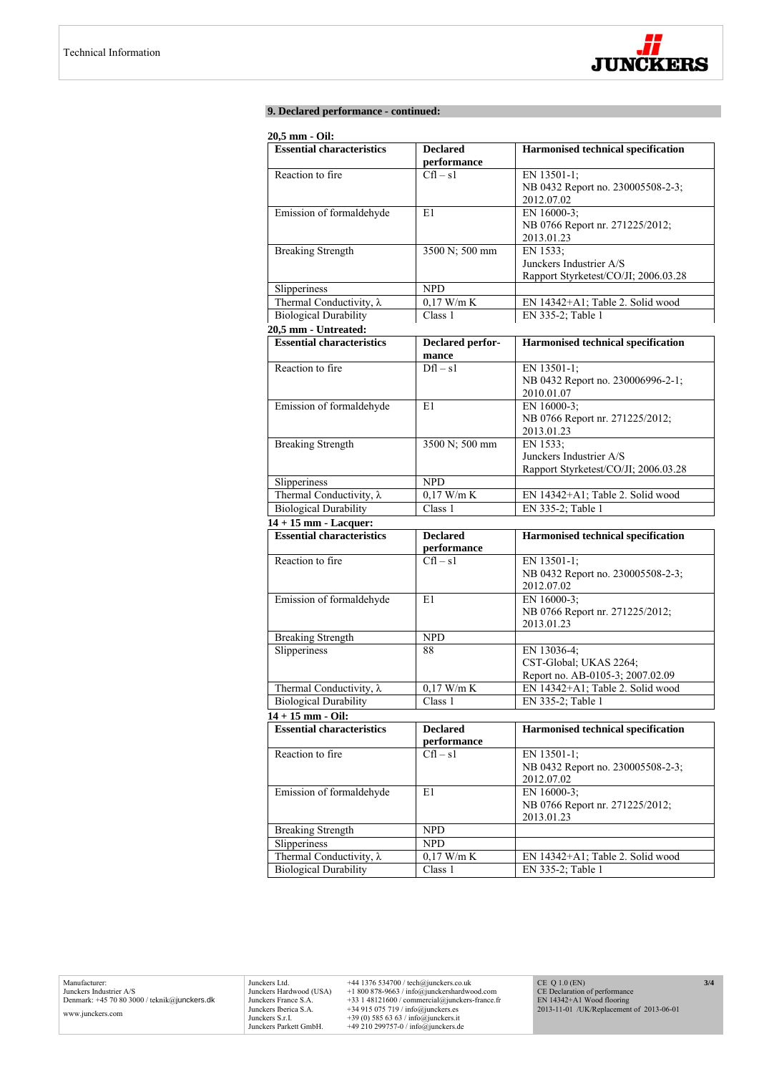

# **9. Declared performance - continued:**

# **20,5 mm - Oil:**

| <b>Essential characteristics</b>                | <b>Declared</b>            | <b>Harmonised technical specification</b>        |
|-------------------------------------------------|----------------------------|--------------------------------------------------|
|                                                 | performance                |                                                  |
| Reaction to fire                                | $Cfl - s1$                 | EN 13501-1;                                      |
|                                                 |                            | NB 0432 Report no. 230005508-2-3;                |
|                                                 |                            | 2012.07.02                                       |
| Emission of formaldehyde                        | E1                         | EN 16000-3;                                      |
|                                                 |                            | NB 0766 Report nr. 271225/2012;                  |
|                                                 |                            | 2013.01.23                                       |
| <b>Breaking Strength</b>                        | 3500 N; 500 mm             | EN 1533:                                         |
|                                                 |                            | Junckers Industrier A/S                          |
|                                                 |                            | Rapport Styrketest/CO/JI; 2006.03.28             |
| Slipperiness                                    | <b>NPD</b>                 |                                                  |
| Thermal Conductivity, $\lambda$                 | $0,17$ W/m K               | EN 14342+A1; Table 2. Solid wood                 |
| <b>Biological Durability</b>                    | Class 1                    | EN 335-2; Table 1                                |
| 20,5 mm - Untreated:                            |                            |                                                  |
| <b>Essential characteristics</b>                | Declared perfor-           | <b>Harmonised technical specification</b>        |
| Reaction to fire                                | mance<br>$Df1 - s1$        |                                                  |
|                                                 |                            | EN 13501-1;<br>NB 0432 Report no. 230006996-2-1; |
|                                                 |                            | 2010.01.07                                       |
| Emission of formaldehyde                        | E1                         | EN 16000-3:                                      |
|                                                 |                            | NB 0766 Report nr. 271225/2012;                  |
|                                                 |                            | 2013.01.23                                       |
| <b>Breaking Strength</b>                        | 3500 N; 500 mm             | EN 1533;                                         |
|                                                 |                            | Junckers Industrier A/S                          |
|                                                 |                            | Rapport Styrketest/CO/JI; 2006.03.28             |
| Slipperiness                                    | <b>NPD</b>                 |                                                  |
| Thermal Conductivity, $\lambda$                 | $0,17$ W/m K               | EN 14342+A1; Table 2. Solid wood                 |
| <b>Biological Durability</b>                    | Class 1                    | EN 335-2; Table 1                                |
| 14 + 15 mm - Lacquer:                           |                            |                                                  |
| <b>Essential characteristics</b>                | <b>Declared</b>            | <b>Harmonised technical specification</b>        |
|                                                 | performance                |                                                  |
| Reaction to fire                                | $Cfl - s1$                 | EN 13501-1;                                      |
|                                                 |                            | NB 0432 Report no. 230005508-2-3;                |
|                                                 |                            | 2012.07.02                                       |
| Emission of formaldehyde                        | E1                         | EN 16000-3:                                      |
|                                                 |                            | NB 0766 Report nr. 271225/2012;<br>2013.01.23    |
| <b>Breaking Strength</b>                        | <b>NPD</b>                 |                                                  |
| Slipperiness                                    | 88                         | EN 13036-4;                                      |
|                                                 |                            | CST-Global; UKAS 2264;                           |
|                                                 |                            | Report no. AB-0105-3; 2007.02.09                 |
| Thermal Conductivity, $\lambda$                 | $0,17$ W/m K               | EN 14342+A1; Table 2. Solid wood                 |
| <b>Biological Durability</b>                    | Class 1                    | EN 335-2; Table 1                                |
| $14 + 15$ mm - Oil:                             |                            |                                                  |
| <b>Essential characteristics</b>                | <b>Declared</b>            | <b>Harmonised technical specification</b>        |
|                                                 | performance                |                                                  |
| Reaction to fire                                | $Cfl - s1$                 | EN 13501-1;                                      |
|                                                 |                            | NB 0432 Report no. 230005508-2-3;                |
|                                                 |                            | 2012.07.02                                       |
| Emission of formaldehyde                        | E1                         | EN 16000-3;                                      |
|                                                 |                            | NB 0766 Report nr. 271225/2012;                  |
|                                                 |                            | 2013.01.23                                       |
| <b>Breaking Strength</b>                        | <b>NPD</b>                 |                                                  |
| Slipperiness<br>Thermal Conductivity, $\lambda$ | <b>NPD</b><br>$0,17$ W/m K | EN 14342+A1; Table 2. Solid wood                 |
|                                                 |                            |                                                  |
| <b>Biological Durability</b>                    | Class 1                    | EN 335-2; Table 1                                |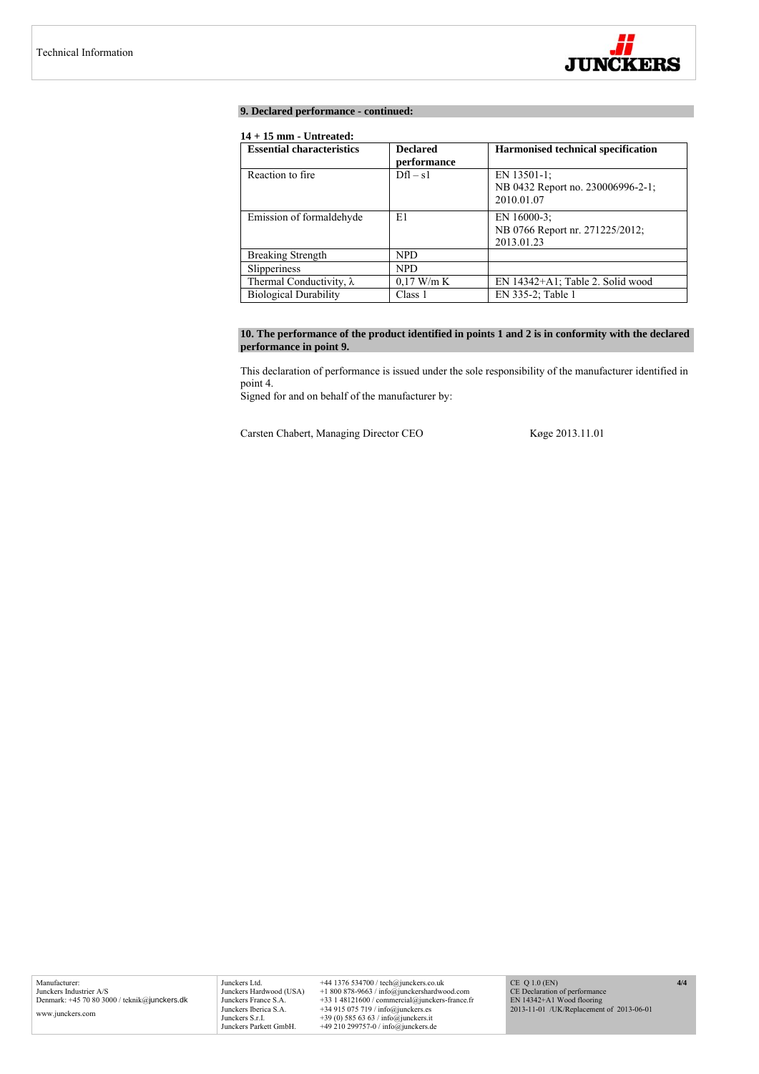

# **9. Declared performance - continued:**

# **14 + 15 mm - Untreated:**

| <b>Essential characteristics</b> | <b>Declared</b> | Harmonised technical specification |
|----------------------------------|-----------------|------------------------------------|
|                                  | performance     |                                    |
| Reaction to fire.                | $Dfl - s1$      | EN 13501-1;                        |
|                                  |                 | NB 0432 Report no. 230006996-2-1;  |
|                                  |                 | 2010.01.07                         |
| Emission of formaldehyde         | E1              | EN 16000-3:                        |
|                                  |                 | NB 0766 Report nr. 271225/2012;    |
|                                  |                 | 2013.01.23                         |
| <b>Breaking Strength</b>         | <b>NPD</b>      |                                    |
| Slipperiness                     | <b>NPD</b>      |                                    |
| Thermal Conductivity, $\lambda$  | $0.17$ W/m K    | EN 14342+A1; Table 2. Solid wood   |
| <b>Biological Durability</b>     | Class 1         | EN 335-2; Table 1                  |

# **10. The performance of the product identified in points 1 and 2 is in conformity with the declared performance in point 9.**

This declaration of performance is issued under the sole responsibility of the manufacturer identified in point 4.

Signed for and on behalf of the manufacturer by:

Carsten Chabert, Managing Director CEO Køge 2013.11.01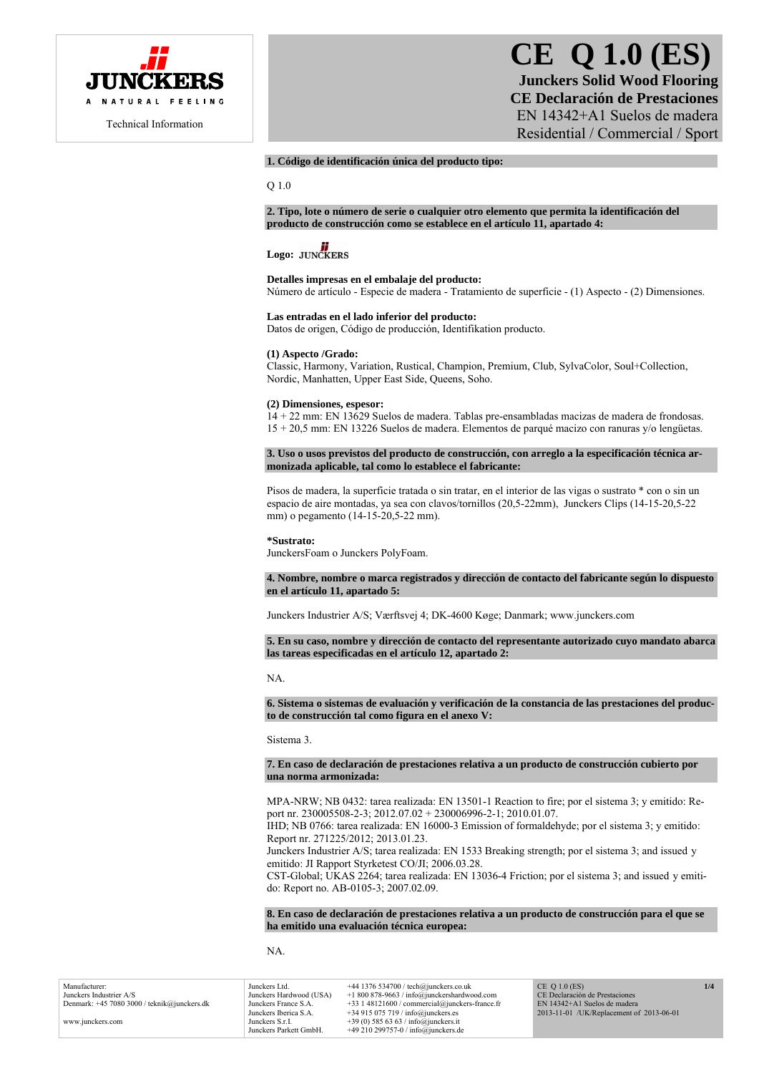

# **CE Q 1.0 (ES) Junckers Solid Wood Flooring CE Declaración de Prestaciones**  EN 14342+A1 Suelos de madera

Residential / Commercial / Sport

# **1. Código de identificación única del producto tipo:**

Q 1.0

**2. Tipo, lote o número de serie o cualquier otro elemento que permita la identificación del producto de construcción como se establece en el artículo 11, apartado 4:** 

# Logo: **JUNCKERS**

#### **Detalles impresas en el embalaje del producto:**

Número de artículo - Especie de madera - Tratamiento de superficie - (1) Aspecto - (2) Dimensiones.

#### **Las entradas en el lado inferior del producto:**

Datos de origen, Código de producción, Identifikation producto.

## **(1) Aspecto /Grado:**

Classic, Harmony, Variation, Rustical, Champion, Premium, Club, SylvaColor, Soul+Collection, Nordic, Manhatten, Upper East Side, Queens, Soho.

#### **(2) Dimensiones, espesor:**

14 + 22 mm: EN 13629 Suelos de madera. Tablas pre-ensambladas macizas de madera de frondosas. 15 + 20,5 mm: EN 13226 Suelos de madera. Elementos de parqué macizo con ranuras y/o lengüetas.

**3. Uso o usos previstos del producto de construcción, con arreglo a la especificación técnica armonizada aplicable, tal como lo establece el fabricante:** 

Pisos de madera, la superficie tratada o sin tratar, en el interior de las vigas o sustrato \* con o sin un espacio de aire montadas, ya sea con clavos/tornillos (20,5-22mm), Junckers Clips (14-15-20,5-22 mm) o pegamento (14-15-20,5-22 mm).

#### **\*Sustrato:**

JunckersFoam o Junckers PolyFoam.

#### **4. Nombre, nombre o marca registrados y dirección de contacto del fabricante según lo dispuesto en el artículo 11, apartado 5:**

Junckers Industrier A/S; Værftsvej 4; DK-4600 Køge; Danmark; www.junckers.com

**5. En su caso, nombre y dirección de contacto del representante autorizado cuyo mandato abarca las tareas especificadas en el artículo 12, apartado 2:** 

#### NA.

**6. Sistema o sistemas de evaluación y verificación de la constancia de las prestaciones del producto de construcción tal como figura en el anexo V:** 

Sistema 3.

#### **7. En caso de declaración de prestaciones relativa a un producto de construcción cubierto por una norma armonizada:**

MPA-NRW; NB 0432: tarea realizada: EN 13501-1 Reaction to fire; por el sistema 3; y emitido: Report nr. 230005508-2-3; 2012.07.02 + 230006996-2-1; 2010.01.07.

IHD; NB 0766: tarea realizada: EN 16000-3 Emission of formaldehyde; por el sistema 3; y emitido: Report nr. 271225/2012; 2013.01.23.

Junckers Industrier A/S; tarea realizada: EN 1533 Breaking strength; por el sistema 3; and issued y emitido: JI Rapport Styrketest CO/JI; 2006.03.28.

CST-Global; UKAS 2264; tarea realizada: EN 13036-4 Friction; por el sistema 3; and issued y emitido: Report no. AB-0105-3; 2007.02.09.

**8. En caso de declaración de prestaciones relativa a un producto de construcción para el que se ha emitido una evaluación técnica europea:** 

NA.

Manufacturer: Junckers Industrier A/S Denmark: +45 7080 3000 / teknik@junckers.dk www.junckers.com Junckers Ltd. +44 1376 534700 / tech@junckers.co.uk<br>Junckers Hardwood (USA) +1 800 878-9663 / info@junckershardwo Junckers Hardwood (USA) +1 800 878-9663 / info@junckershardwood.com Junckers France S.A. +33 1 48121600 / commercial@junckers-france.fr<br>Junckers Iberica S.A. +34 915 075 719 / info@junckers.es Junckers Iberica S.A.  $+34915075719 / info@junckers.$ <br>Junckers S r I  $+39(0)5856363 / info@junckers.$ Junckers S.r.I. +39 (0) 585 63 63 / info@junckers.it<br>Junckers Parkett GmbH. +49 210 299757-0 / info@junckers d  $+49$  210 299757-0 / info@junckers.de CE Q 1.0 (ES) CE Declaración de Prestaciones EN 14342+A1 Suelos de madera 2013-11-01 /UK/Replacement of 2013-06-01 **1/4**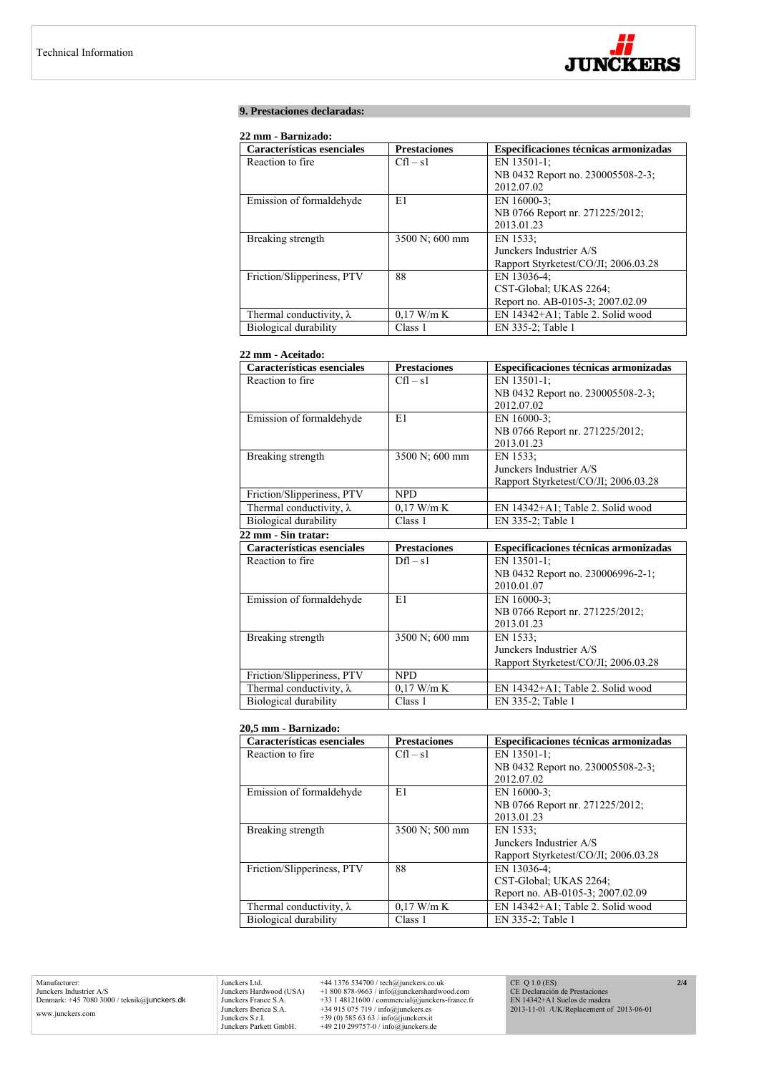

# **9. Prestaciones declaradas:**

# **22 mm - Barnizado:**

| Características esenciales      | <b>Prestaciones</b> | Especificaciones técnicas armonizadas |
|---------------------------------|---------------------|---------------------------------------|
| Reaction to fire.               | $Cfl - s1$          | EN 13501-1;                           |
|                                 |                     | NB 0432 Report no. 230005508-2-3;     |
|                                 |                     | 2012.07.02                            |
| Emission of formaldehyde        | E1                  | EN 16000-3;                           |
|                                 |                     | NB 0766 Report nr. 271225/2012;       |
|                                 |                     | 2013.01.23                            |
| Breaking strength               | 3500 N; 600 mm      | EN 1533:                              |
|                                 |                     | Junckers Industrier A/S               |
|                                 |                     | Rapport Styrketest/CO/JI; 2006.03.28  |
| Friction/Slipperiness, PTV      | 88                  | EN 13036-4;                           |
|                                 |                     | CST-Global; UKAS 2264;                |
|                                 |                     | Report no. AB-0105-3; 2007.02.09      |
| Thermal conductivity, $\lambda$ | $0.17$ W/m K        | EN 14342+A1; Table 2. Solid wood      |
| Biological durability           | Class 1             | EN 335-2; Table 1                     |

# **22 mm - Aceitado:**

| Características esenciales      | <b>Prestaciones</b> | Especificaciones técnicas armonizadas |
|---------------------------------|---------------------|---------------------------------------|
| Reaction to fire                | $Cfl - s1$          | EN 13501-1:                           |
|                                 |                     | NB 0432 Report no. 230005508-2-3;     |
|                                 |                     | 2012.07.02                            |
| Emission of formaldehyde        | E1                  | EN 16000-3;                           |
|                                 |                     | NB 0766 Report nr. 271225/2012;       |
|                                 |                     | 2013.01.23                            |
| Breaking strength               | 3500 N; 600 mm      | EN 1533:                              |
|                                 |                     | Junckers Industrier A/S               |
|                                 |                     | Rapport Styrketest/CO/JI; 2006.03.28  |
| Friction/Slipperiness, PTV      | <b>NPD</b>          |                                       |
| Thermal conductivity, $\lambda$ | $0,17$ W/m K        | EN 14342+A1; Table 2. Solid wood      |
| Biological durability           | Class 1             | EN 335-2; Table 1                     |
| 22 mm - Sin tratar:             |                     |                                       |
| Características esenciales      | <b>Prestaciones</b> | Especificaciones técnicas armonizadas |
| Reaction to fire                | $Dfl - s1$          | EN 13501-1;                           |
|                                 |                     | NB 0432 Report no. 230006996-2-1;     |
|                                 |                     | 2010.01.07                            |
| Emission of formaldehyde        | E1                  | EN 16000-3;                           |
|                                 |                     | NB 0766 Report nr. 271225/2012;       |
|                                 |                     | 2013.01.23                            |
| Breaking strength               | 3500 N; 600 mm      | EN 1533:                              |
|                                 |                     | Junckers Industrier A/S               |
|                                 |                     | Rapport Styrketest/CO/JI; 2006.03.28  |
| Friction/Slipperiness, PTV      | <b>NPD</b>          |                                       |
| Thermal conductivity, $\lambda$ | $0,17$ W/m K        | EN 14342+A1; Table 2. Solid wood      |
| Biological durability           | Class 1             | EN 335-2; Table 1                     |

# **20,5 mm - Barnizado:**

| Características esenciales      | <b>Prestaciones</b> | Especificaciones técnicas armonizadas |
|---------------------------------|---------------------|---------------------------------------|
| Reaction to fire.               | $Cfl - s1$          | EN 13501-1;                           |
|                                 |                     | NB 0432 Report no. 230005508-2-3;     |
|                                 |                     | 2012.07.02                            |
| Emission of formaldehyde        | E1                  | EN $16000-3$ :                        |
|                                 |                     | NB 0766 Report nr. 271225/2012;       |
|                                 |                     | 2013.01.23                            |
| Breaking strength               | 3500 N; 500 mm      | EN 1533;                              |
|                                 |                     | Junckers Industrier A/S               |
|                                 |                     | Rapport Styrketest/CO/JI; 2006.03.28  |
| Friction/Slipperiness, PTV      | 88                  | EN 13036-4:                           |
|                                 |                     | CST-Global: UKAS 2264;                |
|                                 |                     | Report no. AB-0105-3; 2007.02.09      |
| Thermal conductivity, $\lambda$ | $0.17$ W/m K        | EN 14342+A1; Table 2. Solid wood      |
| Biological durability           | Class 1             | EN 335-2; Table 1                     |

Manufacturer: Junckers Industrier A/S Denmark: +45 7080 3000 / teknik@junckers.dk www.junckers.com

Junckers Ltd. +44 1376 534700 / tech@junckers.co.uk<br>Junckers Hardwood (USA) +1 800 878-9663 / info@junckershardword<br>Junckers France S.A. +33 1 48121600 / commercial@junckers.<br>Junckers Iberica S.A. +34 915 075 719 / info@ju Junckers Hardwood (USA) +1 800 878-9663 / info@junckershardwood.com<br>Junckers Iberica S.A. +33 1 48121600 / commercial@junckers-france.fr<br>Junckers Iberica S.A. +34 915 075 719 / info@junckers.est<br>Junckers S.r.I. +39 (0) 585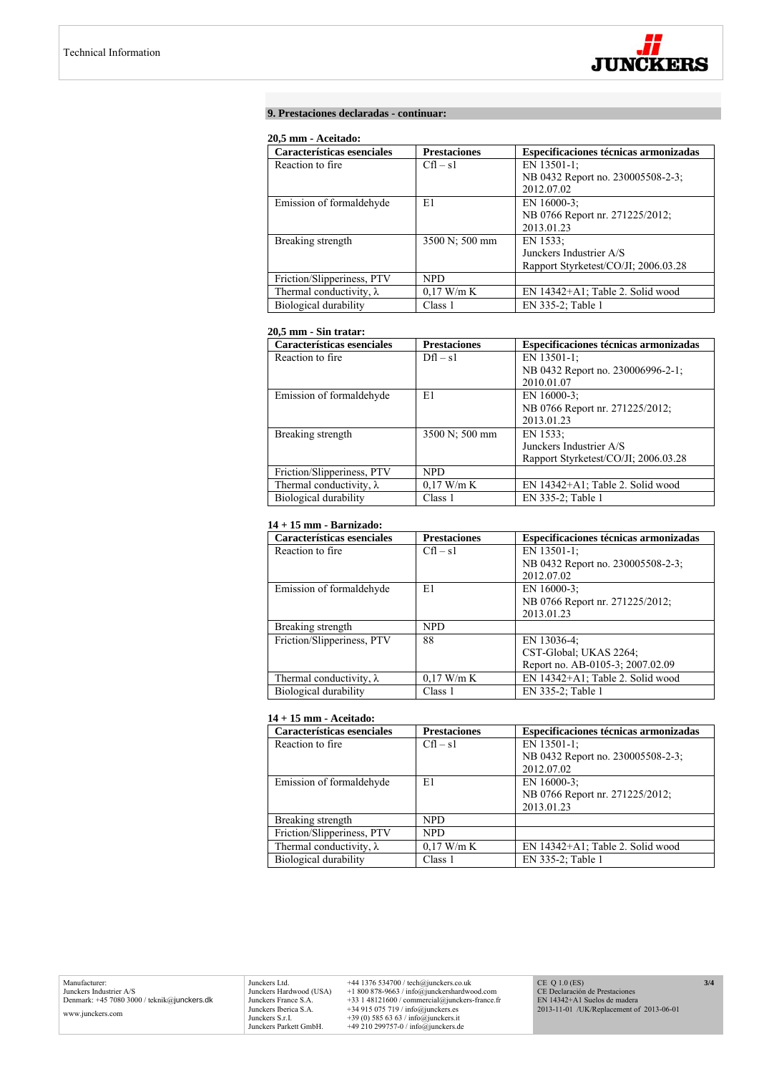

## **9. Prestaciones declaradas - continuar:**

## **20,5 mm - Aceitado:**

| Características esenciales      | <b>Prestaciones</b> | Especificaciones técnicas armonizadas |
|---------------------------------|---------------------|---------------------------------------|
| Reaction to fire.               | $Cfl - s1$          | EN 13501-1;                           |
|                                 |                     | NB 0432 Report no. 230005508-2-3;     |
|                                 |                     | 2012.07.02                            |
| Emission of formaldehyde        | E1                  | EN 16000-3:                           |
|                                 |                     | NB 0766 Report nr. 271225/2012;       |
|                                 |                     | 2013.01.23                            |
| Breaking strength               | 3500 N; 500 mm      | EN 1533:                              |
|                                 |                     | Junckers Industrier A/S               |
|                                 |                     | Rapport Styrketest/CO/JI; 2006.03.28  |
| Friction/Slipperiness, PTV      | <b>NPD</b>          |                                       |
| Thermal conductivity, $\lambda$ | $0.17$ W/m K        | EN 14342+A1; Table 2. Solid wood      |
| Biological durability           | Class 1             | EN 335-2; Table 1                     |

# **20,5 mm - Sin tratar:**

| Características esenciales      | <b>Prestaciones</b> | Especificaciones técnicas armonizadas |
|---------------------------------|---------------------|---------------------------------------|
| Reaction to fire.               | $Dfl - s1$          | EN 13501-1;                           |
|                                 |                     | NB 0432 Report no. 230006996-2-1;     |
|                                 |                     | 2010.01.07                            |
| Emission of formaldehyde        | E1                  | EN $16000-3$ ;                        |
|                                 |                     | NB 0766 Report nr. 271225/2012;       |
|                                 |                     | 2013.01.23                            |
| Breaking strength               | 3500 N; 500 mm      | EN 1533:                              |
|                                 |                     | Junckers Industrier A/S               |
|                                 |                     | Rapport Styrketest/CO/JI; 2006.03.28  |
| Friction/Slipperiness, PTV      | <b>NPD</b>          |                                       |
| Thermal conductivity, $\lambda$ | $0.17$ W/m K        | EN 14342+A1; Table 2. Solid wood      |
| Biological durability           | Class 1             | EN 335-2; Table 1                     |

# **14 + 15 mm - Barnizado:**

| Características esenciales      | <b>Prestaciones</b> | Especificaciones técnicas armonizadas |
|---------------------------------|---------------------|---------------------------------------|
| Reaction to fire.               | $Cfl - s1$          | EN 13501-1:                           |
|                                 |                     | NB 0432 Report no. 230005508-2-3;     |
|                                 |                     | 2012.07.02                            |
| Emission of formaldehyde        | E1                  | EN 16000-3:                           |
|                                 |                     | NB 0766 Report nr. 271225/2012;       |
|                                 |                     | 2013.01.23                            |
| Breaking strength               | <b>NPD</b>          |                                       |
| Friction/Slipperiness, PTV      | 88                  | EN 13036-4;                           |
|                                 |                     | CST-Global; UKAS 2264;                |
|                                 |                     | Report no. AB-0105-3; 2007.02.09      |
| Thermal conductivity, $\lambda$ | $0.17$ W/m K        | EN 14342+A1; Table 2. Solid wood      |
| Biological durability           | Class 1             | EN 335-2; Table 1                     |

# **14 + 15 mm - Aceitado:**

| Características esenciales      | <b>Prestaciones</b> | Especificaciones técnicas armonizadas |
|---------------------------------|---------------------|---------------------------------------|
| Reaction to fire.               | $Cfl - s1$          | EN 13501-1:                           |
|                                 |                     | NB 0432 Report no. 230005508-2-3;     |
|                                 |                     | 2012.07.02                            |
| Emission of formaldehyde        | E1                  | EN 16000-3:                           |
|                                 |                     | NB 0766 Report nr. 271225/2012;       |
|                                 |                     | 2013.01.23                            |
| Breaking strength               | <b>NPD</b>          |                                       |
| Friction/Slipperiness, PTV      | <b>NPD</b>          |                                       |
| Thermal conductivity, $\lambda$ | $0.17$ W/m K        | EN 14342+A1; Table 2. Solid wood      |
| Biological durability           | Class 1             | EN 335-2; Table 1                     |

Junckers Ltd.  $+44$  1376 534700 / tech@junckers.co.uk<br>Junckers Hardwood (USA)  $+18008789.63$  / info@junckershardwood.com<br>Junckers France S.A.  $+33$  148121600 / commercial@junckers-france.fr<br>Junckers Berica S.A.  $+34915075$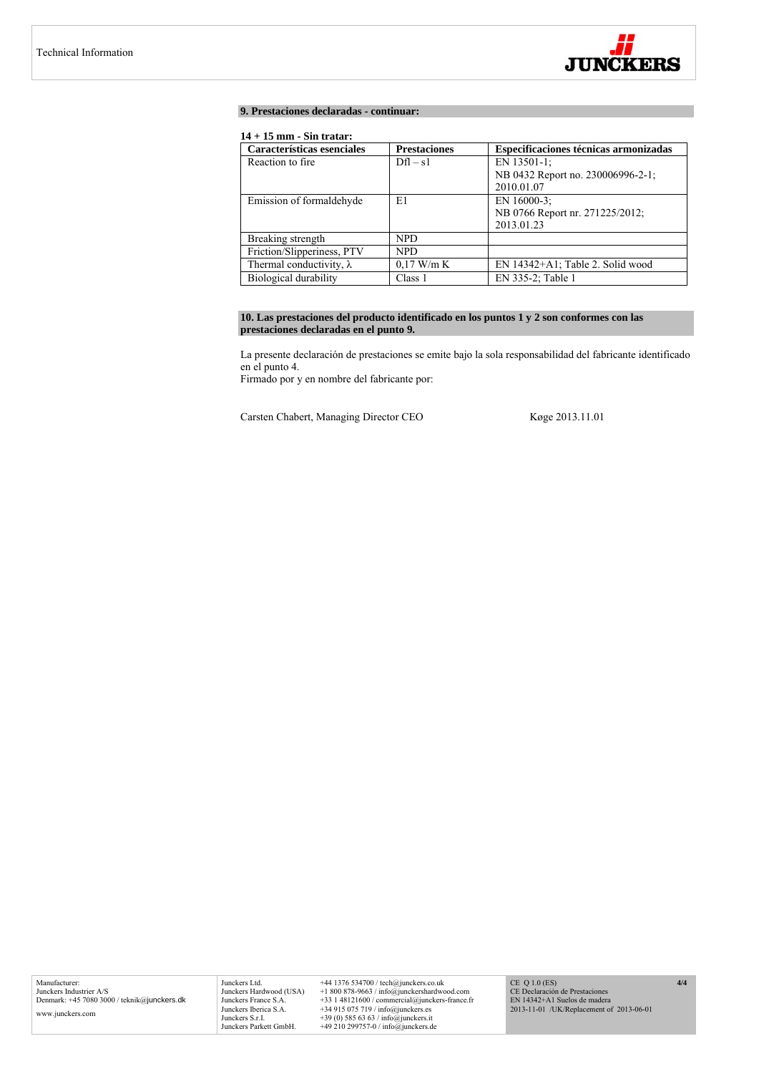

## **9. Prestaciones declaradas - continuar:**

# **14 + 15 mm - Sin tratar:**

| Características esenciales      | <b>Prestaciones</b> | Especificaciones técnicas armonizadas |
|---------------------------------|---------------------|---------------------------------------|
| Reaction to fire                | $Dfl - s1$          | EN 13501-1;                           |
|                                 |                     | NB 0432 Report no. 230006996-2-1;     |
|                                 |                     | 2010.01.07                            |
| Emission of formaldehyde        | E1                  | EN 16000-3:                           |
|                                 |                     | NB 0766 Report nr. 271225/2012;       |
|                                 |                     | 2013.01.23                            |
| Breaking strength               | NPD.                |                                       |
| Friction/Slipperiness, PTV      | NPD.                |                                       |
| Thermal conductivity, $\lambda$ | $0.17$ W/m K        | EN 14342+A1; Table 2. Solid wood      |
| Biological durability           | Class 1             | EN 335-2; Table 1                     |

# **10. Las prestaciones del producto identificado en los puntos 1 y 2 son conformes con las prestaciones declaradas en el punto 9.**

La presente declaración de prestaciones se emite bajo la sola responsabilidad del fabricante identificado en el punto 4.

Firmado por y en nombre del fabricante por:

Carsten Chabert, Managing Director CEO Køge 2013.11.01

Junckers Ltd. +44 1376 534700 / tech@junckers.co.uk<br>Junckers Hardwood (USA) +1 800 878-9663 / info@junckershardwc Junckers Hardwood (USA) +1 800 878-9663 / info@junckershardwood.com<br>Junckers Iberica S.A. +33 1 48121600 / commercial@junckers-france.fr<br>Junckers Iberica S.A. +34 915 075 719 / info@junckers.est<br>Junckers S.r.I. +39 (0) 585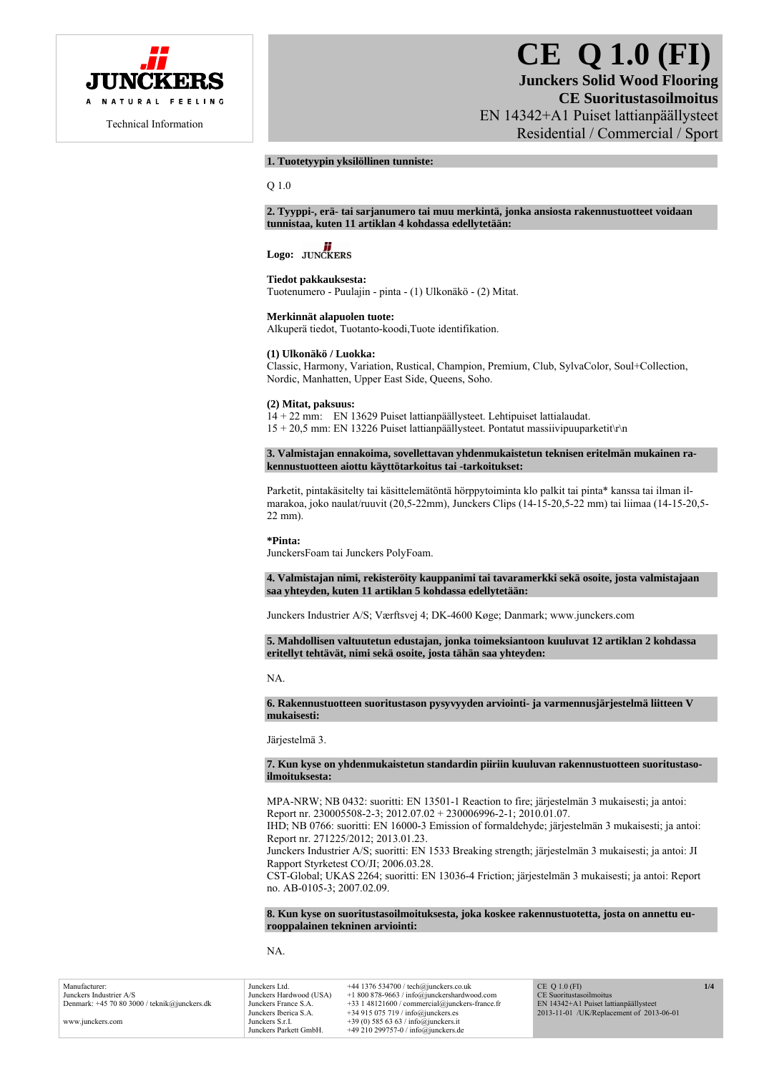

# **CE Q 1.0 (FI)**

**Junckers Solid Wood Flooring CE Suoritustasoilmoitus**  EN 14342+A1 Puiset lattianpäällysteet Residential / Commercial / Sport

# **1. Tuotetyypin yksilöllinen tunniste:**

Q 1.0

**2. Tyyppi-, erä- tai sarjanumero tai muu merkintä, jonka ansiosta rakennustuotteet voidaan tunnistaa, kuten 11 artiklan 4 kohdassa edellytetään:** 

# Logo: **JUNCKERS**

#### **Tiedot pakkauksesta:**

Tuotenumero - Puulajin - pinta - (1) Ulkonäkö - (2) Mitat.

**Merkinnät alapuolen tuote:**  Alkuperä tiedot, Tuotanto-koodi,Tuote identifikation.

# **(1) Ulkonäkö / Luokka:**

Classic, Harmony, Variation, Rustical, Champion, Premium, Club, SylvaColor, Soul+Collection, Nordic, Manhatten, Upper East Side, Queens, Soho.

#### **(2) Mitat, paksuus:**

14 + 22 mm: EN 13629 Puiset lattianpäällysteet. Lehtipuiset lattialaudat.  $15 + 20.5$  mm: EN 13226 Puiset lattianpäällysteet. Pontatut massiivipuuparketit $\ln$ 

**3. Valmistajan ennakoima, sovellettavan yhdenmukaistetun teknisen eritelmän mukainen rakennustuotteen aiottu käyttötarkoitus tai -tarkoitukset:** 

Parketit, pintakäsitelty tai käsittelemätöntä hörppytoiminta klo palkit tai pinta\* kanssa tai ilman ilmarakoa, joko naulat/ruuvit (20,5-22mm), Junckers Clips (14-15-20,5-22 mm) tai liimaa (14-15-20,5- 22 mm).

#### **\*Pinta:**

JunckersFoam tai Junckers PolyFoam.

**4. Valmistajan nimi, rekisteröity kauppanimi tai tavaramerkki sekä osoite, josta valmistajaan saa yhteyden, kuten 11 artiklan 5 kohdassa edellytetään:** 

Junckers Industrier A/S; Værftsvej 4; DK-4600 Køge; Danmark; www.junckers.com

**5. Mahdollisen valtuutetun edustajan, jonka toimeksiantoon kuuluvat 12 artiklan 2 kohdassa eritellyt tehtävät, nimi sekä osoite, josta tähän saa yhteyden:** 

#### NA.

**6. Rakennustuotteen suoritustason pysyvyyden arviointi- ja varmennusjärjestelmä liitteen V mukaisesti:** 

Järjestelmä 3.

**7. Kun kyse on yhdenmukaistetun standardin piiriin kuuluvan rakennustuotteen suoritustasoilmoituksesta:** 

MPA-NRW; NB 0432: suoritti: EN 13501-1 Reaction to fire; järjestelmän 3 mukaisesti; ja antoi: Report nr. 230005508-2-3; 2012.07.02 + 230006996-2-1; 2010.01.07.

IHD; NB 0766: suoritti: EN 16000-3 Emission of formaldehyde; järjestelmän 3 mukaisesti; ja antoi: Report nr. 271225/2012; 2013.01.23.

Junckers Industrier A/S; suoritti: EN 1533 Breaking strength; järjestelmän 3 mukaisesti; ja antoi: JI Rapport Styrketest CO/JI; 2006.03.28.

CST-Global; UKAS 2264; suoritti: EN 13036-4 Friction; järjestelmän 3 mukaisesti; ja antoi: Report no. AB-0105-3; 2007.02.09.

**8. Kun kyse on suoritustasoilmoituksesta, joka koskee rakennustuotetta, josta on annettu eurooppalainen tekninen arviointi:** 

NA.

Manufacturer: Junckers Industrier A/S Denmark: +45 70 80 3000 / teknik@junckers.dk www.junckers.com Junckers Ltd. +44 1376 534700 / tech@junckers.co.uk<br>Junckers Hardwood (USA) +1 800 878-9663 / info@junckershardwo Junckers Hardwood (USA) +1 800 878-9663 / info@junckershardwood.com Junckers France S.A. +33 1 48121600 / commercial@junckers-france.fr<br>Junckers Iberica S.A. +34 915 075 719 / info@junckers.es Junckers Iberica S.A.  $+34915075719 / info@junckers.$ <br>Junckers S r I  $+39(0)5856363 / info@junckers.$ Junckers S.r.I. +39 (0) 585 63 63 / info@junckers.it<br>Junckers Parkett GmbH. +49 210 299757-0 / info@junckers d  $+49$  210 299757-0 / info@junckers.de CE Q 1.0 (FI) oritustasoilmoitus EN 14342+A1 Puiset lattianpäällysteet 2013-11-01 /UK/Replacement of 2013-06-01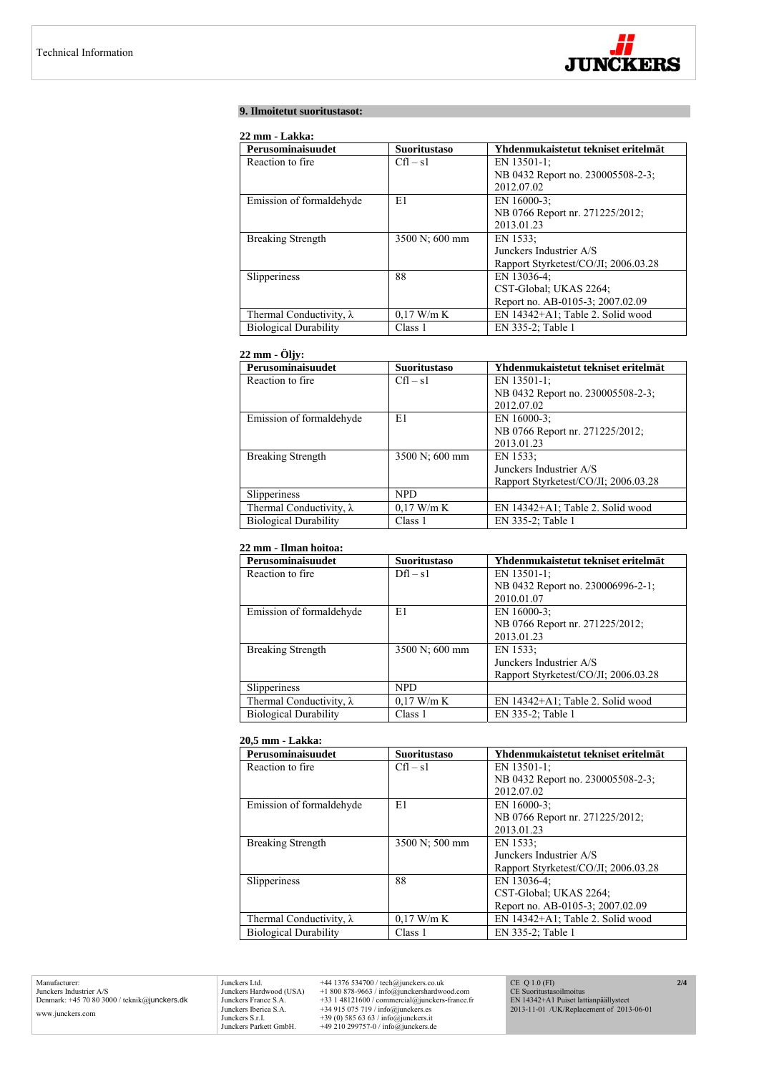

# **9. Ilmoitetut suoritustasot:**

# **22 mm - Lakka:**

| Perusominaisuudet               | <b>Suoritustaso</b> | Yhdenmukaistetut tekniset eritelmät  |
|---------------------------------|---------------------|--------------------------------------|
| Reaction to fire.               | $Cfl - s1$          | EN 13501-1;                          |
|                                 |                     | NB 0432 Report no. 230005508-2-3;    |
|                                 |                     | 2012.07.02                           |
| Emission of formaldehyde        | E1                  | EN 16000-3;                          |
|                                 |                     | NB 0766 Report nr. 271225/2012;      |
|                                 |                     | 2013.01.23                           |
| <b>Breaking Strength</b>        | 3500 N; 600 mm      | EN 1533;                             |
|                                 |                     | Junckers Industrier A/S              |
|                                 |                     | Rapport Styrketest/CO/JI; 2006.03.28 |
| Slipperiness                    | 88                  | EN 13036-4:                          |
|                                 |                     | CST-Global; UKAS 2264;               |
|                                 |                     | Report no. AB-0105-3; 2007.02.09     |
| Thermal Conductivity, $\lambda$ | $0.17$ W/m K        | EN 14342+A1; Table 2. Solid wood     |
| <b>Biological Durability</b>    | Class 1             | EN 335-2; Table 1                    |

# **22 mm - Öljy:**

| Perusominaisuudet               | <b>Suoritustaso</b> | Yhdenmukaistetut tekniset eritelmät  |
|---------------------------------|---------------------|--------------------------------------|
| Reaction to fire.               | $Cfl - s1$          | EN 13501-1;                          |
|                                 |                     | NB 0432 Report no. 230005508-2-3;    |
|                                 |                     | 2012.07.02                           |
| Emission of formaldehyde        | E1                  | EN 16000-3:                          |
|                                 |                     | NB 0766 Report nr. 271225/2012;      |
|                                 |                     | 2013.01.23                           |
| <b>Breaking Strength</b>        | 3500 N; 600 mm      | EN 1533;                             |
|                                 |                     | Junckers Industrier A/S              |
|                                 |                     | Rapport Styrketest/CO/JI; 2006.03.28 |
| Slipperiness                    | <b>NPD</b>          |                                      |
| Thermal Conductivity, $\lambda$ | $0.17$ W/m K        | EN 14342+A1; Table 2. Solid wood     |
| <b>Biological Durability</b>    | Class 1             | EN 335-2; Table 1                    |

# **22 mm - Ilman hoitoa:**

| Perusominaisuudet               | <b>Suoritustaso</b> | Yhdenmukaistetut tekniset eritelmät  |
|---------------------------------|---------------------|--------------------------------------|
| Reaction to fire.               | $Dfl - s1$          | EN 13501-1;                          |
|                                 |                     | NB 0432 Report no. 230006996-2-1;    |
|                                 |                     | 2010.01.07                           |
| Emission of formaldehyde        | E1                  | EN 16000-3:                          |
|                                 |                     | NB 0766 Report nr. 271225/2012;      |
|                                 |                     | 2013.01.23                           |
| <b>Breaking Strength</b>        | 3500 N; 600 mm      | EN 1533:                             |
|                                 |                     | Junckers Industrier A/S              |
|                                 |                     | Rapport Styrketest/CO/JI; 2006.03.28 |
| Slipperiness                    | <b>NPD</b>          |                                      |
| Thermal Conductivity, $\lambda$ | $0.17$ W/m K        | EN 14342+A1; Table 2. Solid wood     |
| <b>Biological Durability</b>    | Class 1             | EN 335-2; Table 1                    |

## **20,5 mm - Lakka:**

| Perusominaisuudet               | <b>Suoritustaso</b> | Yhdenmukaistetut tekniset eritelmät  |
|---------------------------------|---------------------|--------------------------------------|
| Reaction to fire.               | $Cfl - s1$          | EN 13501-1;                          |
|                                 |                     | NB 0432 Report no. 230005508-2-3;    |
|                                 |                     | 2012.07.02                           |
| Emission of formaldehyde        | E1                  | EN 16000-3:                          |
|                                 |                     | NB 0766 Report nr. 271225/2012;      |
|                                 |                     | 2013.01.23                           |
| <b>Breaking Strength</b>        | 3500 N; 500 mm      | EN 1533:                             |
|                                 |                     | Junckers Industrier A/S              |
|                                 |                     | Rapport Styrketest/CO/JI; 2006.03.28 |
| Slipperiness                    | 88                  | EN 13036-4;                          |
|                                 |                     | CST-Global: UKAS 2264;               |
|                                 |                     | Report no. AB-0105-3; 2007.02.09     |
| Thermal Conductivity, $\lambda$ | $0.17$ W/m K        | EN 14342+A1; Table 2. Solid wood     |
| <b>Biological Durability</b>    | Class 1             | EN 335-2; Table 1                    |

Manufacturer: Junckers Industrier A/S Denmark: +45 70 80 3000 / teknik@junckers.dk www.junckers.com

Junckers Ltd. +44 1376 534700 / tech@junckers.co.uk<br>Junckers Hardwood (USA) +1 800 878-9663 / info@junckershardword<br>Junckers France S.A. +33 1 48121600 / commercial@junckers.<br>Junckers Iberica S.A. +34 915 075 719 / info@ju Junckers Hardwood (USA) +1 800 878-9663 / info@junckershardwood.com<br>Junckers Iberica S.A. +33 1 48121600 / commercial@junckers-france.fr<br>Junckers Iberica S.A. +34 915 075 719 / info@junckers.est<br>Junckers S.r.I. +39 (0) 585 CE Q 1.0 (FI) CE Suoritustasoilmoitus EN 14342+A1 Puiset lattianpäällysteet 2013-11-01 /UK/Replacement of 2013-06-01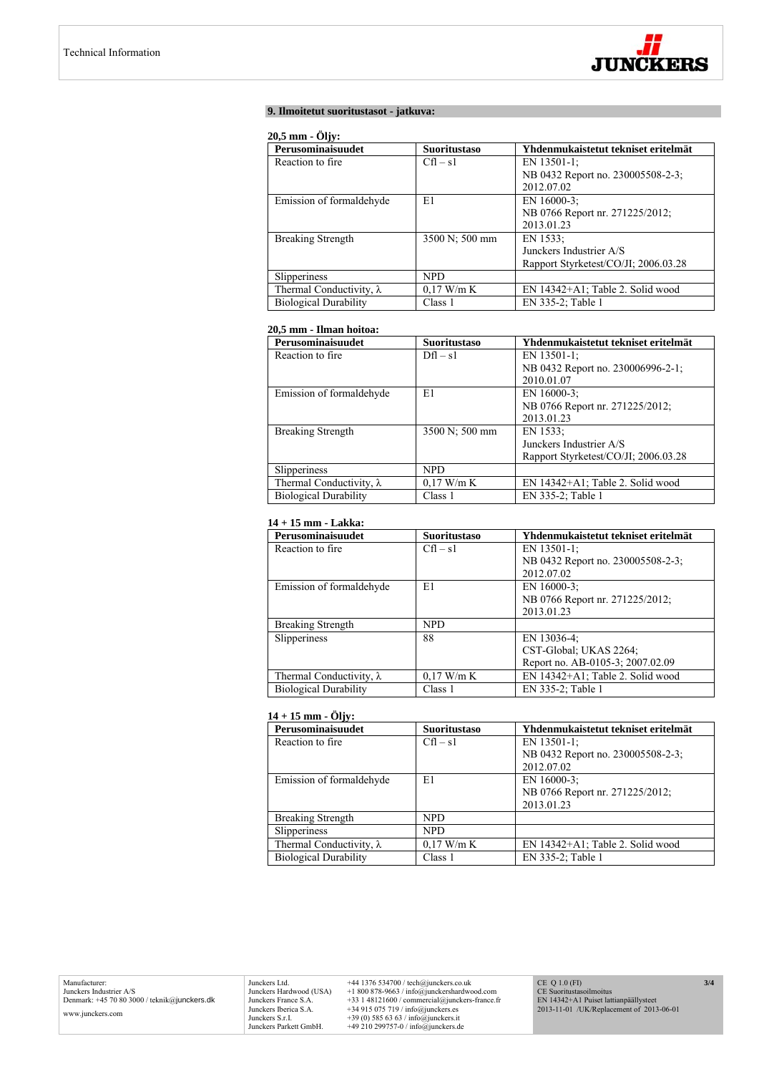

# **9. Ilmoitetut suoritustasot - jatkuva:**

## **20,5 mm - Öljy:**

| Perusominaisuudet               | <b>Suoritustaso</b> | Yhdenmukaistetut tekniset eritelmät  |
|---------------------------------|---------------------|--------------------------------------|
| Reaction to fire.               | $Cfl - s1$          | EN 13501-1:                          |
|                                 |                     | NB 0432 Report no. 230005508-2-3;    |
|                                 |                     | 2012.07.02                           |
| Emission of formaldehyde        | E1                  | EN $16000-3$ ;                       |
|                                 |                     | NB 0766 Report nr. 271225/2012;      |
|                                 |                     | 2013.01.23                           |
| <b>Breaking Strength</b>        | 3500 N; 500 mm      | EN 1533:                             |
|                                 |                     | Junckers Industrier A/S              |
|                                 |                     | Rapport Styrketest/CO/JI; 2006.03.28 |
| Slipperiness                    | NPD.                |                                      |
| Thermal Conductivity, $\lambda$ | $0.17$ W/m K        | EN 14342+A1; Table 2. Solid wood     |
| <b>Biological Durability</b>    | Class 1             | EN 335-2; Table 1                    |

# **20,5 mm - Ilman hoitoa:**

| Perusominaisuudet               | <b>Suoritustaso</b> | Yhdenmukaistetut tekniset eritelmät  |
|---------------------------------|---------------------|--------------------------------------|
| Reaction to fire.               | $Dfl - s1$          | EN 13501-1:                          |
|                                 |                     | NB 0432 Report no. 230006996-2-1;    |
|                                 |                     | 2010.01.07                           |
| Emission of formaldehyde        | E1                  | EN $16000-3$ ;                       |
|                                 |                     | NB 0766 Report nr. 271225/2012;      |
|                                 |                     | 2013.01.23                           |
| <b>Breaking Strength</b>        | 3500 N; 500 mm      | EN 1533:                             |
|                                 |                     | Junckers Industrier A/S              |
|                                 |                     | Rapport Styrketest/CO/JI; 2006.03.28 |
| Slipperiness                    | <b>NPD</b>          |                                      |
| Thermal Conductivity, $\lambda$ | $0.17$ W/m K        | EN 14342+A1; Table 2. Solid wood     |
| <b>Biological Durability</b>    | Class 1             | EN 335-2; Table 1                    |

# **14 + 15 mm - Lakka:**

| Perusominaisuudet               | <b>Suoritustaso</b> | Yhdenmukaistetut tekniset eritelmät |
|---------------------------------|---------------------|-------------------------------------|
| Reaction to fire.               | $Cfl - s1$          | EN 13501-1:                         |
|                                 |                     | NB 0432 Report no. 230005508-2-3;   |
|                                 |                     | 2012.07.02                          |
| Emission of formaldehyde        | E1                  | EN $16000-3$ ;                      |
|                                 |                     | NB 0766 Report nr. 271225/2012;     |
|                                 |                     | 2013.01.23                          |
| <b>Breaking Strength</b>        | <b>NPD</b>          |                                     |
| <b>Slipperiness</b>             | 88                  | EN 13036-4;                         |
|                                 |                     | CST-Global; UKAS 2264;              |
|                                 |                     | Report no. AB-0105-3; 2007.02.09    |
| Thermal Conductivity, $\lambda$ | $0.17$ W/m K        | EN 14342+A1; Table 2. Solid wood    |
| <b>Biological Durability</b>    | Class 1             | EN 335-2; Table 1                   |

# **14 + 15 mm - Öljy:**

| Perusominaisuudet               | <b>Suoritustaso</b> | Yhdenmukaistetut tekniset eritelmät |
|---------------------------------|---------------------|-------------------------------------|
| Reaction to fire.               | $Cfl - s1$          | EN 13501-1;                         |
|                                 |                     | NB 0432 Report no. 230005508-2-3;   |
|                                 |                     | 2012.07.02                          |
| Emission of formaldehyde        | E1                  | EN 16000-3;                         |
|                                 |                     | NB 0766 Report nr. 271225/2012;     |
|                                 |                     | 2013.01.23                          |
| <b>Breaking Strength</b>        | <b>NPD</b>          |                                     |
| Slipperiness                    | NPD.                |                                     |
| Thermal Conductivity, $\lambda$ | $0.17$ W/m K        | EN 14342+A1; Table 2. Solid wood    |
| <b>Biological Durability</b>    | Class 1             | EN 335-2; Table 1                   |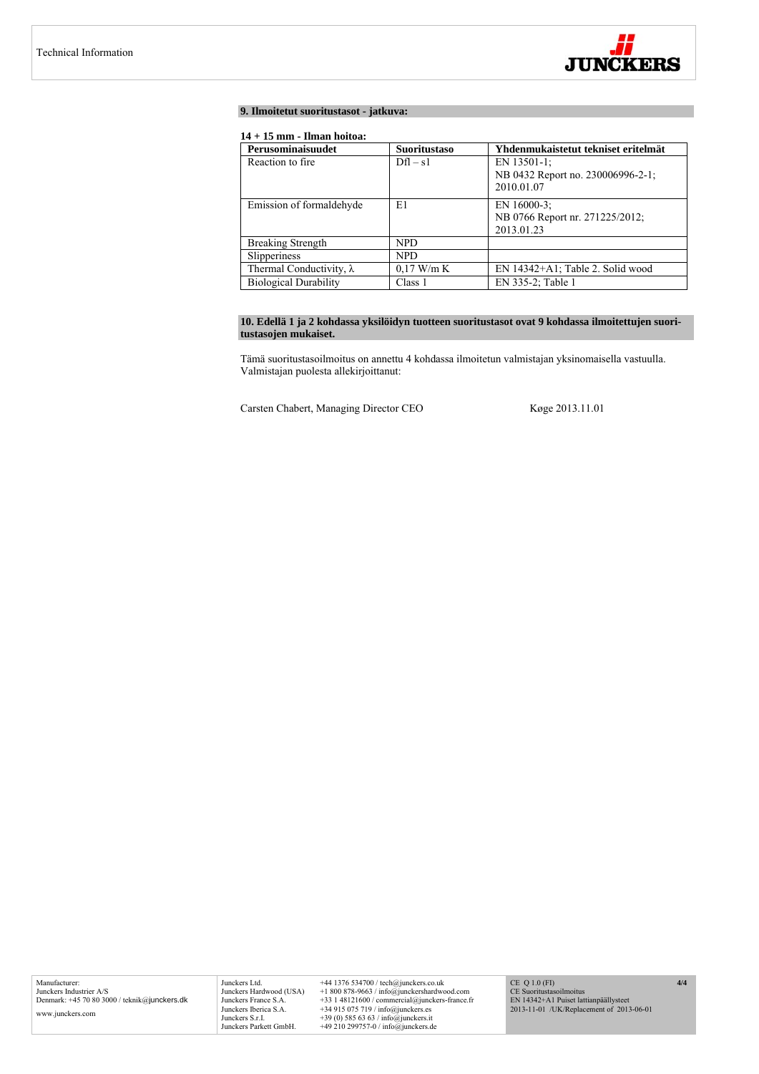

# **9. Ilmoitetut suoritustasot - jatkuva:**

# **14 + 15 mm - Ilman hoitoa:**

| Perusominaisuudet               | <b>Suoritustaso</b> | Yhdenmukaistetut tekniset eritelmät                             |
|---------------------------------|---------------------|-----------------------------------------------------------------|
| Reaction to fire.               | $Df1 - s1$          | EN 13501-1:<br>NB 0432 Report no. 230006996-2-1;<br>2010.01.07  |
| Emission of formaldehyde        | E1                  | EN $16000-3$ ;<br>NB 0766 Report nr. 271225/2012;<br>2013.01.23 |
| <b>Breaking Strength</b>        | NPD.                |                                                                 |
| Slipperiness                    | NPD.                |                                                                 |
| Thermal Conductivity, $\lambda$ | $0.17$ W/m K        | EN 14342+A1; Table 2. Solid wood                                |
| <b>Biological Durability</b>    | Class 1             | EN 335-2; Table 1                                               |

# **10. Edellä 1 ja 2 kohdassa yksilöidyn tuotteen suoritustasot ovat 9 kohdassa ilmoitettujen suoritustasojen mukaiset.**

Tämä suoritustasoilmoitus on annettu 4 kohdassa ilmoitetun valmistajan yksinomaisella vastuulla. Valmistajan puolesta allekirjoittanut:

Carsten Chabert, Managing Director CEO Køge 2013.11.01

Junckers Ltd. +44 1376 534700 / tech@junckers.co.uk<br>Junckers Hardwood (USA) +1 800 878-9663 / info@junckershardwc Junckers Hardwood (USA) +1 800 878-9663 / info@junckershardwood.com<br>Junckers Iberica S.A. +33 1 48121600 / commercial@junckers-france.fr<br>Junckers Iberica S.A. +34 915 075 719 / info@junckers.est<br>Junckers S.r.I. +39 (0) 585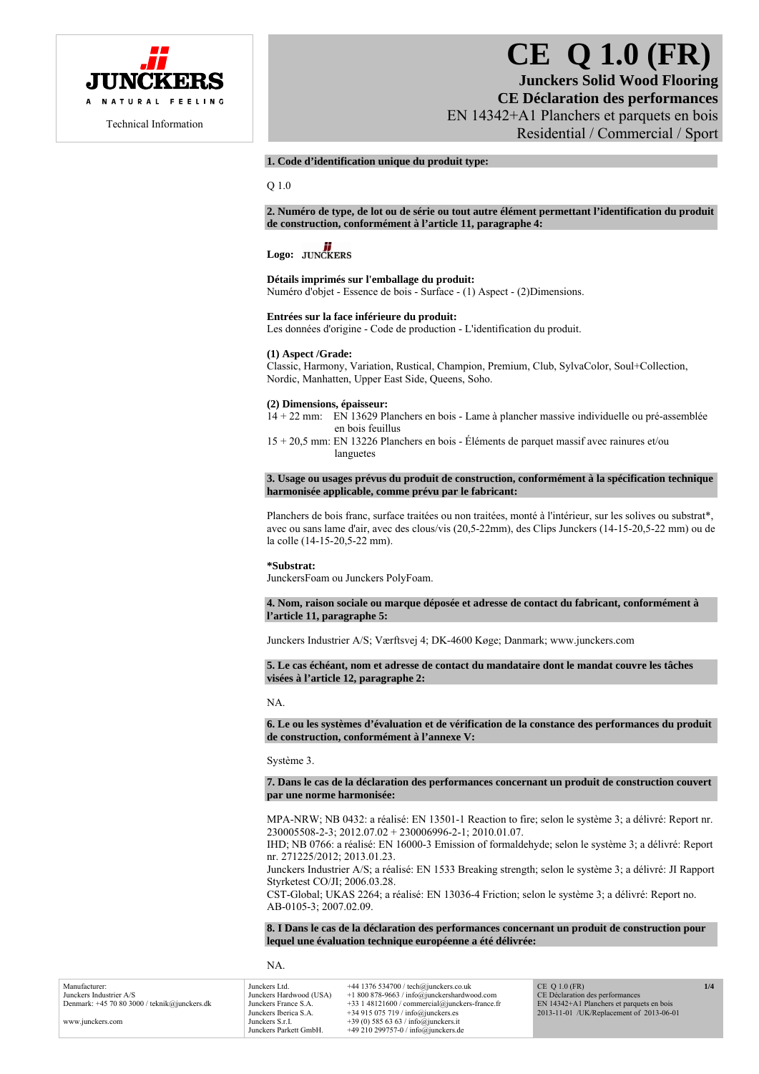

# **CE Q 1.0 (FR)**

**Junckers Solid Wood Flooring CE Déclaration des performances**  EN 14342+A1 Planchers et parquets en bois Residential / Commercial / Sport

# **1. Code d'identification unique du produit type:**

Q 1.0

**2. Numéro de type, de lot ou de série ou tout autre élément permettant l'identification du produit de construction, conformément à l'article 11, paragraphe 4:** 

# Logo: **JUNCKERS**

#### **Détails imprimés sur l'emballage du produit:**

Numéro d'objet - Essence de bois - Surface - (1) Aspect - (2)Dimensions.

#### **Entrées sur la face inférieure du produit:**

Les données d'origine - Code de production - L'identification du produit.

#### **(1) Aspect /Grade:**

Classic, Harmony, Variation, Rustical, Champion, Premium, Club, SylvaColor, Soul+Collection, Nordic, Manhatten, Upper East Side, Queens, Soho.

# **(2) Dimensions, épaisseur:**

14 + 22 mm: EN 13629 Planchers en bois - Lame à plancher massive individuelle ou pré-assemblée en bois feuillus

15 + 20,5 mm: EN 13226 Planchers en bois - Éléments de parquet massif avec rainures et/ou languetes

#### **3. Usage ou usages prévus du produit de construction, conformément à la spécification technique harmonisée applicable, comme prévu par le fabricant:**

Planchers de bois franc, surface traitées ou non traitées, monté à l'intérieur, sur les solives ou substrat\*, avec ou sans lame d'air, avec des clous/vis (20,5-22mm), des Clips Junckers (14-15-20,5-22 mm) ou de la colle (14-15-20,5-22 mm).

#### **\*Substrat:**

JunckersFoam ou Junckers PolyFoam.

#### **4. Nom, raison sociale ou marque déposée et adresse de contact du fabricant, conformément à l'article 11, paragraphe 5:**

Junckers Industrier A/S; Værftsvej 4; DK-4600 Køge; Danmark; www.junckers.com

**5. Le cas échéant, nom et adresse de contact du mandataire dont le mandat couvre les tâches visées à l'article 12, paragraphe 2:** 

NA.

**6. Le ou les systèmes d'évaluation et de vérification de la constance des performances du produit de construction, conformément à l'annexe V:** 

Système 3.

#### **7. Dans le cas de la déclaration des performances concernant un produit de construction couvert par une norme harmonisée:**

MPA-NRW; NB 0432: a réalisé: EN 13501-1 Reaction to fire; selon le système 3; a délivré: Report nr. 230005508-2-3; 2012.07.02 + 230006996-2-1; 2010.01.07.

IHD; NB 0766: a réalisé: EN 16000-3 Emission of formaldehyde; selon le système 3; a délivré: Report nr. 271225/2012; 2013.01.23.

Junckers Industrier A/S; a réalisé: EN 1533 Breaking strength; selon le système 3; a délivré: JI Rapport Styrketest CO/JI; 2006.03.28.

CST-Global; UKAS 2264; a réalisé: EN 13036-4 Friction; selon le système 3; a délivré: Report no. AB-0105-3; 2007.02.09.

**8. I Dans le cas de la déclaration des performances concernant un produit de construction pour lequel une évaluation technique européenne a été délivrée:** 

NA.

Manufacturer: Junckers Industrier A/S Denmark: +45 70 80 3000 / teknik@junckers.dk www.junckers.com Junckers Ltd. +44 1376 534700 / tech@junckers.co.uk<br>Junckers Hardwood (USA) +1 800 878-9663 / info@junckershardwo Junckers Hardwood (USA) +1 800 878-9663 / info@junckershardwood.com Junckers France S.A. +33 1 48121600 / commercial@junckers-france.fr<br>Junckers Iberica S.A. +34 915 075 719 / info@junckers.es Junckers Iberica S.A.  $+34915075719 / info@junckers.$ <br>Junckers S r I  $+39(0)5856363 / info@junckers.$ Junckers S.r.I. +39 (0) 585 63 63 / info@junckers.it<br>Junckers Parkett GmbH. +49 210 299757-0 / info@junckers d  $+49$  210 299757-0 / info@junckers.de  $CE$  Q 1.0 (FR) CE Déclaration des performances EN 14342+A1 Planchers et parquets en bois 2013-11-01 /UK/Replacement of 2013-06-01 **1/4**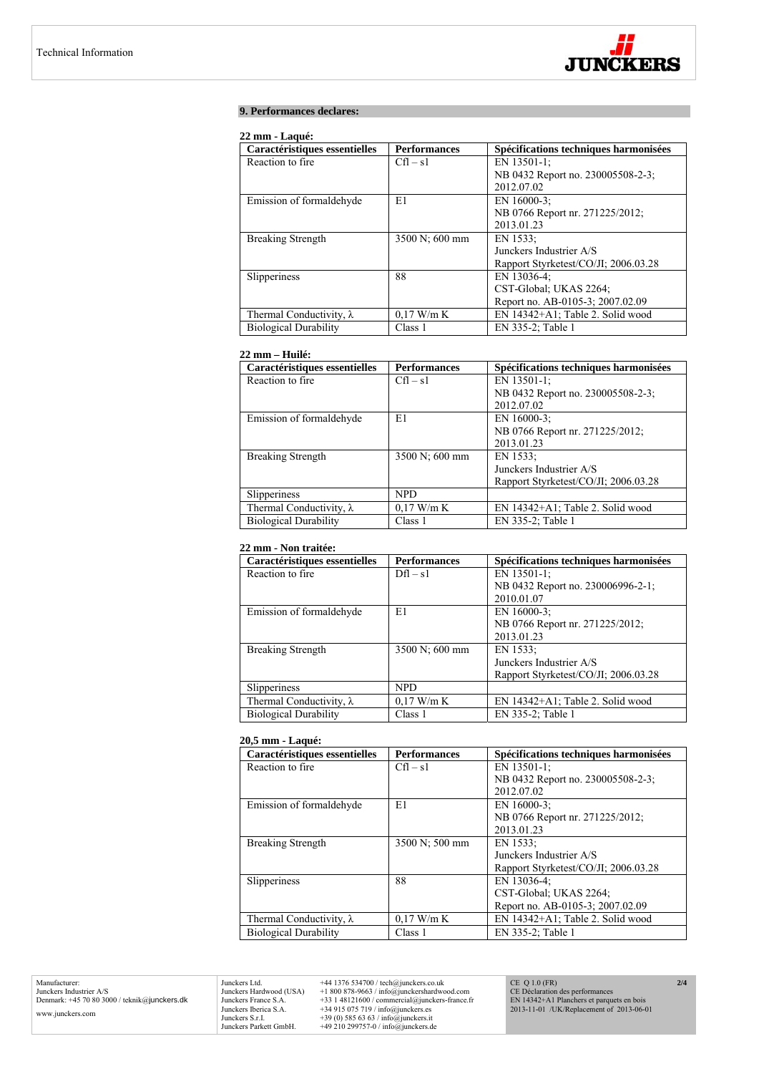

# **9. Performances declares:**

# **22 mm - Laqué:**

| Caractéristiques essentielles   | <b>Performances</b> | Spécifications techniques harmonisées |
|---------------------------------|---------------------|---------------------------------------|
| Reaction to fire.               | $Cfl - s1$          | EN 13501-1:                           |
|                                 |                     | NB 0432 Report no. 230005508-2-3;     |
|                                 |                     | 2012.07.02                            |
| Emission of formaldehyde        | E1                  | EN 16000-3;                           |
|                                 |                     | NB 0766 Report nr. 271225/2012;       |
|                                 |                     | 2013.01.23                            |
| <b>Breaking Strength</b>        | 3500 N; 600 mm      | EN 1533:                              |
|                                 |                     | Junckers Industrier A/S               |
|                                 |                     | Rapport Styrketest/CO/JI; 2006.03.28  |
| Slipperiness                    | 88                  | EN 13036-4:                           |
|                                 |                     | CST-Global; UKAS 2264;                |
|                                 |                     | Report no. AB-0105-3; 2007.02.09      |
| Thermal Conductivity, $\lambda$ | $0.17$ W/m K        | EN 14342+A1; Table 2. Solid wood      |
| <b>Biological Durability</b>    | Class 1             | EN 335-2; Table 1                     |

## **22 mm – Huilé:**

| Caractéristiques essentielles   | <b>Performances</b> | Spécifications techniques harmonisées |
|---------------------------------|---------------------|---------------------------------------|
| Reaction to fire.               | $Cfl - s1$          | EN 13501-1;                           |
|                                 |                     | NB 0432 Report no. 230005508-2-3;     |
|                                 |                     | 2012.07.02                            |
| Emission of formaldehyde        | E1                  | EN 16000-3:                           |
|                                 |                     | NB 0766 Report nr. 271225/2012;       |
|                                 |                     | 2013.01.23                            |
| <b>Breaking Strength</b>        | 3500 N; 600 mm      | EN 1533:                              |
|                                 |                     | Junckers Industrier A/S               |
|                                 |                     | Rapport Styrketest/CO/JI: 2006.03.28  |
| Slipperiness                    | <b>NPD</b>          |                                       |
| Thermal Conductivity, $\lambda$ | $0.17$ W/m K        | EN 14342+A1; Table 2. Solid wood      |
| <b>Biological Durability</b>    | Class 1             | EN 335-2; Table 1                     |

# **22 mm - Non traitée:**

| Caractéristiques essentielles   | <b>Performances</b> | Spécifications techniques harmonisées |
|---------------------------------|---------------------|---------------------------------------|
| Reaction to fire.               | $Dfl - s1$          | EN 13501-1;                           |
|                                 |                     | NB 0432 Report no. 230006996-2-1;     |
|                                 |                     | 2010.01.07                            |
| Emission of formaldehyde        | E1                  | EN 16000-3:                           |
|                                 |                     | NB 0766 Report nr. 271225/2012;       |
|                                 |                     | 2013.01.23                            |
| <b>Breaking Strength</b>        | 3500 N; 600 mm      | EN 1533:                              |
|                                 |                     | Junckers Industrier A/S               |
|                                 |                     | Rapport Styrketest/CO/JI: 2006.03.28  |
| Slipperiness                    | <b>NPD</b>          |                                       |
| Thermal Conductivity, $\lambda$ | $0.17$ W/m K        | EN 14342+A1; Table 2. Solid wood      |
| <b>Biological Durability</b>    | Class 1             | EN 335-2; Table 1                     |

# **20,5 mm - Laqué:**

| Caractéristiques essentielles   | <b>Performances</b> | Spécifications techniques harmonisées |
|---------------------------------|---------------------|---------------------------------------|
| Reaction to fire.               | $Cfl - s1$          | EN 13501-1;                           |
|                                 |                     | NB 0432 Report no. 230005508-2-3;     |
|                                 |                     | 2012.07.02                            |
| Emission of formaldehyde        | E1                  | EN 16000-3;                           |
|                                 |                     | NB 0766 Report nr. 271225/2012;       |
|                                 |                     | 2013.01.23                            |
| <b>Breaking Strength</b>        | 3500 N; 500 mm      | EN 1533:                              |
|                                 |                     | Junckers Industrier A/S               |
|                                 |                     | Rapport Styrketest/CO/JI; 2006.03.28  |
| Slipperiness                    | 88                  | EN 13036-4;                           |
|                                 |                     | CST-Global; UKAS 2264;                |
|                                 |                     | Report no. AB-0105-3; 2007.02.09      |
| Thermal Conductivity, $\lambda$ | $0.17$ W/m K        | EN 14342+A1; Table 2. Solid wood      |
| <b>Biological Durability</b>    | Class 1             | EN 335-2; Table 1                     |

Manufacturer: Junckers Industrier A/S Denmark: +45 70 80 3000 / teknik@junckers.dk www.junckers.com

Junckers Ltd. +44 1376 534700 / tech@junckers.co.uk<br>Junckers Hardwood (USA) +1 800 878-9663 / info@junckershardword<br>Junckers France S.A. +33 1 48121600 / commercial@junckers.<br>Junckers Iberica S.A. +34 915 075 719 / info@ju Junckers Hardwood (USA) +1 800 878-9663 / info@junckershardwood.com<br>Junckers Iberica S.A. +33 1 48121600 / commercial@junckers-france.fr<br>Junckers Iberica S.A. +34 915 075 719 / info@junckers.est<br>Junckers S.r.I. +39 (0) 585

CE Q 1.0 (FR) CE Déclaration des performances EN 14342+A1 Planchers et parquets en bois 2013-11-01 /UK/Replacement of 2013-06-01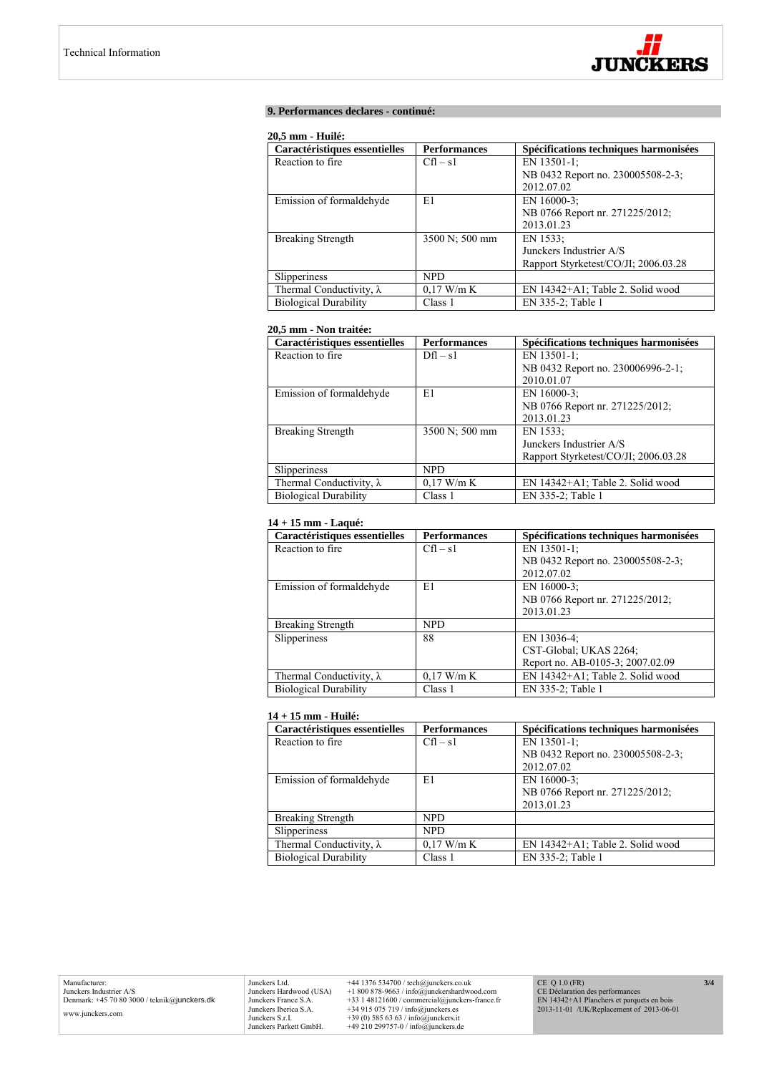

# **9. Performances declares - continué:**

#### **20,5 mm - Huilé:**

| Caractéristiques essentielles   | <b>Performances</b> | Spécifications techniques harmonisées |
|---------------------------------|---------------------|---------------------------------------|
| Reaction to fire.               | $Cfl - s1$          | EN 13501-1:                           |
|                                 |                     | NB 0432 Report no. 230005508-2-3;     |
|                                 |                     | 2012.07.02                            |
| Emission of formaldehyde        | E1                  | EN $16000-3$ ;                        |
|                                 |                     | NB 0766 Report nr. 271225/2012;       |
|                                 |                     | 2013.01.23                            |
| <b>Breaking Strength</b>        | 3500 N; 500 mm      | EN 1533:                              |
|                                 |                     | Junckers Industrier A/S               |
|                                 |                     | Rapport Styrketest/CO/JI; 2006.03.28  |
| Slipperiness                    | NPD.                |                                       |
| Thermal Conductivity, $\lambda$ | $0.17$ W/m K        | $EN$ 14342+A1; Table 2. Solid wood    |
| <b>Biological Durability</b>    | Class 1             | EN 335-2; Table 1                     |

# **20,5 mm - Non traitée:**

| Caractéristiques essentielles   | <b>Performances</b> | Spécifications techniques harmonisées |
|---------------------------------|---------------------|---------------------------------------|
| Reaction to fire.               | $Dfl - s1$          | EN 13501-1:                           |
|                                 |                     | NB 0432 Report no. 230006996-2-1;     |
|                                 |                     | 2010.01.07                            |
| Emission of formaldehyde        | E1                  | EN $16000-3$ ;                        |
|                                 |                     | NB 0766 Report nr. 271225/2012;       |
|                                 |                     | 2013.01.23                            |
| <b>Breaking Strength</b>        | 3500 N; 500 mm      | EN 1533:                              |
|                                 |                     | Junckers Industrier A/S               |
|                                 |                     | Rapport Styrketest/CO/JI; 2006.03.28  |
| Slipperiness                    | <b>NPD</b>          |                                       |
| Thermal Conductivity, $\lambda$ | $0.17$ W/m K        | EN 14342+A1; Table 2. Solid wood      |
| <b>Biological Durability</b>    | Class 1             | EN 335-2; Table 1                     |

# **14 + 15 mm - Laqué:**

| Caractéristiques essentielles   | <b>Performances</b> | Spécifications techniques harmonisées |
|---------------------------------|---------------------|---------------------------------------|
| Reaction to fire.               | $Cfl - s1$          | EN 13501-1:                           |
|                                 |                     | NB 0432 Report no. 230005508-2-3;     |
|                                 |                     | 2012.07.02                            |
| Emission of formaldehyde        | E1                  | EN 16000-3:                           |
|                                 |                     | NB 0766 Report nr. 271225/2012;       |
|                                 |                     | 2013.01.23                            |
| <b>Breaking Strength</b>        | <b>NPD</b>          |                                       |
| Slipperiness                    | 88                  | EN 13036-4;                           |
|                                 |                     | CST-Global; UKAS 2264;                |
|                                 |                     | Report no. AB-0105-3; 2007.02.09      |
| Thermal Conductivity, $\lambda$ | $0.17$ W/m K        | EN 14342+A1; Table 2. Solid wood      |
| <b>Biological Durability</b>    | Class 1             | EN 335-2; Table 1                     |

## **14 + 15 mm - Huilé:**

| Caractéristiques essentielles   | <b>Performances</b> | Spécifications techniques harmonisées |
|---------------------------------|---------------------|---------------------------------------|
| Reaction to fire.               | $Cfl - s1$          | EN 13501-1;                           |
|                                 |                     | NB 0432 Report no. 230005508-2-3;     |
|                                 |                     | 2012.07.02                            |
| Emission of formaldehyde        | E1                  | EN 16000-3:                           |
|                                 |                     | NB 0766 Report nr. 271225/2012;       |
|                                 |                     | 2013.01.23                            |
| <b>Breaking Strength</b>        | NPD.                |                                       |
| <b>Slipperiness</b>             | NPD.                |                                       |
| Thermal Conductivity, $\lambda$ | $0.17$ W/m K        | EN 14342+A1; Table 2. Solid wood      |
| <b>Biological Durability</b>    | Class 1             | EN 335-2; Table 1                     |

Junckers Ltd.  $+44$  1376 534700 / tech@junckers.co.uk<br>Junckers Hardwood (USA)  $+18008789.63$  / info@junckershardwood.com<br>Junckers France S.A.  $+33$  148121600 / commercial@junckers-france.fr<br>Junckers Berica S.A.  $+34915075$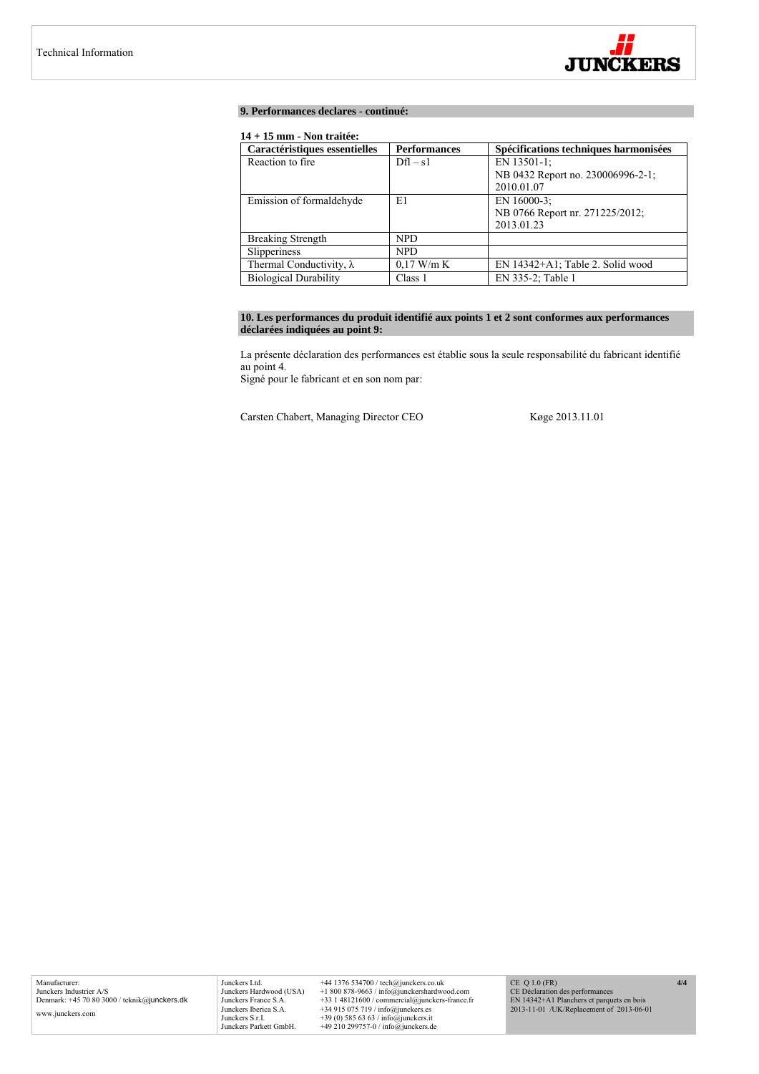

## **9. Performances declares - continué:**

# **14 + 15 mm - Non traitée:**

| Caractéristiques essentielles   | <b>Performances</b> | Spécifications techniques harmonisées |
|---------------------------------|---------------------|---------------------------------------|
| Reaction to fire.               | $Dfl - s1$          | EN 13501-1:                           |
|                                 |                     | NB 0432 Report no. 230006996-2-1;     |
|                                 |                     | 2010.01.07                            |
| Emission of formaldehyde        | E1                  | EN $16000-3$ ;                        |
|                                 |                     | NB 0766 Report nr. 271225/2012;       |
|                                 |                     | 2013.01.23                            |
| <b>Breaking Strength</b>        | <b>NPD</b>          |                                       |
| Slipperiness                    | NPD.                |                                       |
| Thermal Conductivity, $\lambda$ | $0.17$ W/m K        | EN 14342+A1; Table 2. Solid wood      |
| <b>Biological Durability</b>    | Class 1             | EN 335-2; Table 1                     |

# **10. Les performances du produit identifié aux points 1 et 2 sont conformes aux performances déclarées indiquées au point 9:**

La présente déclaration des performances est établie sous la seule responsabilité du fabricant identifié au point 4.

Signé pour le fabricant et en son nom par:

Carsten Chabert, Managing Director CEO Køge 2013.11.01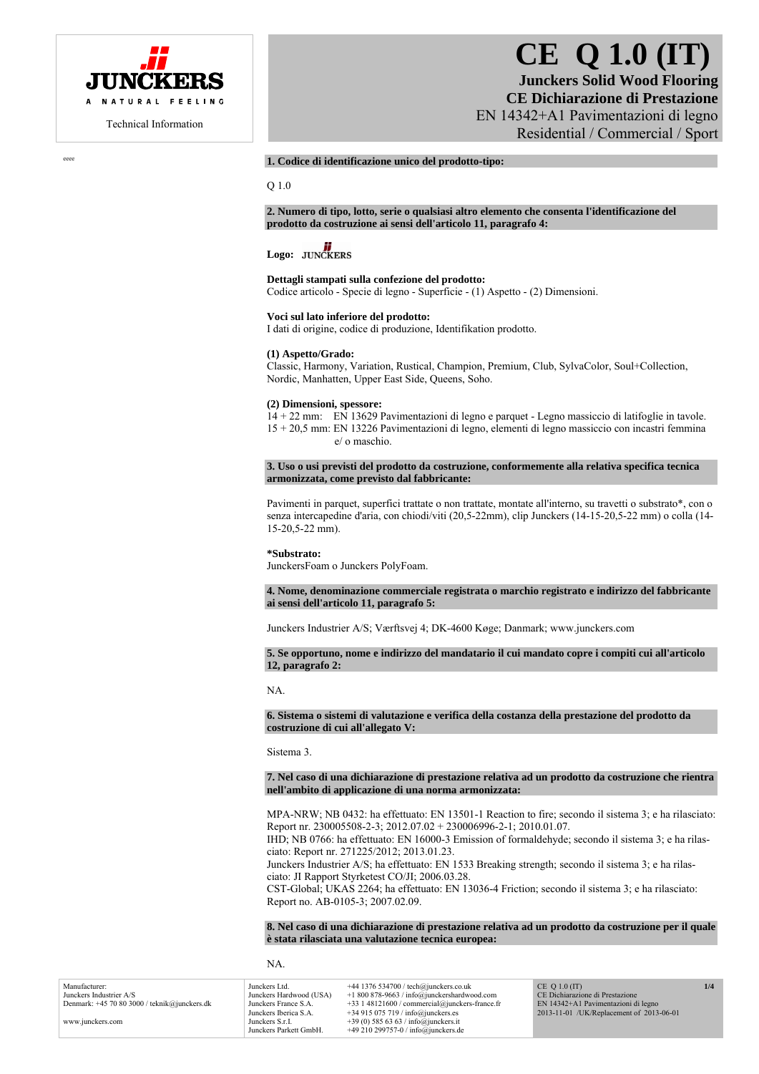

# **CE Q 1.0 (IT)**

**Junckers Solid Wood Flooring CE Dichiarazione di Prestazione**  EN 14342+A1 Pavimentazioni di legno Residential / Commercial / Sport

eeee **1. Codice di identificazione unico del prodotto-tipo:** 

Q 1.0

**2. Numero di tipo, lotto, serie o qualsiasi altro elemento che consenta l'identificazione del prodotto da costruzione ai sensi dell'articolo 11, paragrafo 4:** 

# Logo: **JUNCKERS**

#### **Dettagli stampati sulla confezione del prodotto:**

Codice articolo - Specie di legno - Superficie - (1) Aspetto - (2) Dimensioni.

#### **Voci sul lato inferiore del prodotto:**

I dati di origine, codice di produzione, Identifikation prodotto.

#### **(1) Aspetto/Grado:**

Classic, Harmony, Variation, Rustical, Champion, Premium, Club, SylvaColor, Soul+Collection, Nordic, Manhatten, Upper East Side, Queens, Soho.

#### **(2) Dimensioni, spessore:**

14 + 22 mm: EN 13629 Pavimentazioni di legno e parquet - Legno massiccio di latifoglie in tavole. 15 + 20,5 mm: EN 13226 Pavimentazioni di legno, elementi di legno massiccio con incastri femmina e/ o maschio.

**3. Uso o usi previsti del prodotto da costruzione, conformemente alla relativa specifica tecnica armonizzata, come previsto dal fabbricante:** 

Pavimenti in parquet, superfici trattate o non trattate, montate all'interno, su travetti o substrato\*, con o senza intercapedine d'aria, con chiodi/viti (20,5-22mm), clip Junckers (14-15-20,5-22 mm) o colla (14- 15-20,5-22 mm).

#### **\*Substrato:**

JunckersFoam o Junckers PolyFoam.

**4. Nome, denominazione commerciale registrata o marchio registrato e indirizzo del fabbricante ai sensi dell'articolo 11, paragrafo 5:** 

Junckers Industrier A/S; Værftsvej 4; DK-4600 Køge; Danmark; www.junckers.com

**5. Se opportuno, nome e indirizzo del mandatario il cui mandato copre i compiti cui all'articolo 12, paragrafo 2:** 

NA.

#### **6. Sistema o sistemi di valutazione e verifica della costanza della prestazione del prodotto da costruzione di cui all'allegato V:**

Sistema 3.

**7. Nel caso di una dichiarazione di prestazione relativa ad un prodotto da costruzione che rientra nell'ambito di applicazione di una norma armonizzata:** 

MPA-NRW; NB 0432: ha effettuato: EN 13501-1 Reaction to fire; secondo il sistema 3; e ha rilasciato: Report nr. 230005508-2-3; 2012.07.02 + 230006996-2-1; 2010.01.07.

IHD; NB 0766: ha effettuato: EN 16000-3 Emission of formaldehyde; secondo il sistema 3; e ha rilasciato: Report nr. 271225/2012; 2013.01.23.

Junckers Industrier A/S; ha effettuato: EN 1533 Breaking strength; secondo il sistema 3; e ha rilasciato: JI Rapport Styrketest CO/JI; 2006.03.28.

CST-Global; UKAS 2264; ha effettuato: EN 13036-4 Friction; secondo il sistema 3; e ha rilasciato: Report no. AB-0105-3; 2007.02.09.

**8. Nel caso di una dichiarazione di prestazione relativa ad un prodotto da costruzione per il quale è stata rilasciata una valutazione tecnica europea:** 

NA.

| Manufacturer:                              | Junckers Ltd.           | $+44$ 1376 534700 / tech@junckers.co.uk          | $CE$ Q 1.0 (IT)                          | 1/4 |
|--------------------------------------------|-------------------------|--------------------------------------------------|------------------------------------------|-----|
| Junckers Industrier A/S                    | Junckers Hardwood (USA) | $+1800878-9663$ / info@junckershardwood.com      | CE Dichiarazione di Prestazione          |     |
| Denmark: $+457080300$ / teknik@junckers.dk | Junckers France S.A.    | $+33$ 1 48121600 / commercial@junckers-france.fr | EN 14342+A1 Pavimentazioni di legno      |     |
|                                            | Junckers Iberica S.A.   | $+34915075719$ / info@junckers.es                | 2013-11-01 /UK/Replacement of 2013-06-01 |     |
| www.junckers.com                           | Junckers S.r.I.         | +39 (0) 585 63 63 / info@junckers.it             |                                          |     |
|                                            | Junckers Parkett GmbH.  | $+49210299757-0$ / info@junckers.de              |                                          |     |
|                                            |                         |                                                  |                                          |     |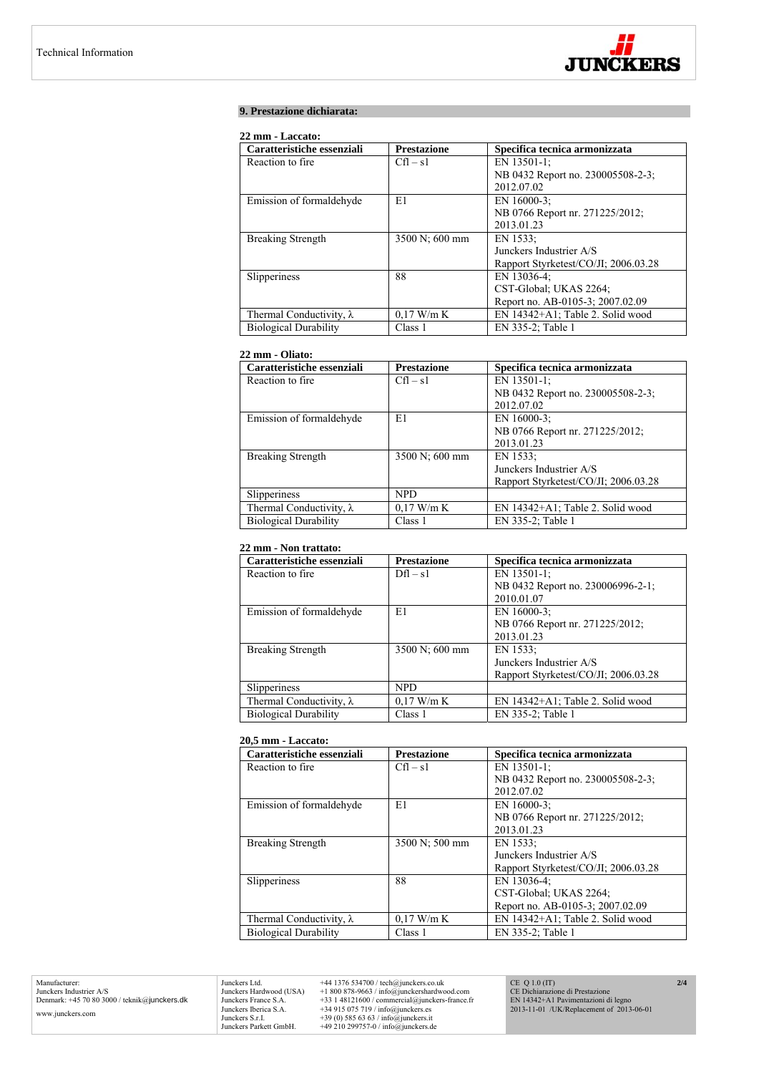

# **9. Prestazione dichiarata:**

# **22 mm - Laccato:**

| Caratteristiche essenziali      | <b>Prestazione</b> | Specifica tecnica armonizzata        |
|---------------------------------|--------------------|--------------------------------------|
| Reaction to fire.               | $Cfl - s1$         | EN 13501-1:                          |
|                                 |                    | NB 0432 Report no. 230005508-2-3;    |
|                                 |                    | 2012.07.02                           |
| Emission of formaldehyde        | E1                 | EN 16000-3:                          |
|                                 |                    | NB 0766 Report nr. 271225/2012;      |
|                                 |                    | 2013.01.23                           |
| <b>Breaking Strength</b>        | 3500 N; 600 mm     | EN 1533:                             |
|                                 |                    | Junckers Industrier A/S              |
|                                 |                    | Rapport Styrketest/CO/JI; 2006.03.28 |
| Slipperiness                    | 88                 | EN 13036-4:                          |
|                                 |                    | CST-Global; UKAS 2264;               |
|                                 |                    | Report no. AB-0105-3; 2007.02.09     |
| Thermal Conductivity, $\lambda$ | $0.17$ W/m K       | EN 14342+A1; Table 2. Solid wood     |
| <b>Biological Durability</b>    | Class 1            | EN 335-2; Table 1                    |

# **22 mm - Oliato:**

| Caratteristiche essenziali      | <b>Prestazione</b> | Specifica tecnica armonizzata        |
|---------------------------------|--------------------|--------------------------------------|
| Reaction to fire.               | $Cfl - s1$         | EN 13501-1;                          |
|                                 |                    | NB 0432 Report no. 230005508-2-3;    |
|                                 |                    | 2012.07.02                           |
| Emission of formaldehyde        | E1                 | EN 16000-3:                          |
|                                 |                    | NB 0766 Report nr. 271225/2012;      |
|                                 |                    | 2013.01.23                           |
| <b>Breaking Strength</b>        | 3500 N; 600 mm     | EN 1533;                             |
|                                 |                    | Junckers Industrier A/S              |
|                                 |                    | Rapport Styrketest/CO/JI; 2006.03.28 |
| Slipperiness                    | <b>NPD</b>         |                                      |
| Thermal Conductivity, $\lambda$ | $0.17$ W/m K       | EN 14342+A1; Table 2. Solid wood     |
| <b>Biological Durability</b>    | Class 1            | EN 335-2; Table 1                    |

# **22 mm - Non trattato:**

| Caratteristiche essenziali      | <b>Prestazione</b> | Specifica tecnica armonizzata        |
|---------------------------------|--------------------|--------------------------------------|
| Reaction to fire.               | $Dfl - s1$         | EN 13501-1;                          |
|                                 |                    | NB 0432 Report no. 230006996-2-1;    |
|                                 |                    | 2010.01.07                           |
| Emission of formaldehyde        | E1                 | EN 16000-3:                          |
|                                 |                    | NB 0766 Report nr. 271225/2012;      |
|                                 |                    | 2013.01.23                           |
| <b>Breaking Strength</b>        | 3500 N; 600 mm     | EN 1533:                             |
|                                 |                    | Junckers Industrier A/S              |
|                                 |                    | Rapport Styrketest/CO/JI: 2006.03.28 |
| Slipperiness                    | <b>NPD</b>         |                                      |
| Thermal Conductivity, $\lambda$ | $0.17$ W/m K       | EN 14342+A1; Table 2. Solid wood     |
| <b>Biological Durability</b>    | Class 1            | EN 335-2; Table 1                    |

#### **20,5 mm - Laccato:**

| Caratteristiche essenziali      | <b>Prestazione</b> | Specifica tecnica armonizzata        |
|---------------------------------|--------------------|--------------------------------------|
| Reaction to fire.               | $Cfl - s1$         | EN 13501-1;                          |
|                                 |                    | NB 0432 Report no. 230005508-2-3;    |
|                                 |                    | 2012.07.02                           |
| Emission of formaldehyde        | E1                 | EN 16000-3;                          |
|                                 |                    | NB 0766 Report nr. 271225/2012;      |
|                                 |                    | 2013.01.23                           |
| <b>Breaking Strength</b>        | 3500 N; 500 mm     | EN 1533:                             |
|                                 |                    | Junckers Industrier A/S              |
|                                 |                    | Rapport Styrketest/CO/JI; 2006.03.28 |
| Slipperiness                    | 88                 | EN 13036-4;                          |
|                                 |                    | CST-Global; UKAS 2264;               |
|                                 |                    | Report no. AB-0105-3; 2007.02.09     |
| Thermal Conductivity, $\lambda$ | $0.17$ W/m K       | EN 14342+A1; Table 2. Solid wood     |
| <b>Biological Durability</b>    | Class 1            | EN 335-2; Table 1                    |

Manufacturer: Junckers Industrier A/S Denmark: +45 70 80 3000 / teknik@junckers.dk www.junckers.com

Junckers Ltd. +44 1376 534700 / tech@junckers.co.uk<br>Junckers Hardwood (USA) +1 800 878-9663 / info@junckershardword<br>Junckers France S.A. +33 1 48121600 / commercial@junckers.<br>Junckers Iberica S.A. +34 915 075 719 / info@ju Junckers Hardwood (USA) +1 800 878-9663 / info@junckershardwood.com<br>Junckers Iberica S.A. +33 1 48121600 / commercial@junckers-france.fr<br>Junckers Iberica S.A. +34 915 075 719 / info@junckers.est<br>Junckers S.r.I. +39 (0) 585

CE Q 1.0 (IT) CE Dichiarazione di Prestazione EN 14342+A1 Pavimentazioni di legno 2013-11-01 /UK/Replacement of 2013-06-01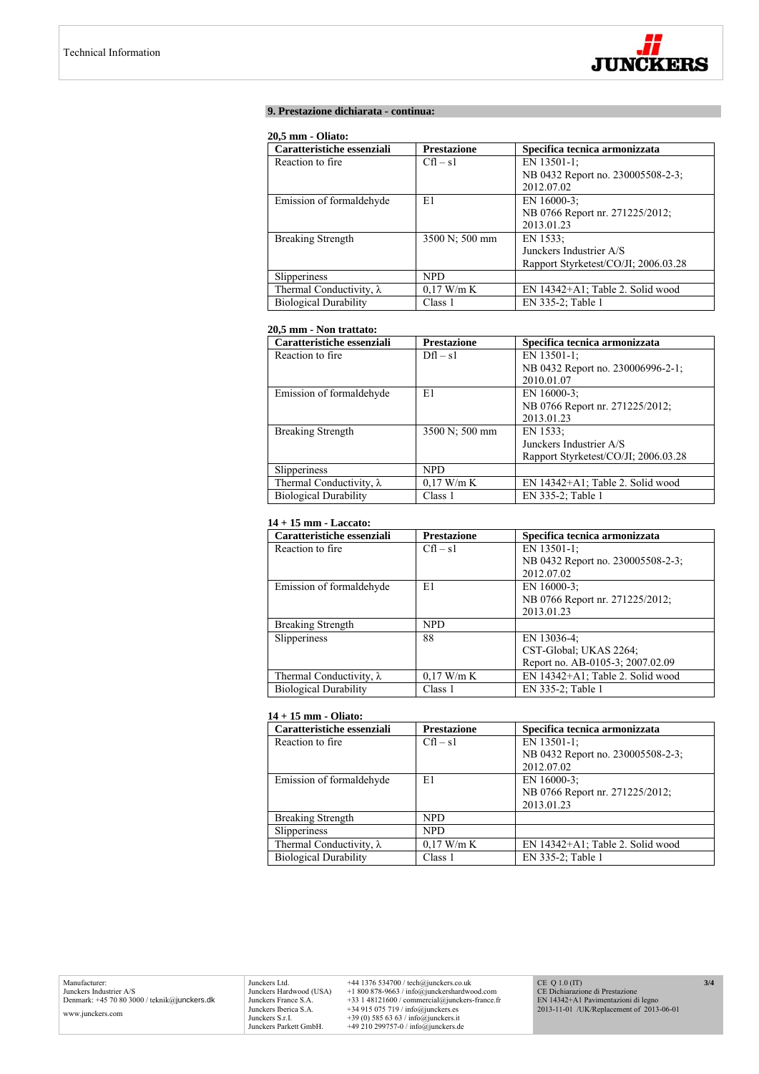

# **9. Prestazione dichiarata - continua:**

#### **20,5 mm - Oliato:**

| Caratteristiche essenziali      | <b>Prestazione</b> | Specifica tecnica armonizzata        |
|---------------------------------|--------------------|--------------------------------------|
| Reaction to fire.               | $Cfl - s1$         | EN 13501-1:                          |
|                                 |                    | NB 0432 Report no. 230005508-2-3;    |
|                                 |                    | 2012.07.02                           |
| Emission of formaldehyde        | E1                 | EN $16000-3$ ;                       |
|                                 |                    | NB 0766 Report nr. 271225/2012;      |
|                                 |                    | 2013.01.23                           |
| <b>Breaking Strength</b>        | 3500 N; 500 mm     | EN 1533:                             |
|                                 |                    | Junckers Industrier A/S              |
|                                 |                    | Rapport Styrketest/CO/JI; 2006.03.28 |
| Slipperiness                    | NPD.               |                                      |
| Thermal Conductivity, $\lambda$ | $0.17$ W/m K       | $EN$ 14342+A1; Table 2. Solid wood   |
| <b>Biological Durability</b>    | Class 1            | EN 335-2; Table 1                    |

# **20,5 mm - Non trattato:**

| Caratteristiche essenziali      | <b>Prestazione</b> | Specifica tecnica armonizzata        |
|---------------------------------|--------------------|--------------------------------------|
| Reaction to fire.               | $Dfl - s1$         | EN 13501-1:                          |
|                                 |                    | NB 0432 Report no. 230006996-2-1;    |
|                                 |                    | 2010.01.07                           |
| Emission of formaldehyde        | E1                 | EN $16000-3$ ;                       |
|                                 |                    | NB 0766 Report nr. 271225/2012;      |
|                                 |                    | 2013.01.23                           |
| <b>Breaking Strength</b>        | 3500 N; 500 mm     | EN 1533:                             |
|                                 |                    | Junckers Industrier A/S              |
|                                 |                    | Rapport Styrketest/CO/JI; 2006.03.28 |
| <b>Slipperiness</b>             | <b>NPD</b>         |                                      |
| Thermal Conductivity, $\lambda$ | $0.17$ W/m K       | EN 14342+A1; Table 2. Solid wood     |
| <b>Biological Durability</b>    | Class 1            | EN 335-2; Table 1                    |

# **14 + 15 mm - Laccato:**

| Caratteristiche essenziali      | <b>Prestazione</b> | Specifica tecnica armonizzata     |
|---------------------------------|--------------------|-----------------------------------|
| Reaction to fire.               | $Cfl - s1$         | EN 13501-1;                       |
|                                 |                    | NB 0432 Report no. 230005508-2-3; |
|                                 |                    | 2012.07.02                        |
| Emission of formaldehyde        | E1                 | EN $16000-3$ ;                    |
|                                 |                    | NB 0766 Report nr. 271225/2012;   |
|                                 |                    | 2013.01.23                        |
| <b>Breaking Strength</b>        | <b>NPD</b>         |                                   |
| <b>Slipperiness</b>             | 88                 | EN 13036-4;                       |
|                                 |                    | CST-Global; UKAS 2264;            |
|                                 |                    | Report no. AB-0105-3; 2007.02.09  |
| Thermal Conductivity, $\lambda$ | $0.17$ W/m K       | EN 14342+A1; Table 2. Solid wood  |
| <b>Biological Durability</b>    | Class 1            | EN 335-2; Table 1                 |

## **14 + 15 mm - Oliato:**

| Caratteristiche essenziali      | <b>Prestazione</b> | Specifica tecnica armonizzata     |
|---------------------------------|--------------------|-----------------------------------|
| Reaction to fire.               | $Cfl - s1$         | EN 13501-1:                       |
|                                 |                    | NB 0432 Report no. 230005508-2-3; |
|                                 |                    | 2012.07.02                        |
| Emission of formaldehyde        | E1                 | EN 16000-3:                       |
|                                 |                    | NB 0766 Report nr. 271225/2012;   |
|                                 |                    | 2013.01.23                        |
| <b>Breaking Strength</b>        | <b>NPD</b>         |                                   |
| Slipperiness                    | <b>NPD</b>         |                                   |
| Thermal Conductivity, $\lambda$ | $0.17$ W/m K       | EN 14342+A1; Table 2. Solid wood  |
| <b>Biological Durability</b>    | Class 1            | EN 335-2; Table 1                 |

Junckers Ltd.  $+44$  1376 534700 / tech@junckers.co.uk<br>Junckers Hardwood (USA)  $+18008789.63$  / info@junckershardwood.com<br>Junckers France S.A.  $+33$  148121600 / commercial@junckers-france.fr<br>Junckers Berica S.A.  $+34915075$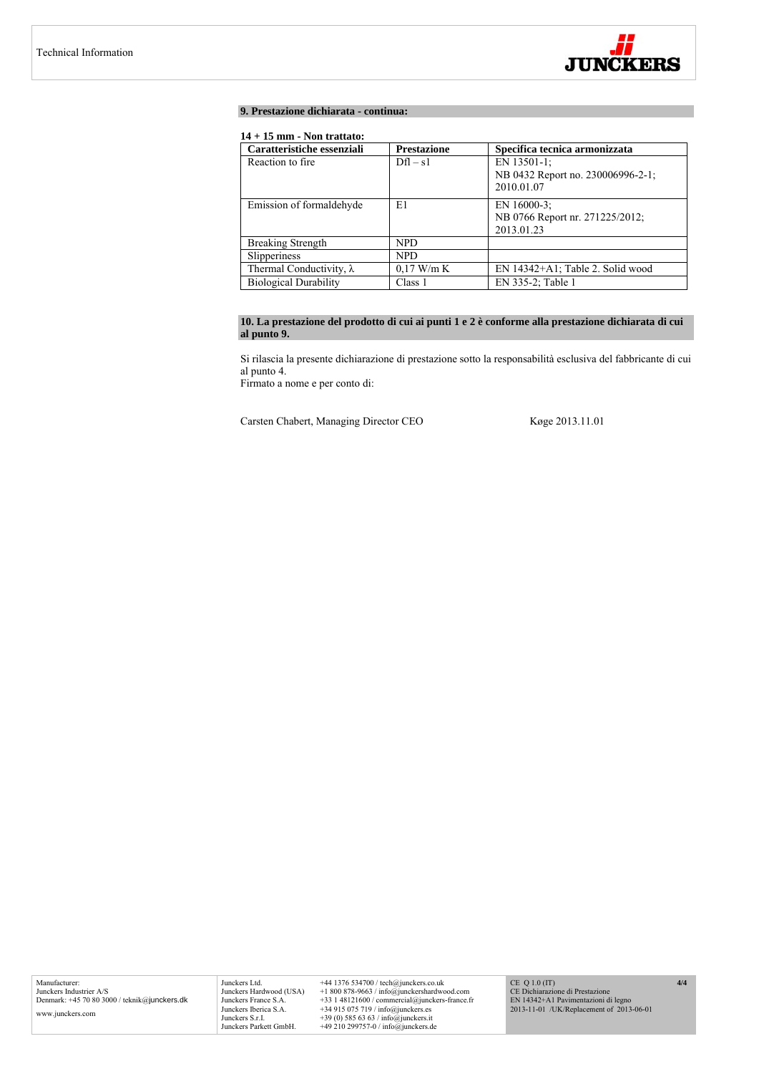

# **9. Prestazione dichiarata - continua:**

# **14 + 15 mm - Non trattato:**

| Caratteristiche essenziali      | <b>Prestazione</b> | Specifica tecnica armonizzata                                |
|---------------------------------|--------------------|--------------------------------------------------------------|
| Reaction to fire.               | $Dfl - s1$         | EN 13501-1:<br>NB 0432 Report no. 230006996-2-1;             |
|                                 |                    | 2010.01.07                                                   |
| Emission of formaldehyde        | E1                 | EN 16000-3:<br>NB 0766 Report nr. 271225/2012;<br>2013.01.23 |
| <b>Breaking Strength</b>        | NPD.               |                                                              |
| Slipperiness                    | NPD.               |                                                              |
| Thermal Conductivity, $\lambda$ | $0.17$ W/m K       | EN 14342+A1; Table 2. Solid wood                             |
| <b>Biological Durability</b>    | Class 1            | EN 335-2; Table 1                                            |

# **10. La prestazione del prodotto di cui ai punti 1 e 2 è conforme alla prestazione dichiarata di cui al punto 9.**

Si rilascia la presente dichiarazione di prestazione sotto la responsabilità esclusiva del fabbricante di cui al punto 4.

Firmato a nome e per conto di:

Carsten Chabert, Managing Director CEO Køge 2013.11.01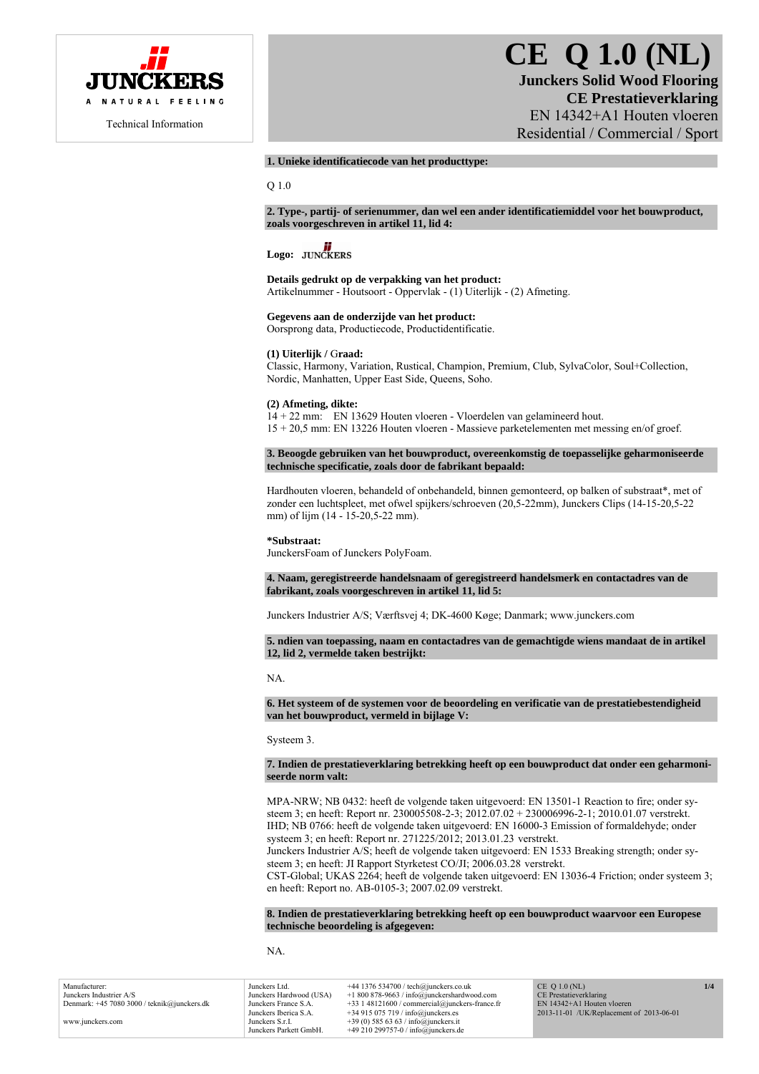

# **CE Q 1.0 (NL) Junckers Solid Wood Flooring CE Prestatieverklaring**  EN 14342+A1 Houten vloeren Residential / Commercial / Sport

# **1. Unieke identificatiecode van het producttype:**

Q 1.0

**2. Type-, partij- of serienummer, dan wel een ander identificatiemiddel voor het bouwproduct, zoals voorgeschreven in artikel 11, lid 4:** 

# Logo: **JUNCKERS**

**Details gedrukt op de verpakking van het product:**  Artikelnummer - Houtsoort - Oppervlak - (1) Uiterlijk - (2) Afmeting.

# **Gegevens aan de onderzijde van het product:**

Oorsprong data, Productiecode, Productidentificatie.

# **(1) Uiterlijk /** G**raad:**

Classic, Harmony, Variation, Rustical, Champion, Premium, Club, SylvaColor, Soul+Collection, Nordic, Manhatten, Upper East Side, Queens, Soho.

#### **(2) Afmeting, dikte:**

14 + 22 mm: EN 13629 Houten vloeren - Vloerdelen van gelamineerd hout. 15 + 20,5 mm: EN 13226 Houten vloeren - Massieve parketelementen met messing en/of groef.

**3. Beoogde gebruiken van het bouwproduct, overeenkomstig de toepasselijke geharmoniseerde technische specificatie, zoals door de fabrikant bepaald:** 

Hardhouten vloeren, behandeld of onbehandeld, binnen gemonteerd, op balken of substraat\*, met of zonder een luchtspleet, met ofwel spijkers/schroeven (20,5-22mm), Junckers Clips (14-15-20,5-22 mm) of lijm (14 - 15-20,5-22 mm).

**\*Substraat:** 

JunckersFoam of Junckers PolyFoam.

**4. Naam, geregistreerde handelsnaam of geregistreerd handelsmerk en contactadres van de fabrikant, zoals voorgeschreven in artikel 11, lid 5:** 

Junckers Industrier A/S; Værftsvej 4; DK-4600 Køge; Danmark; www.junckers.com

**5. ndien van toepassing, naam en contactadres van de gemachtigde wiens mandaat de in artikel 12, lid 2, vermelde taken bestrijkt:** 

NA.

**6. Het systeem of de systemen voor de beoordeling en verificatie van de prestatiebestendigheid van het bouwproduct, vermeld in bijlage V:** 

Systeem 3.

#### **7. Indien de prestatieverklaring betrekking heeft op een bouwproduct dat onder een geharmoniseerde norm valt:**

MPA-NRW; NB 0432: heeft de volgende taken uitgevoerd: EN 13501-1 Reaction to fire; onder systeem 3; en heeft: Report nr. 230005508-2-3; 2012.07.02 + 230006996-2-1; 2010.01.07 verstrekt. IHD; NB 0766: heeft de volgende taken uitgevoerd: EN 16000-3 Emission of formaldehyde; onder systeem 3; en heeft: Report nr. 271225/2012; 2013.01.23 verstrekt.

Junckers Industrier A/S; heeft de volgende taken uitgevoerd: EN 1533 Breaking strength; onder systeem 3; en heeft: JI Rapport Styrketest CO/JI; 2006.03.28 verstrekt.

CST-Global; UKAS 2264; heeft de volgende taken uitgevoerd: EN 13036-4 Friction; onder systeem 3; en heeft: Report no. AB-0105-3; 2007.02.09 verstrekt.

**8. Indien de prestatieverklaring betrekking heeft op een bouwproduct waarvoor een Europese technische beoordeling is afgegeven:** 

NA.

| Junckers Ltd.           | $+44$ 1376 534700 / tech@junckers.co.uk          | $CE$ O 1.0 (NL)                                                          | 1/4                    |
|-------------------------|--------------------------------------------------|--------------------------------------------------------------------------|------------------------|
| Junckers Hardwood (USA) | $+1800878-9663$ / info@junckershardwood.com      |                                                                          |                        |
| Junckers France S.A.    | $+33$ 1 48121600 / commercial@junckers-france.fr | EN 14342+A1 Houten vloeren                                               |                        |
| Junckers Iberica S.A.   |                                                  | 2013-11-01 /UK/Replacement of 2013-06-01                                 |                        |
| Junckers S.r.I.         | +39 (0) 585 63 63 / info@junckers.it             |                                                                          |                        |
| Junckers Parkett GmbH.  |                                                  |                                                                          |                        |
|                         |                                                  | $+34915075719$ / info@junckers.es<br>+49 210 299757-0 / info@junckers.de | CE Prestatieverklaring |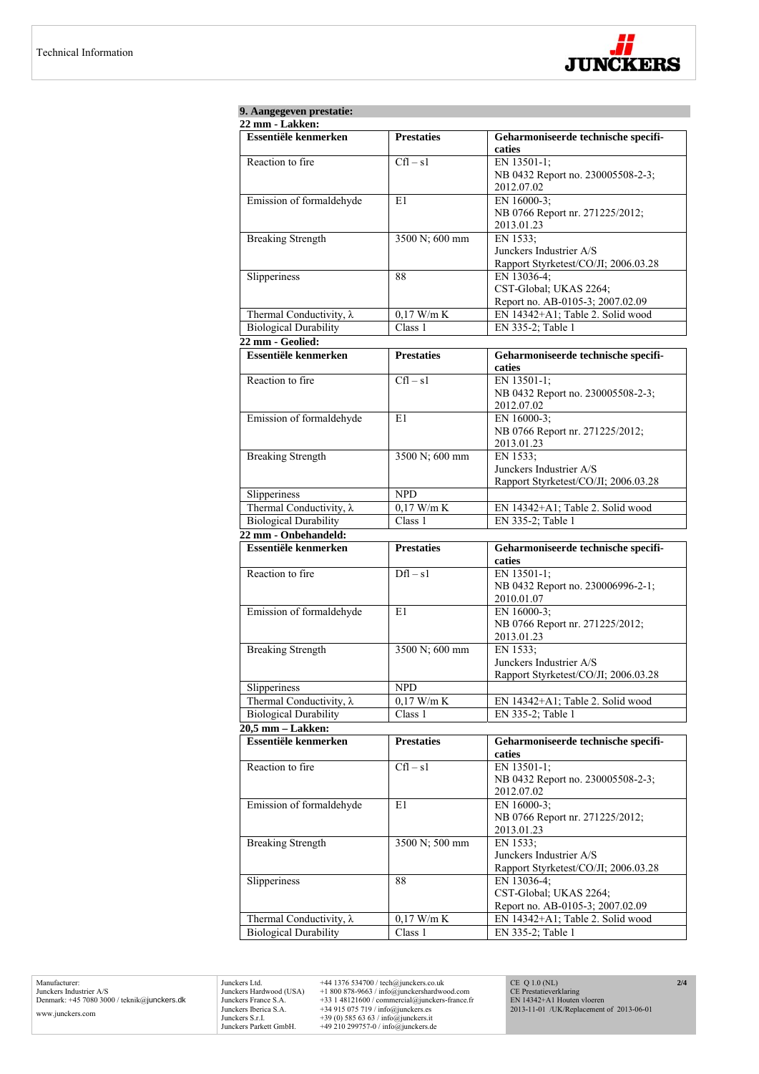

| 9. Aangegeven prestatie:<br>22 mm - Lakken:                     |                   |                                                                                                                   |
|-----------------------------------------------------------------|-------------------|-------------------------------------------------------------------------------------------------------------------|
| Essentiële kenmerken                                            | <b>Prestaties</b> | Geharmoniseerde technische specifi-<br>caties                                                                     |
| Reaction to fire                                                | $Cfl - s1$        | EN 13501-1;<br>NB 0432 Report no. 230005508-2-3;<br>2012.07.02                                                    |
| Emission of formaldehyde                                        | E1                | EN 16000-3;<br>NB 0766 Report nr. 271225/2012;<br>2013.01.23                                                      |
| <b>Breaking Strength</b>                                        | 3500 N; 600 mm    | EN 1533;<br>Junckers Industrier A/S<br>Rapport Styrketest/CO/JI; 2006.03.28                                       |
| Slipperiness                                                    | 88                | EN 13036-4;<br>CST-Global; UKAS 2264;<br>Report no. AB-0105-3; 2007.02.09                                         |
| Thermal Conductivity, $\lambda$                                 | $0,17$ W/m K      | EN 14342+A1; Table 2. Solid wood                                                                                  |
| <b>Biological Durability</b>                                    | Class 1           | EN 335-2; Table 1                                                                                                 |
| 22 mm - Geolied:                                                |                   |                                                                                                                   |
| <b>Essentiële kenmerken</b>                                     | <b>Prestaties</b> | Geharmoniseerde technische specifi-<br>caties                                                                     |
| Reaction to fire                                                | $Cfl - s1$        | EN 13501-1;<br>NB 0432 Report no. 230005508-2-3;<br>2012.07.02                                                    |
| Emission of formaldehyde                                        | E1                | EN 16000-3;<br>NB 0766 Report nr. 271225/2012;<br>2013.01.23                                                      |
| <b>Breaking Strength</b>                                        | 3500 N; 600 mm    | EN 1533;<br>Junckers Industrier A/S<br>Rapport Styrketest/CO/JI; 2006.03.28                                       |
| Slipperiness                                                    | <b>NPD</b>        |                                                                                                                   |
| Thermal Conductivity, λ                                         | $0,17$ W/m K      | EN 14342+A1; Table 2. Solid wood                                                                                  |
| <b>Biological Durability</b>                                    | Class 1           | EN 335-2; Table 1                                                                                                 |
| 22 mm - Onbehandeld:                                            |                   |                                                                                                                   |
| <b>Essentiële kenmerken</b>                                     | <b>Prestaties</b> | Geharmoniseerde technische specifi-<br>caties                                                                     |
| Reaction to fire                                                | $Df1 - s1$        | EN 13501-1;<br>NB 0432 Report no. 230006996-2-1;<br>2010.01.07                                                    |
| Emission of formaldehyde                                        | E1                | $EN$ 16000-3;<br>NB 0766 Report nr. 271225/2012;<br>2013.01.23                                                    |
| <b>Breaking Strength</b>                                        | 3500 N; 600 mm    | EN 1533;<br>Junckers Industrier A/S<br>Rapport Styrketest/CO/JI; 2006.03.28                                       |
| Slipperiness                                                    | <b>NPD</b>        |                                                                                                                   |
| Thermal Conductivity, $\lambda$                                 | $0,17$ W/m K      | EN 14342+A1; Table 2. Solid wood                                                                                  |
| <b>Biological Durability</b>                                    | Class 1           | EN 335-2; Table 1                                                                                                 |
| 20,5 mm - Lakken:                                               |                   |                                                                                                                   |
| <b>Essentiële kenmerken</b>                                     | <b>Prestaties</b> | Geharmoniseerde technische specifi-                                                                               |
| Reaction to fire                                                |                   |                                                                                                                   |
|                                                                 | $Cfl - s1$        | caties<br>EN 13501-1;<br>NB 0432 Report no. 230005508-2-3;<br>2012.07.02                                          |
| Emission of formaldehyde                                        | E1                | EN 16000-3:<br>NB 0766 Report nr. 271225/2012;<br>2013.01.23                                                      |
| <b>Breaking Strength</b>                                        | 3500 N; 500 mm    | EN 1533;<br>Junckers Industrier A/S                                                                               |
| Slipperiness                                                    | 88                | Rapport Styrketest/CO/JI; 2006.03.28<br>EN 13036-4;<br>CST-Global; UKAS 2264;<br>Report no. AB-0105-3; 2007.02.09 |
| Thermal Conductivity, $\lambda$<br><b>Biological Durability</b> | $0,17$ W/m K      | EN 14342+A1; Table 2. Solid wood                                                                                  |

Manufacturer: Junckers Industrier A/S Denmark: +45 7080 3000 / teknik@junckers.dk www.junckers.com

Junckers Ltd.  $+44$  1376 534700 / tech@junckers co.uk<br>Junckers Hardwood (USA)  $+18008789.63$  / info@junckershardwood.com<br>Junckers France S.A.  $+33$  148121600 / commercial@junckers-france.fr<br>Junckers Berica S.A.  $+34915075$ 

CE Q 1.0 (NL) CE Prestatieverklaring EN 14342+A1 Houten vloeren 2013-11-01 /UK/Replacement of 2013-06-01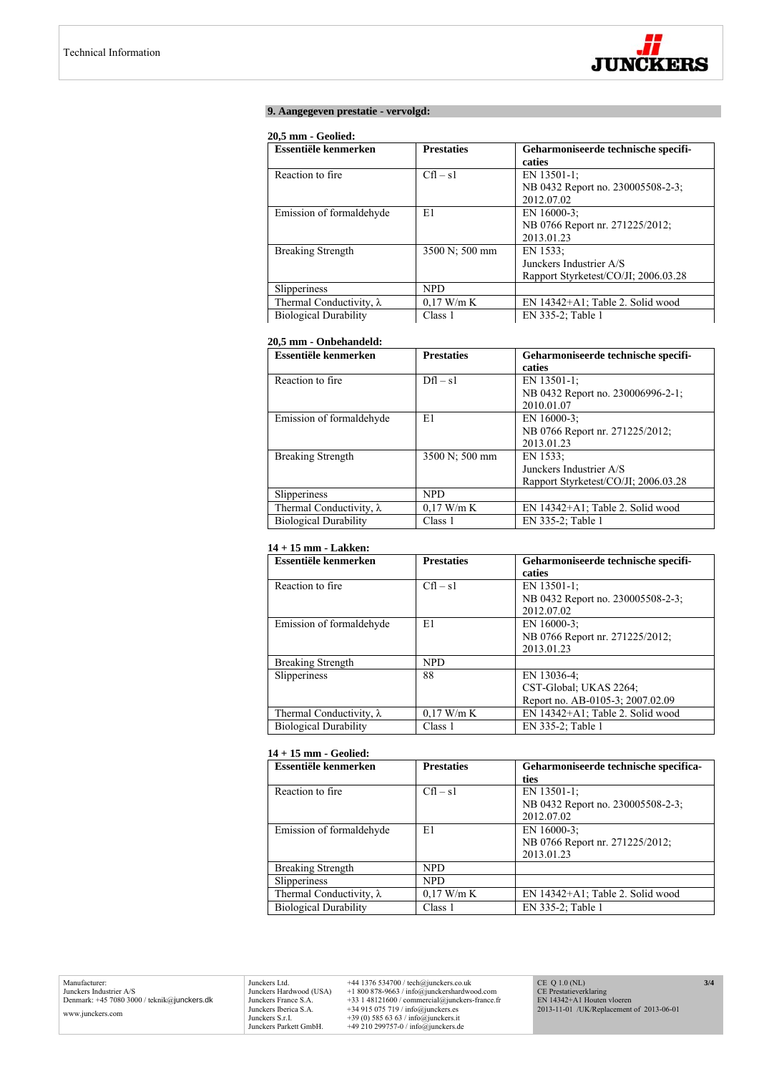

## **9. Aangegeven prestatie - vervolgd:**

# **20,5 mm - Geolied:**

| Essentiële kenmerken            | <b>Prestaties</b> | Geharmoniseerde technische specifi-  |
|---------------------------------|-------------------|--------------------------------------|
|                                 |                   | caties                               |
| Reaction to fire.               | $Cfl - s1$        | EN 13501-1;                          |
|                                 |                   | NB 0432 Report no. 230005508-2-3;    |
|                                 |                   | 2012.07.02                           |
| Emission of formaldehyde        | E1                | EN 16000-3;                          |
|                                 |                   | NB 0766 Report nr. 271225/2012;      |
|                                 |                   | 2013.01.23                           |
| <b>Breaking Strength</b>        | 3500 N; 500 mm    | EN 1533:                             |
|                                 |                   | Junckers Industrier A/S              |
|                                 |                   | Rapport Styrketest/CO/JI; 2006.03.28 |
| Slipperiness                    | <b>NPD</b>        |                                      |
| Thermal Conductivity, $\lambda$ | $0.17$ W/m K      | EN 14342+A1; Table 2. Solid wood     |
| <b>Biological Durability</b>    | Class 1           | EN 335-2; Table 1                    |

# **20,5 mm - Onbehandeld:**

| Essentiële kenmerken            | <b>Prestaties</b> | Geharmoniseerde technische specifi-  |
|---------------------------------|-------------------|--------------------------------------|
|                                 |                   | caties                               |
| Reaction to fire.               | $Dfl - s1$        | EN 13501-1:                          |
|                                 |                   | NB 0432 Report no. 230006996-2-1;    |
|                                 |                   | 2010.01.07                           |
| Emission of formaldehyde        | E1                | EN 16000-3:                          |
|                                 |                   | NB 0766 Report nr. 271225/2012;      |
|                                 |                   | 2013.01.23                           |
| <b>Breaking Strength</b>        | 3500 N; 500 mm    | EN 1533:                             |
|                                 |                   | Junckers Industrier A/S              |
|                                 |                   | Rapport Styrketest/CO/JI; 2006.03.28 |
| Slipperiness                    | <b>NPD</b>        |                                      |
| Thermal Conductivity, $\lambda$ | $0.17$ W/m K      | EN 14342+A1; Table 2. Solid wood     |
| <b>Biological Durability</b>    | Class 1           | EN 335-2; Table 1                    |

#### **14 + 15 mm - Lakken:**

| Essentiële kenmerken            | <b>Prestaties</b> | Geharmoniseerde technische specifi- |
|---------------------------------|-------------------|-------------------------------------|
|                                 |                   | caties                              |
| Reaction to fire.               | $Cfl - s1$        | EN 13501-1:                         |
|                                 |                   | NB 0432 Report no. 230005508-2-3;   |
|                                 |                   | 2012.07.02                          |
| Emission of formaldehyde        | E1                | EN 16000-3:                         |
|                                 |                   | NB 0766 Report nr. 271225/2012;     |
|                                 |                   | 2013.01.23                          |
| <b>Breaking Strength</b>        | <b>NPD</b>        |                                     |
| Slipperiness                    | 88                | EN 13036-4;                         |
|                                 |                   | CST-Global; UKAS 2264;              |
|                                 |                   | Report no. AB-0105-3; 2007.02.09    |
| Thermal Conductivity, $\lambda$ | $0.17$ W/m K      | EN 14342+A1; Table 2. Solid wood    |
| <b>Biological Durability</b>    | Class 1           | EN 335-2; Table 1                   |

# **14 + 15 mm - Geolied:**

| Essentiële kenmerken            | <b>Prestaties</b> | Geharmoniseerde technische specifica- |
|---------------------------------|-------------------|---------------------------------------|
|                                 |                   | ties                                  |
| Reaction to fire.               | $Cfl - s1$        | EN 13501-1:                           |
|                                 |                   | NB 0432 Report no. 230005508-2-3;     |
|                                 |                   | 2012.07.02                            |
| Emission of formaldehyde        | E1                | EN 16000-3:                           |
|                                 |                   | NB 0766 Report nr. 271225/2012;       |
|                                 |                   | 2013.01.23                            |
| <b>Breaking Strength</b>        | <b>NPD</b>        |                                       |
| Slipperiness                    | <b>NPD</b>        |                                       |
| Thermal Conductivity, $\lambda$ | $0.17$ W/m K      | EN 14342+A1; Table 2. Solid wood      |
| <b>Biological Durability</b>    | Class 1           | EN 335-2; Table 1                     |

Junckers Ltd.  $+44$  1376 534700 / tech@junckers.co.uk<br>Junckers Hardwood (USA)  $+18008789.63$  / info@junckershardwood.com<br>Junckers France S.A.  $+33$  148121600 / commercial@junckers-france.fr<br>Junckers Berica S.A.  $+34915075$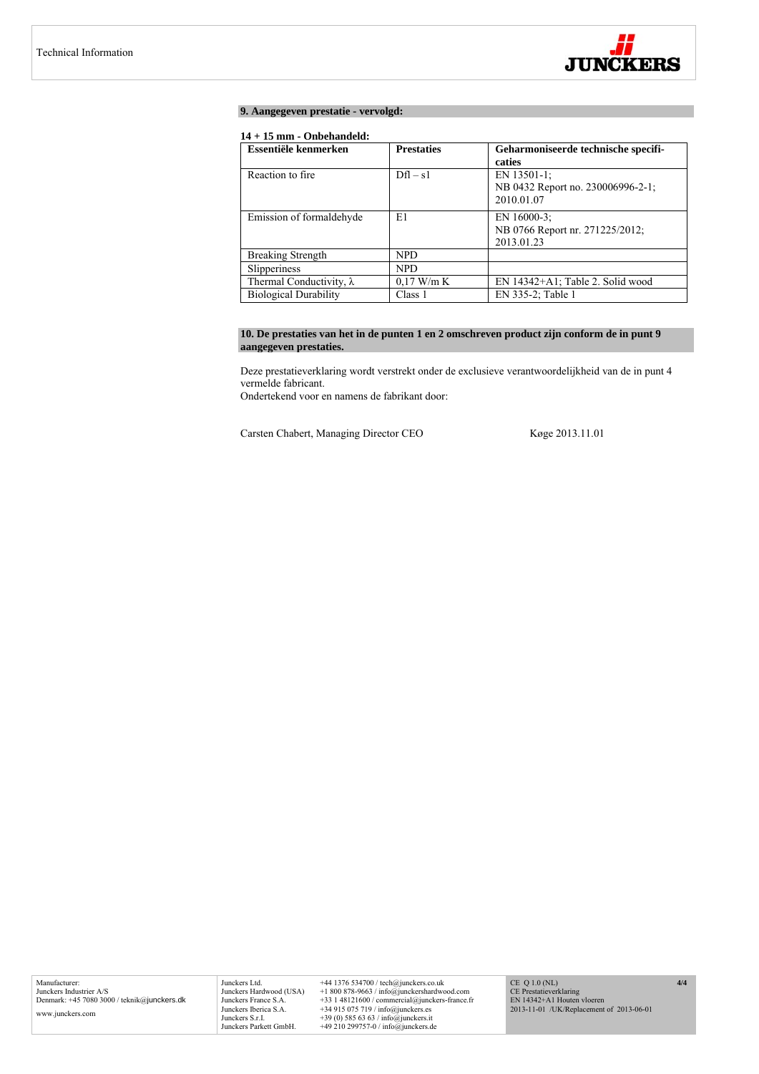

# **9. Aangegeven prestatie - vervolgd:**

# **14 + 15 mm - Onbehandeld:**

| Essentiële kenmerken            | <b>Prestaties</b> | Geharmoniseerde technische specifi- |
|---------------------------------|-------------------|-------------------------------------|
|                                 |                   | caties                              |
| Reaction to fire.               | $Dfl - s1$        | EN 13501-1:                         |
|                                 |                   | NB 0432 Report no. 230006996-2-1;   |
|                                 |                   | 2010.01.07                          |
| Emission of formaldehyde        | E1                | EN 16000-3:                         |
|                                 |                   | NB 0766 Report nr. 271225/2012;     |
|                                 |                   | 2013.01.23                          |
| <b>Breaking Strength</b>        | <b>NPD</b>        |                                     |
| Slipperiness                    | <b>NPD</b>        |                                     |
| Thermal Conductivity, $\lambda$ | $0.17$ W/m K      | EN 14342+A1; Table 2. Solid wood    |
| <b>Biological Durability</b>    | Class 1           | EN 335-2; Table 1                   |

# **10. De prestaties van het in de punten 1 en 2 omschreven product zijn conform de in punt 9 aangegeven prestaties.**

Deze prestatieverklaring wordt verstrekt onder de exclusieve verantwoordelijkheid van de in punt 4 vermelde fabricant.

Ondertekend voor en namens de fabrikant door:

Carsten Chabert, Managing Director CEO Køge 2013.11.01

Junckers Ltd. +44 1376 534700 / tech@junckers.co.uk<br>Junckers Hardwood (USA) +1 800 878-9663 / info@junckershardwc Junckers Hardwood (USA) +1 800 878-9663 / info@junckershardwood.com<br>Junckers Iberica S.A. +33 1 48121600 / commercial@junckers-france.fr<br>Junckers Iberica S.A. +34 915 075 719 / info@junckers.est<br>Junckers S.r.I. +39 (0) 585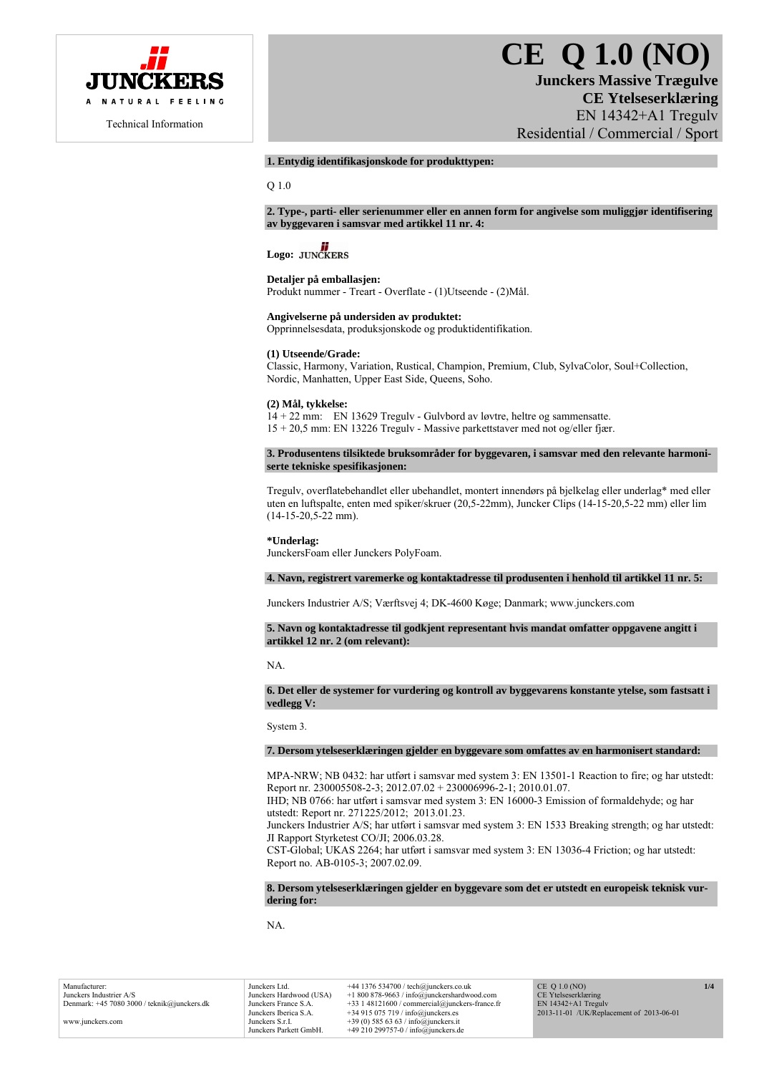

# **CE Q 1.0 (NO) Junckers Massive Trægulve**

**CE Ytelseserklæring**  EN 14342+A1 Tregulv Residential / Commercial / Sport

# **1. Entydig identifikasjonskode for produkttypen:**

Q 1.0

#### **2. Type-, parti- eller serienummer eller en annen form for angivelse som muliggjør identifisering av byggevaren i samsvar med artikkel 11 nr. 4:**

# Logo: **JUNCKERS**

#### **Detaljer på emballasjen:**

Produkt nummer - Treart - Overflate - (1)Utseende - (2)Mål.

#### **Angivelserne på undersiden av produktet:**

Opprinnelsesdata, produksjonskode og produktidentifikation.

# **(1) Utseende/Grade:**

Classic, Harmony, Variation, Rustical, Champion, Premium, Club, SylvaColor, Soul+Collection, Nordic, Manhatten, Upper East Side, Queens, Soho.

#### **(2) Mål, tykkelse:**

14 + 22 mm: EN 13629 Tregulv - Gulvbord av løvtre, heltre og sammensatte. 15 + 20,5 mm: EN 13226 Tregulv - Massive parkettstaver med not og/eller fjær.

**3. Produsentens tilsiktede bruksområder for byggevaren, i samsvar med den relevante harmoniserte tekniske spesifikasjonen:** 

Tregulv, overflatebehandlet eller ubehandlet, montert innendørs på bjelkelag eller underlag\* med eller uten en luftspalte, enten med spiker/skruer (20,5-22mm), Juncker Clips (14-15-20,5-22 mm) eller lim (14-15-20,5-22 mm).

# **\*Underlag:**

JunckersFoam eller Junckers PolyFoam.

# **4. Navn, registrert varemerke og kontaktadresse til produsenten i henhold til artikkel 11 nr. 5:**

Junckers Industrier A/S; Værftsvej 4; DK-4600 Køge; Danmark; www.junckers.com

**5. Navn og kontaktadresse til godkjent representant hvis mandat omfatter oppgavene angitt i artikkel 12 nr. 2 (om relevant):** 

NA.

**6. Det eller de systemer for vurdering og kontroll av byggevarens konstante ytelse, som fastsatt i vedlegg V:** 

System 3.

#### **7. Dersom ytelseserklæringen gjelder en byggevare som omfattes av en harmonisert standard:**

MPA-NRW; NB 0432: har utført i samsvar med system 3: EN 13501-1 Reaction to fire; og har utstedt: Report nr. 230005508-2-3; 2012.07.02 + 230006996-2-1; 2010.01.07.

IHD; NB 0766: har utført i samsvar med system 3: EN 16000-3 Emission of formaldehyde; og har utstedt: Report nr. 271225/2012; 2013.01.23.

Junckers Industrier A/S; har utført i samsvar med system 3: EN 1533 Breaking strength; og har utstedt: JI Rapport Styrketest CO/JI; 2006.03.28.

CST-Global; UKAS 2264; har utført i samsvar med system 3: EN 13036-4 Friction; og har utstedt: Report no. AB-0105-3; 2007.02.09.

# **8. Dersom ytelseserklæringen gjelder en byggevare som det er utstedt en europeisk teknisk vurdering for:**

NA.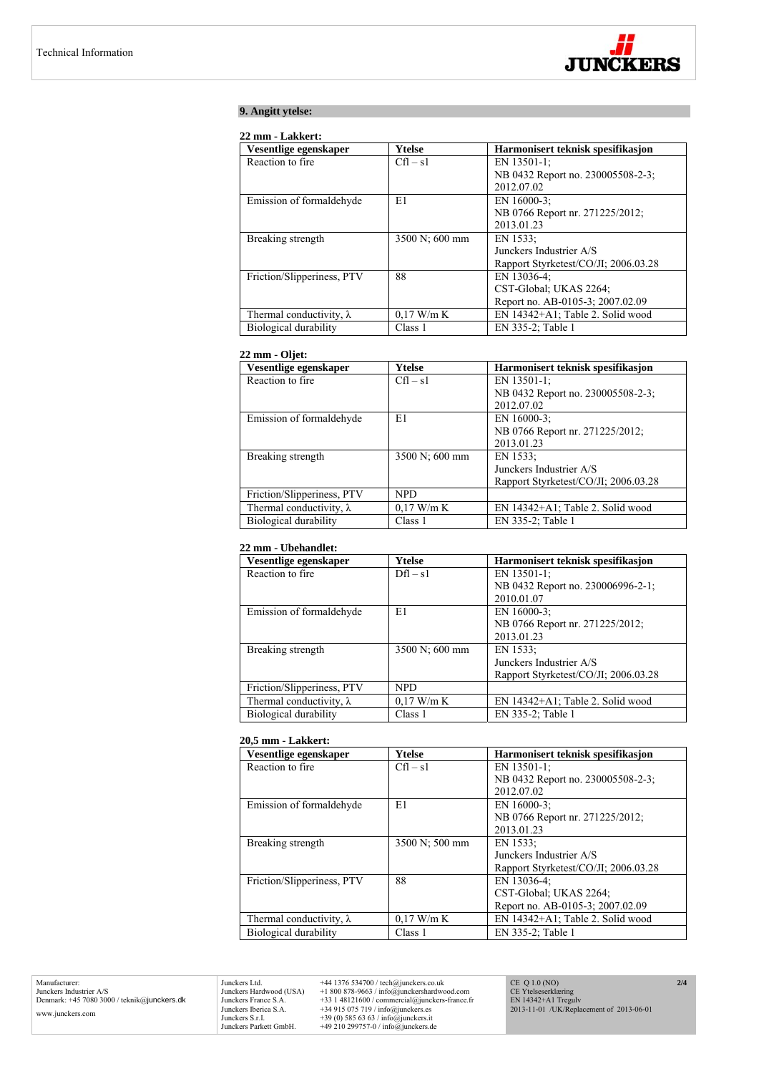

# **9. Angitt ytelse:**

## **22 mm - Lakkert:**

| Vesentlige egenskaper           | Ytelse         | Harmonisert teknisk spesifikasjon    |
|---------------------------------|----------------|--------------------------------------|
| Reaction to fire.               | $Cfl - s1$     | EN 13501-1:                          |
|                                 |                | NB 0432 Report no. 230005508-2-3;    |
|                                 |                | 2012.07.02                           |
| Emission of formaldehyde        | E1             | EN 16000-3:                          |
|                                 |                | NB 0766 Report nr. 271225/2012;      |
|                                 |                | 2013.01.23                           |
| Breaking strength               | 3500 N; 600 mm | EN 1533:                             |
|                                 |                | Junckers Industrier A/S              |
|                                 |                | Rapport Styrketest/CO/JI; 2006.03.28 |
| Friction/Slipperiness, PTV      | 88             | EN 13036-4;                          |
|                                 |                | CST-Global: UKAS 2264;               |
|                                 |                | Report no. AB-0105-3; 2007.02.09     |
| Thermal conductivity, $\lambda$ | $0.17$ W/m K   | EN 14342+A1; Table 2. Solid wood     |
| Biological durability           | Class 1        | EN 335-2; Table 1                    |

# **22 mm - Oljet:**

| Vesentlige egenskaper           | <b>Ytelse</b>  | Harmonisert teknisk spesifikasjon    |
|---------------------------------|----------------|--------------------------------------|
| Reaction to fire.               | $Cfl - s1$     | EN 13501-1;                          |
|                                 |                | NB 0432 Report no. 230005508-2-3;    |
|                                 |                | 2012.07.02                           |
| Emission of formaldehyde        | E1             | EN 16000-3:                          |
|                                 |                | NB 0766 Report nr. 271225/2012;      |
|                                 |                | 2013.01.23                           |
| Breaking strength               | 3500 N; 600 mm | EN 1533;                             |
|                                 |                | Junckers Industrier A/S              |
|                                 |                | Rapport Styrketest/CO/JI; 2006.03.28 |
| Friction/Slipperiness, PTV      | <b>NPD</b>     |                                      |
| Thermal conductivity, $\lambda$ | $0.17$ W/m K   | EN 14342+A1; Table 2. Solid wood     |
| Biological durability           | Class 1        | EN 335-2; Table 1                    |

## **22 mm - Ubehandlet:**

| Vesentlige egenskaper           | Ytelse         | Harmonisert teknisk spesifikasjon    |
|---------------------------------|----------------|--------------------------------------|
| Reaction to fire.               | $Dfl - s1$     | EN 13501-1;                          |
|                                 |                | NB 0432 Report no. 230006996-2-1;    |
|                                 |                | 2010.01.07                           |
| Emission of formaldehyde        | E1             | EN 16000-3:                          |
|                                 |                | NB 0766 Report nr. 271225/2012;      |
|                                 |                | 2013.01.23                           |
| Breaking strength               | 3500 N; 600 mm | EN 1533:                             |
|                                 |                | Junckers Industrier A/S              |
|                                 |                | Rapport Styrketest/CO/JI; 2006.03.28 |
| Friction/Slipperiness, PTV      | NPD.           |                                      |
| Thermal conductivity, $\lambda$ | $0.17$ W/m K   | EN 14342+A1; Table 2. Solid wood     |
| Biological durability           | Class 1        | EN 335-2; Table 1                    |

#### **20,5 mm - Lakkert:**

| Vesentlige egenskaper           | Ytelse         | Harmonisert teknisk spesifikasjon    |
|---------------------------------|----------------|--------------------------------------|
| Reaction to fire                | $Cfl - s1$     | EN 13501-1;                          |
|                                 |                | NB 0432 Report no. 230005508-2-3;    |
|                                 |                | 2012.07.02                           |
| Emission of formaldehyde        | E1             | EN $16000-3$ :                       |
|                                 |                | NB 0766 Report nr. 271225/2012;      |
|                                 |                | 2013.01.23                           |
| Breaking strength               | 3500 N; 500 mm | EN 1533:                             |
|                                 |                | Junckers Industrier A/S              |
|                                 |                | Rapport Styrketest/CO/JI; 2006.03.28 |
| Friction/Slipperiness, PTV      | 88             | EN 13036-4:                          |
|                                 |                | CST-Global; UKAS 2264;               |
|                                 |                | Report no. AB-0105-3; 2007.02.09     |
| Thermal conductivity, $\lambda$ | $0.17$ W/m K   | EN 14342+A1; Table 2. Solid wood     |
| Biological durability           | Class 1        | EN 335-2; Table 1                    |

Manufacturer: Junckers Industrier A/S Denmark: +45 7080 3000 / teknik@junckers.dk www.junckers.com

Junckers Ltd.  $+44 1376 534700$  / tech@junckers.co.uk<br>Junckers Hardwood (USA)  $+1 800 878-9663$  / info@junckershardwc<br>Junckers France S.A.  $+33 1 48121600$  / commercial@junckers.<br>Junckers Sherica S.A.  $+34 915 075 719$  / Junckers Hardwood (USA) +1 800 878-9663 / info@junckershardwood.com<br>Junckers Iberica S.A. +33 1 48121600 / commercial@junckers-france.fr<br>Junckers Iberica S.A. +34 915 075 719 / info@junckers.est<br>Junckers S.r.I. +39 (0) 585

CE Q 1.0 (NO) CE Ytelseserklæring EN 14342+A1 Tregulv 2013-11-01 /UK/Replacement of 2013-06-01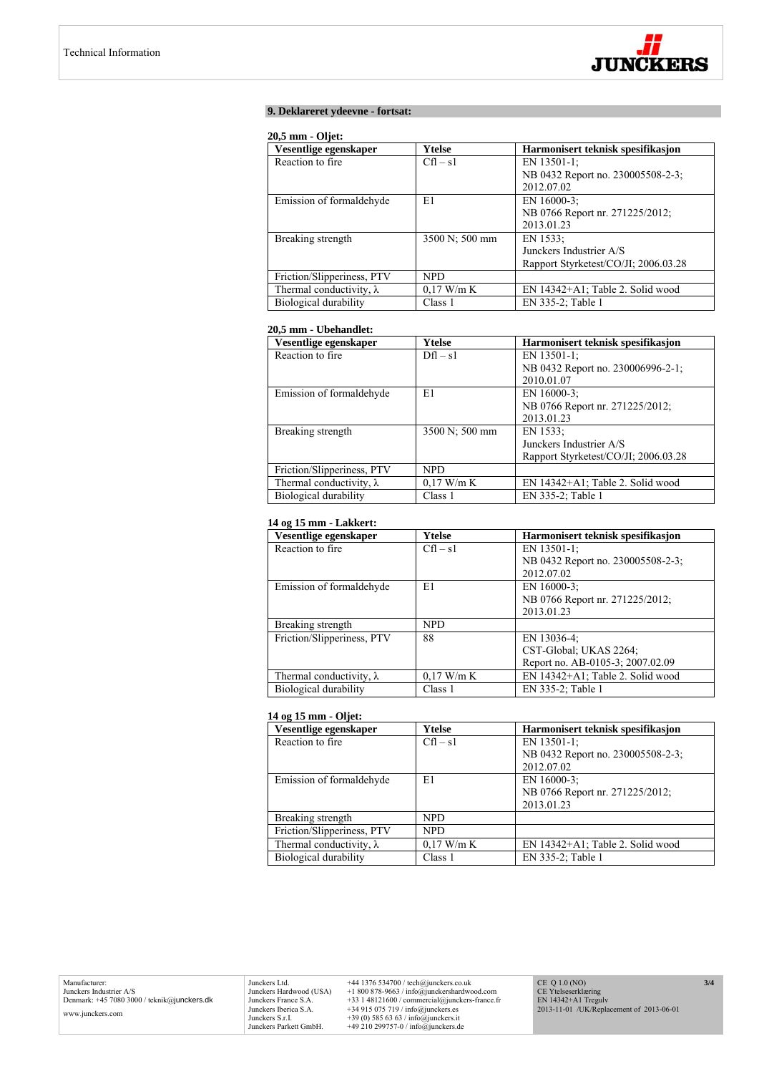

# **9. Deklareret ydeevne - fortsat:**

#### **20,5 mm - Oljet:**

| Vesentlige egenskaper           | Ytelse         | Harmonisert teknisk spesifikasjon    |
|---------------------------------|----------------|--------------------------------------|
| Reaction to fire.               | $Cfl - s1$     | EN 13501-1:                          |
|                                 |                | NB 0432 Report no. 230005508-2-3;    |
|                                 |                | 2012.07.02                           |
| Emission of formaldehyde        | E1             | EN $16000-3$ ;                       |
|                                 |                | NB 0766 Report nr. 271225/2012;      |
|                                 |                | 2013.01.23                           |
| Breaking strength               | 3500 N; 500 mm | EN 1533:                             |
|                                 |                | Junckers Industrier A/S              |
|                                 |                | Rapport Styrketest/CO/JI; 2006.03.28 |
| Friction/Slipperiness, PTV      | NPD.           |                                      |
| Thermal conductivity, $\lambda$ | $0.17$ W/m K   | EN 14342+A1; Table 2. Solid wood     |
| Biological durability           | Class 1        | EN 335-2; Table 1                    |

# **20,5 mm - Ubehandlet:**

| Vesentlige egenskaper           | Ytelse         | Harmonisert teknisk spesifikasjon    |
|---------------------------------|----------------|--------------------------------------|
| Reaction to fire.               | $Dfl - s1$     | EN 13501-1:                          |
|                                 |                | NB 0432 Report no. 230006996-2-1;    |
|                                 |                | 2010.01.07                           |
| Emission of formaldehyde        | E1             | EN 16000-3:                          |
|                                 |                | NB 0766 Report nr. 271225/2012;      |
|                                 |                | 2013.01.23                           |
| Breaking strength               | 3500 N; 500 mm | EN 1533:                             |
|                                 |                | Junckers Industrier A/S              |
|                                 |                | Rapport Styrketest/CO/JI; 2006.03.28 |
| Friction/Slipperiness, PTV      | <b>NPD</b>     |                                      |
| Thermal conductivity, $\lambda$ | $0.17$ W/m K   | EN 14342+A1; Table 2. Solid wood     |
| Biological durability           | Class 1        | EN 335-2; Table 1                    |

# **14 og 15 mm - Lakkert:**

| Vesentlige egenskaper           | Ytelse       | Harmonisert teknisk spesifikasjon |
|---------------------------------|--------------|-----------------------------------|
| Reaction to fire.               | $Cfl - s1$   | EN 13501-1:                       |
|                                 |              | NB 0432 Report no. 230005508-2-3; |
|                                 |              | 2012.07.02                        |
| Emission of formaldehyde        | E1           | EN 16000-3:                       |
|                                 |              | NB 0766 Report nr. 271225/2012;   |
|                                 |              | 2013.01.23                        |
| Breaking strength               | <b>NPD</b>   |                                   |
| Friction/Slipperiness, PTV      | 88           | EN 13036-4;                       |
|                                 |              | CST-Global; UKAS 2264;            |
|                                 |              | Report no. AB-0105-3; 2007.02.09  |
| Thermal conductivity, $\lambda$ | $0.17$ W/m K | EN 14342+A1; Table 2. Solid wood  |
| Biological durability           | Class 1      | EN 335-2; Table 1                 |

# **14 og 15 mm - Oljet:**

| Vesentlige egenskaper           | Ytelse       | Harmonisert teknisk spesifikasjon |
|---------------------------------|--------------|-----------------------------------|
| Reaction to fire.               | $Cfl - s1$   | EN 13501-1:                       |
|                                 |              | NB 0432 Report no. 230005508-2-3; |
|                                 |              | 2012.07.02                        |
| Emission of formaldehyde        | E1           | EN 16000-3:                       |
|                                 |              | NB 0766 Report nr. 271225/2012;   |
|                                 |              | 2013.01.23                        |
| Breaking strength               | <b>NPD</b>   |                                   |
| Friction/Slipperiness, PTV      | <b>NPD</b>   |                                   |
| Thermal conductivity, $\lambda$ | $0.17$ W/m K | EN 14342+A1; Table 2. Solid wood  |
| Biological durability           | Class 1      | EN 335-2; Table 1                 |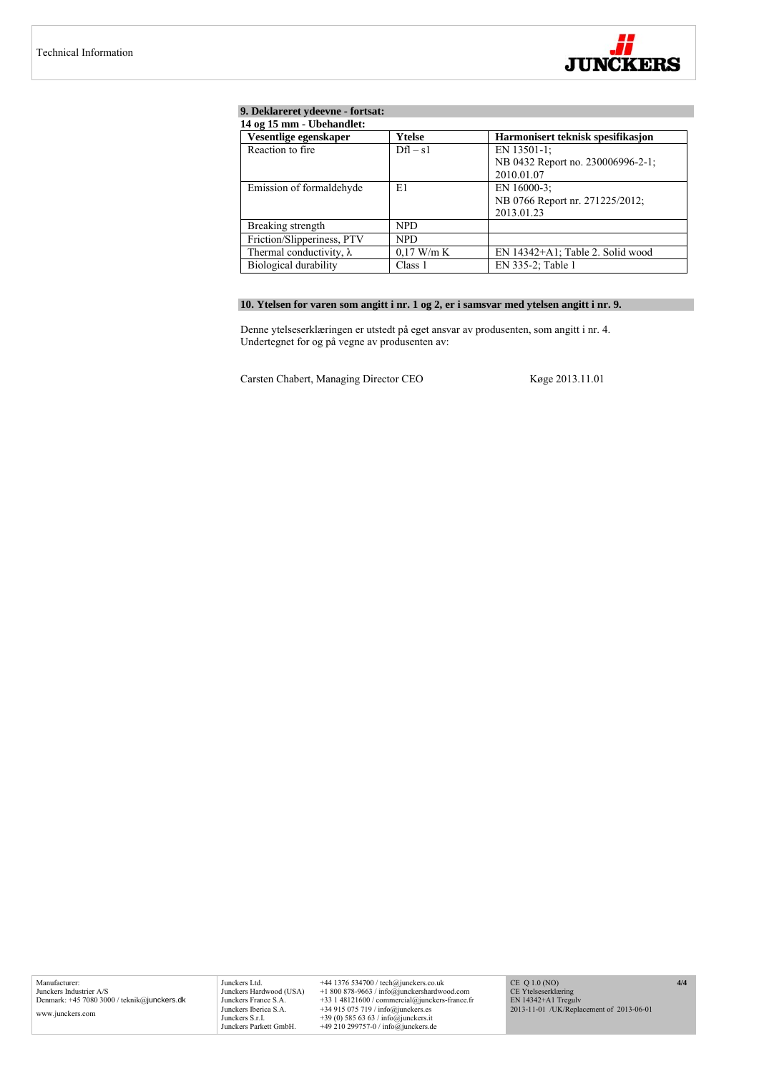

# **9. Deklareret ydeevne - fortsat:**

| 14 og 15 mm - Ubehandlet:       |              |                                   |  |
|---------------------------------|--------------|-----------------------------------|--|
| Vesentlige egenskaper           | Ytelse       | Harmonisert teknisk spesifikasjon |  |
| Reaction to fire.               | $Dfl - s1$   | EN 13501-1;                       |  |
|                                 |              | NB 0432 Report no. 230006996-2-1; |  |
|                                 |              | 2010.01.07                        |  |
| Emission of formaldehyde        | E1           | EN 16000-3:                       |  |
|                                 |              | NB 0766 Report nr. 271225/2012;   |  |
|                                 |              | 2013.01.23                        |  |
| Breaking strength               | NPD.         |                                   |  |
| Friction/Slipperiness, PTV      | NPD.         |                                   |  |
| Thermal conductivity, $\lambda$ | $0.17$ W/m K | EN 14342+A1; Table 2. Solid wood  |  |
| Biological durability           | Class 1      | EN 335-2; Table 1                 |  |

# **10. Ytelsen for varen som angitt i nr. 1 og 2, er i samsvar med ytelsen angitt i nr. 9.**

Denne ytelseserklæringen er utstedt på eget ansvar av produsenten, som angitt i nr. 4. Undertegnet for og på vegne av produsenten av:

Carsten Chabert, Managing Director CEO Køge 2013.11.01

Junckers Ltd. +44 1376 534700 / tech@junckers.co.uk<br>Junckers Hardwood (USA) +1 800 878-9663 / info@junckershardwc Junckers Hardwood (USA) +1 800 878-9663 / info@junckershardwood.com<br>Junckers Iberica S.A. +33 1 48121600 / commercial@junckers-france.fr<br>Junckers Iberica S.A. +34 915 075 719 / info@junckers.est<br>Junckers S.r.I. +39 (0) 585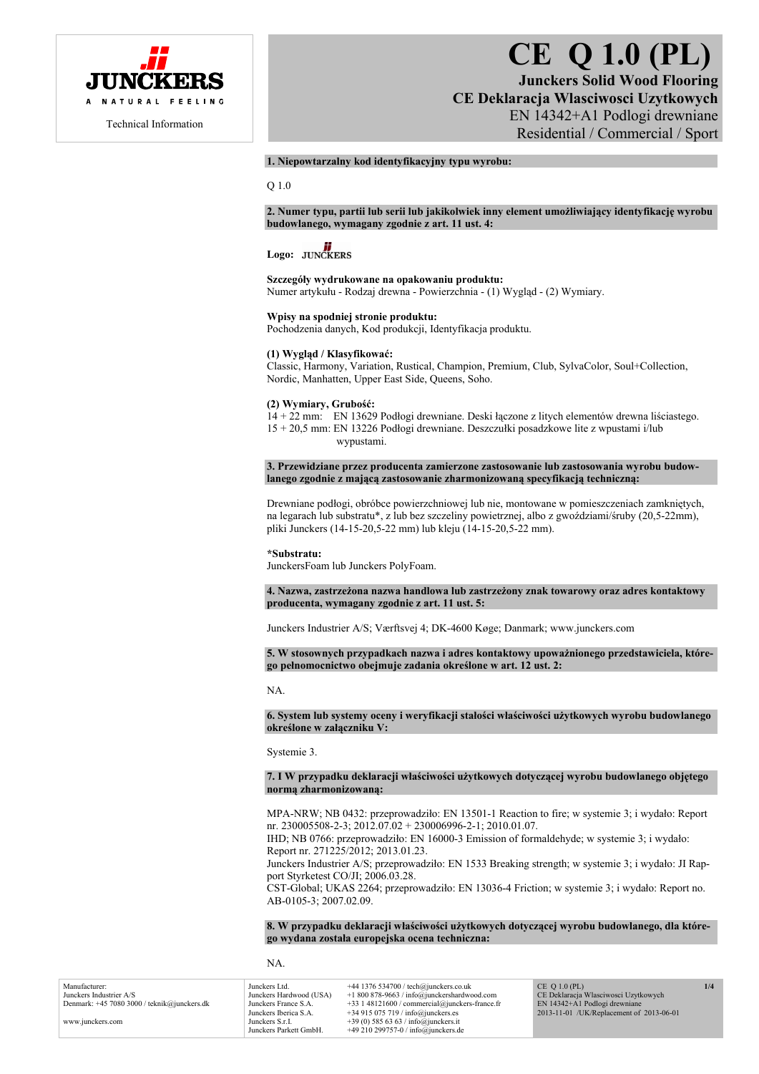

# **CE Q 1.0 (PL)**

**Junckers Solid Wood Flooring CE Deklaracja Wlasciwosci Uzytkowych**  EN 14342+A1 Podlogi drewniane Residential / Commercial / Sport

### **1. Niepowtarzalny kod identyfikacyjny typu wyrobu:**

Q 1.0

**2. Numer typu, partii lub serii lub jakikolwiek inny element umożliwiający identyfikację wyrobu budowlanego, wymagany zgodnie z art. 11 ust. 4:** 

# Logo: **JUNCKERS**

**Szczegóły wydrukowane na opakowaniu produktu:**  Numer artykułu - Rodzaj drewna - Powierzchnia - (1) Wygląd - (2) Wymiary.

**Wpisy na spodniej stronie produktu:** 

Pochodzenia danych, Kod produkcji, Identyfikacja produktu.

## **(1) Wygląd / Klasyfikować:**

Classic, Harmony, Variation, Rustical, Champion, Premium, Club, SylvaColor, Soul+Collection, Nordic, Manhatten, Upper East Side, Queens, Soho.

#### **(2) Wymiary, Grubość:**

14 + 22 mm: EN 13629 Podłogi drewniane. Deski łączone z litych elementów drewna liściastego. 15 + 20,5 mm: EN 13226 Podłogi drewniane. Deszczułki posadzkowe lite z wpustami i/lub wypustami.

**3. Przewidziane przez producenta zamierzone zastosowanie lub zastosowania wyrobu budowlanego zgodnie z mającą zastosowanie zharmonizowaną specyfikacją techniczną:** 

Drewniane podłogi, obróbce powierzchniowej lub nie, montowane w pomieszczeniach zamkniętych, na legarach lub substratu\*, z lub bez szczeliny powietrznej, albo z gwoździami/śruby (20,5-22mm), pliki Junckers (14-15-20,5-22 mm) lub kleju (14-15-20,5-22 mm).

#### **\*Substratu:**

JunckersFoam lub Junckers PolyFoam.

**4. Nazwa, zastrzeżona nazwa handlowa lub zastrzeżony znak towarowy oraz adres kontaktowy producenta, wymagany zgodnie z art. 11 ust. 5:** 

Junckers Industrier A/S; Værftsvej 4; DK-4600 Køge; Danmark; www.junckers.com

**5. W stosownych przypadkach nazwa i adres kontaktowy upoważnionego przedstawiciela, którego pełnomocnictwo obejmuje zadania określone w art. 12 ust. 2:** 

NA.

**6. System lub systemy oceny i weryfikacji stałości właściwości użytkowych wyrobu budowlanego określone w załączniku V:** 

Systemie 3.

**7. I W przypadku deklaracji właściwości użytkowych dotyczącej wyrobu budowlanego objętego normą zharmonizowaną:** 

MPA-NRW; NB 0432: przeprowadziło: EN 13501-1 Reaction to fire; w systemie 3; i wydało: Report nr. 230005508-2-3; 2012.07.02 + 230006996-2-1; 2010.01.07.

IHD; NB 0766: przeprowadziło: EN 16000-3 Emission of formaldehyde; w systemie 3; i wydało: Report nr. 271225/2012; 2013.01.23.

Junckers Industrier A/S; przeprowadziło: EN 1533 Breaking strength; w systemie 3; i wydało: JI Rapport Styrketest CO/JI; 2006.03.28.

CST-Global; UKAS 2264; przeprowadziło: EN 13036-4 Friction; w systemie 3; i wydało: Report no. AB-0105-3; 2007.02.09.

**8. W przypadku deklaracji właściwości użytkowych dotyczącej wyrobu budowlanego, dla którego wydana została europejska ocena techniczna:** 

NA.

| Manufacturer:                                 | Junckers Ltd.           | $+44$ 1376 534700 / tech@junckers.co.uk          | CE $O(1.0 (PL))$                         | 1/4 |
|-----------------------------------------------|-------------------------|--------------------------------------------------|------------------------------------------|-----|
| Junckers Industrier A/S                       | Junckers Hardwood (USA) | $+1800878-9663$ / info@junckershardwood.com      | CE Deklaracja Własciwosci Uzytkowych     |     |
| Denmark: $+45$ 7080 3000 / teknik@junckers.dk | Junckers France S.A.    | $+33$ 1 48121600 / commercial@junckers-france.fr | EN 14342+A1 Podlogi drewniane            |     |
|                                               | Junckers Iberica S.A.   | $+34915075719/$ info@junckers.es                 | 2013-11-01 /UK/Replacement of 2013-06-01 |     |
| www.junckers.com                              | Junckers S.r.I.         | +39 (0) 585 63 63 / info@junckers.it             |                                          |     |
|                                               | Junckers Parkett GmbH.  | $+49210299757-0$ / info@junckers.de              |                                          |     |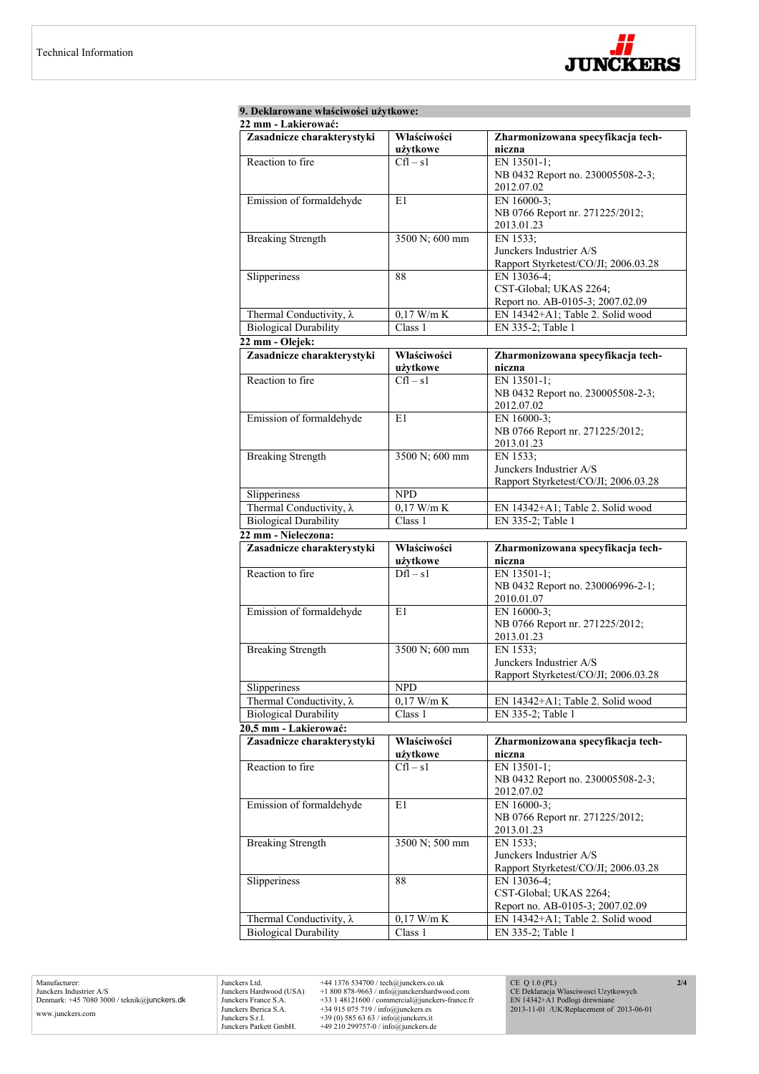

| 9. Deklarowane właściwości użytkowe: |                         |                                               |  |
|--------------------------------------|-------------------------|-----------------------------------------------|--|
| 22 mm - Lakierować:                  |                         |                                               |  |
| Zasadnicze charakterystyki           | Właściwości<br>użytkowe | Zharmonizowana specyfikacja tech-<br>niczna   |  |
| Reaction to fire                     | $Cfl - s1$              | EN 13501-1;                                   |  |
|                                      |                         | NB 0432 Report no. 230005508-2-3;             |  |
|                                      |                         | 2012.07.02                                    |  |
| Emission of formaldehyde             | E1                      | EN 16000-3;                                   |  |
|                                      |                         | NB 0766 Report nr. 271225/2012;               |  |
|                                      |                         | 2013.01.23                                    |  |
| <b>Breaking Strength</b>             | 3500 N; 600 mm          | EN 1533:                                      |  |
|                                      |                         | Junckers Industrier A/S                       |  |
|                                      |                         | Rapport Styrketest/CO/JI; 2006.03.28          |  |
| Slipperiness                         | 88                      | EN 13036-4;                                   |  |
|                                      |                         | CST-Global; UKAS 2264;                        |  |
|                                      |                         | Report no. AB-0105-3; 2007.02.09              |  |
| Thermal Conductivity, $\lambda$      | $0,17$ W/m K            | EN 14342+A1; Table 2. Solid wood              |  |
| <b>Biological Durability</b>         | Class 1                 | EN 335-2; Table 1                             |  |
| 22 mm - Olejek:                      |                         |                                               |  |
| Zasadnicze charakterystyki           | Właściwości             | Zharmonizowana specyfikacja tech-             |  |
|                                      | użytkowe<br>$Cfl - s1$  | niczna                                        |  |
| Reaction to fire                     |                         | EN 13501-1;                                   |  |
|                                      |                         | NB 0432 Report no. 230005508-2-3;             |  |
| Emission of formaldehyde             | E1                      | 2012.07.02<br>EN 16000-3;                     |  |
|                                      |                         | NB 0766 Report nr. 271225/2012;               |  |
|                                      |                         | 2013.01.23                                    |  |
| <b>Breaking Strength</b>             | 3500 N; 600 mm          | EN 1533;                                      |  |
|                                      |                         | Junckers Industrier A/S                       |  |
|                                      |                         | Rapport Styrketest/CO/JI; 2006.03.28          |  |
| Slipperiness                         | <b>NPD</b>              |                                               |  |
| Thermal Conductivity, $\lambda$      | $0,17$ W/m K            | EN 14342+A1; Table 2. Solid wood              |  |
| <b>Biological Durability</b>         | Class 1                 | EN 335-2; Table 1                             |  |
| 22 mm - Nieleczona:                  |                         |                                               |  |
| Zasadnicze charakterystyki           | Właściwości             | Zharmonizowana specyfikacja tech-             |  |
|                                      | użytkowe                | niczna                                        |  |
| Reaction to fire                     | $Dfl - s1$              | EN 13501-1;                                   |  |
|                                      |                         | NB 0432 Report no. 230006996-2-1;             |  |
|                                      |                         | 2010.01.07                                    |  |
| Emission of formaldehyde             | E1                      | EN 16000-3;                                   |  |
|                                      |                         | NB 0766 Report nr. 271225/2012;               |  |
|                                      |                         | 2013.01.23                                    |  |
| <b>Breaking Strength</b>             | 3500 N; 600 mm          | EN 1533;                                      |  |
|                                      |                         | Junckers Industrier A/S                       |  |
|                                      |                         | Rapport Styrketest/CO/JI; 2006.03.28          |  |
| Slipperiness                         | <b>NPD</b>              |                                               |  |
| Thermal Conductivity, $\lambda$      | $0,17$ W/m K            | EN 14342+A1; Table 2. Solid wood              |  |
| <b>Biological Durability</b>         | Class 1                 | EN 335-2; Table 1                             |  |
| 20,5 mm - Lakierować:                |                         |                                               |  |
| Zasadnicze charakterystyki           | Właściwości             | Zharmonizowana specyfikacja tech-             |  |
|                                      | użytkowe                | niczna                                        |  |
| Reaction to fire                     | $Cfl - s1$              | EN 13501-1;                                   |  |
|                                      |                         | NB 0432 Report no. 230005508-2-3;             |  |
|                                      |                         | 2012.07.02                                    |  |
| Emission of formaldehyde             | E1                      | EN 16000-3;                                   |  |
|                                      |                         | NB 0766 Report nr. 271225/2012;<br>2013.01.23 |  |
| <b>Breaking Strength</b>             | 3500 N; 500 mm          | EN 1533;                                      |  |
|                                      |                         | Junckers Industrier A/S                       |  |
|                                      |                         | Rapport Styrketest/CO/JI; 2006.03.28          |  |
| Slipperiness                         | 88                      | EN 13036-4;                                   |  |
|                                      |                         | CST-Global; UKAS 2264;                        |  |
|                                      |                         | Report no. AB-0105-3; 2007.02.09              |  |
| Thermal Conductivity, $\lambda$      | $0,17$ W/m K            | EN 14342+A1; Table 2. Solid wood              |  |
| <b>Biological Durability</b>         | Class 1                 | EN 335-2; Table 1                             |  |
|                                      |                         |                                               |  |

Manufacturer: Junckers Industrier A/S Denmark: +45 7080 3000 / teknik@junckers.dk www.junckers.com

Junckers Ltd.  $+44$  1376 534700 / tech@junckers co.uk<br>Junckers Hardwood (USA)  $+18008789.63$  / info@junckershardwood.com<br>Junckers France S.A.  $+33$  148121600 / commercial@junckers-france.fr<br>Junckers Berica S.A.  $+34915075$ 

CE Q 1.0 (PL) CE Deklaracja Wlasciwosci Uzytkowych EN 14342+A1 Podlogi drewniane 2013-11-01 /UK/Replacement of 2013-06-01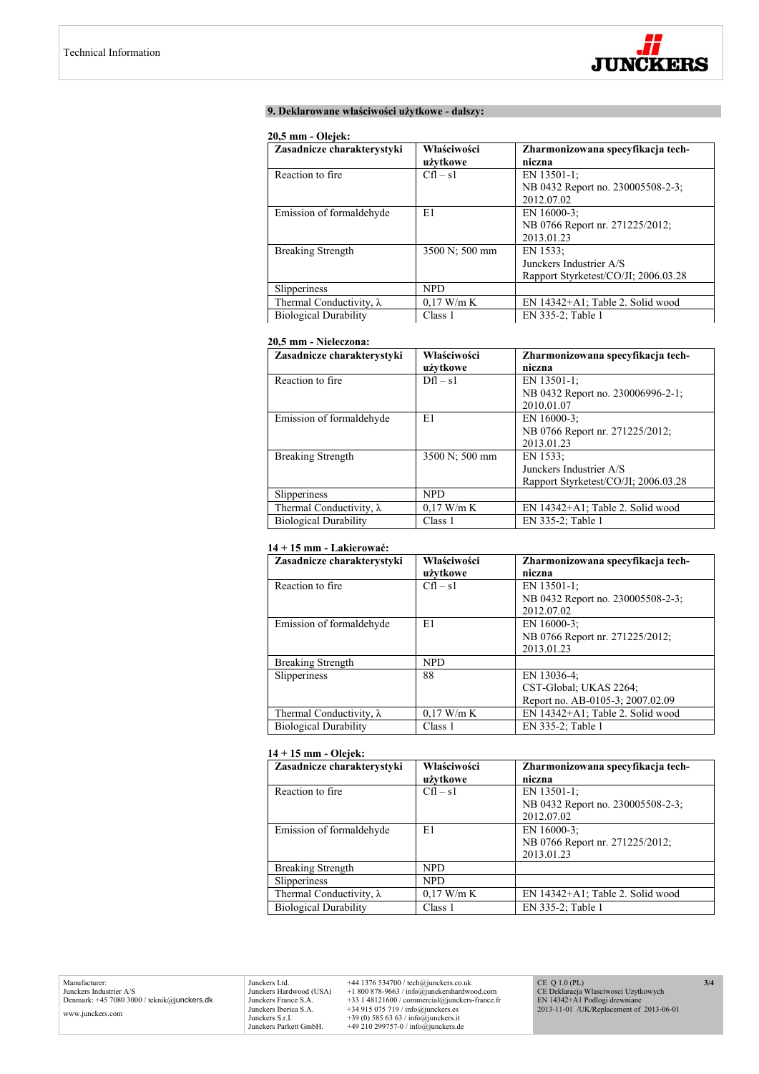

# **9. Deklarowane właściwości użytkowe - dalszy:**

#### **20,5 mm - Olejek:**

| Zasadnicze charakterystyki      | Właściwości    | Zharmonizowana specyfikacja tech-    |
|---------------------------------|----------------|--------------------------------------|
|                                 | użytkowe       | niczna                               |
| Reaction to fire.               | $Cfl - s1$     | EN 13501-1;                          |
|                                 |                | NB 0432 Report no. 230005508-2-3;    |
|                                 |                | 2012.07.02                           |
| Emission of formaldehyde        | E1             | EN 16000-3;                          |
|                                 |                | NB 0766 Report nr. 271225/2012;      |
|                                 |                | 2013.01.23                           |
| <b>Breaking Strength</b>        | 3500 N; 500 mm | EN 1533:                             |
|                                 |                | Junckers Industrier A/S              |
|                                 |                | Rapport Styrketest/CO/JI: 2006.03.28 |
| Slipperiness                    | <b>NPD</b>     |                                      |
| Thermal Conductivity, $\lambda$ | $0,17$ W/m K   | EN 14342+A1; Table 2. Solid wood     |
| <b>Biological Durability</b>    | Class 1        | EN 335-2; Table 1                    |

# **20,5 mm - Nieleczona:**

| Zasadnicze charakterystyki      | Właściwości    | Zharmonizowana specyfikacja tech-    |
|---------------------------------|----------------|--------------------------------------|
|                                 | użytkowe       | niczna                               |
| Reaction to fire.               | $Dfl - s1$     | EN $13501-1$ ;                       |
|                                 |                | NB 0432 Report no. 230006996-2-1;    |
|                                 |                | 2010.01.07                           |
| Emission of formaldehyde        | E1             | EN 16000-3;                          |
|                                 |                | NB 0766 Report nr. 271225/2012;      |
|                                 |                | 2013.01.23                           |
| <b>Breaking Strength</b>        | 3500 N; 500 mm | EN 1533:                             |
|                                 |                | Junckers Industrier A/S              |
|                                 |                | Rapport Styrketest/CO/JI; 2006.03.28 |
| Slipperiness                    | <b>NPD</b>     |                                      |
| Thermal Conductivity, $\lambda$ | $0.17$ W/m K   | EN 14342+A1; Table 2. Solid wood     |
| <b>Biological Durability</b>    | Class 1        | EN 335-2; Table 1                    |

#### **14 + 15 mm - Lakierować:**

| Zasadnicze charakterystyki      | Właściwości  | Zharmonizowana specyfikacja tech- |
|---------------------------------|--------------|-----------------------------------|
|                                 | użytkowe     | niczna                            |
| Reaction to fire.               | $Cfl - s1$   | EN 13501-1:                       |
|                                 |              | NB 0432 Report no. 230005508-2-3; |
|                                 |              | 2012.07.02                        |
| Emission of formaldehyde        | E1           | EN $16000-3$ ;                    |
|                                 |              | NB 0766 Report nr. 271225/2012;   |
|                                 |              | 2013.01.23                        |
| <b>Breaking Strength</b>        | <b>NPD</b>   |                                   |
| Slipperiness                    | 88           | EN 13036-4;                       |
|                                 |              | CST-Global; UKAS 2264;            |
|                                 |              | Report no. AB-0105-3; 2007.02.09  |
| Thermal Conductivity, $\lambda$ | $0.17$ W/m K | EN 14342+A1; Table 2. Solid wood  |
| <b>Biological Durability</b>    | Class 1      | EN 335-2; Table 1                 |

# **14 + 15 mm - Olejek:**

| Zasadnicze charakterystyki      | Właściwości<br>użytkowe | Zharmonizowana specyfikacja tech-<br>niczna                       |
|---------------------------------|-------------------------|-------------------------------------------------------------------|
| Reaction to fire.               | $Cfl - s1$              | EN $13501-1$ ;<br>NB 0432 Report no. 230005508-2-3;<br>2012.07.02 |
| Emission of formaldehyde        | E1                      | EN 16000-3:<br>NB 0766 Report nr. 271225/2012;<br>2013.01.23      |
| <b>Breaking Strength</b>        | <b>NPD</b>              |                                                                   |
| <b>Slipperiness</b>             | <b>NPD</b>              |                                                                   |
| Thermal Conductivity, $\lambda$ | $0.17$ W/m K            | EN 14342+A1; Table 2. Solid wood                                  |
| <b>Biological Durability</b>    | Class 1                 | EN 335-2; Table 1                                                 |

Junckers Ltd.  $+44$  1376 534700 / tech@junckers.co.uk<br>Junckers Hardwood (USA)  $+18008789.63$  / info@junckershardwood.com<br>Junckers France S.A.  $+33$  148121600 / commercial@junckers-france.fr<br>Junckers Berica S.A.  $+34915075$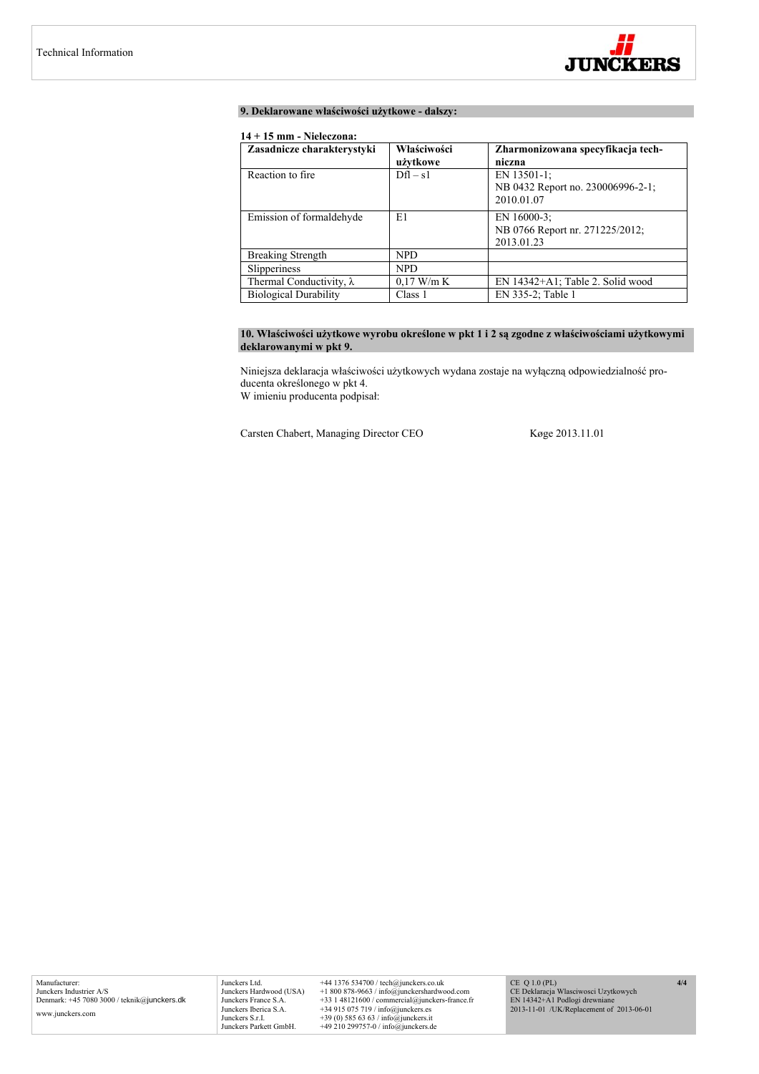

# **9. Deklarowane właściwości użytkowe - dalszy:**

# **14 + 15 mm - Nieleczona:**

| Zasadnicze charakterystyki      | Właściwości  | Zharmonizowana specyfikacja tech- |
|---------------------------------|--------------|-----------------------------------|
|                                 | użytkowe     | niczna                            |
| Reaction to fire.               | $Dfl - s1$   | EN 13501-1;                       |
|                                 |              | NB 0432 Report no. 230006996-2-1; |
|                                 |              | 2010.01.07                        |
| Emission of formaldehyde        | E1           | EN 16000-3:                       |
|                                 |              | NB 0766 Report nr. 271225/2012;   |
|                                 |              | 2013.01.23                        |
| Breaking Strength               | <b>NPD</b>   |                                   |
| Slipperiness                    | <b>NPD</b>   |                                   |
| Thermal Conductivity, $\lambda$ | $0.17$ W/m K | EN 14342+A1; Table 2. Solid wood  |
| <b>Biological Durability</b>    | Class 1      | EN 335-2; Table 1                 |

# 10. Właściwości użytkowe wyrobu określone w pkt 1 i 2 są zgodne z właściwościami użytkowymi **deklarowanymi w pkt 9.**

Niniejsza deklaracja właściwości użytkowych wydana zostaje na wyłączną odpowiedzialność producenta określonego w pkt 4. W imieniu producenta podpisał:

Carsten Chabert, Managing Director CEO Køge 2013.11.01

Junckers Ltd. +44 1376 534700 / tech@junckers.co.uk<br>Junckers Hardwood (USA) +1 800 878-9663 / info@junckershardwc Junckers Hardwood (USA) +1 800 878-9663 / info@junckershardwood.com<br>Junckers Iberica S.A. +33 1 48121600 / commercial@junckers-france.fr<br>Junckers Iberica S.A. +34 915 075 719 / info@junckers.est<br>Junckers S.r.I. +39 (0) 585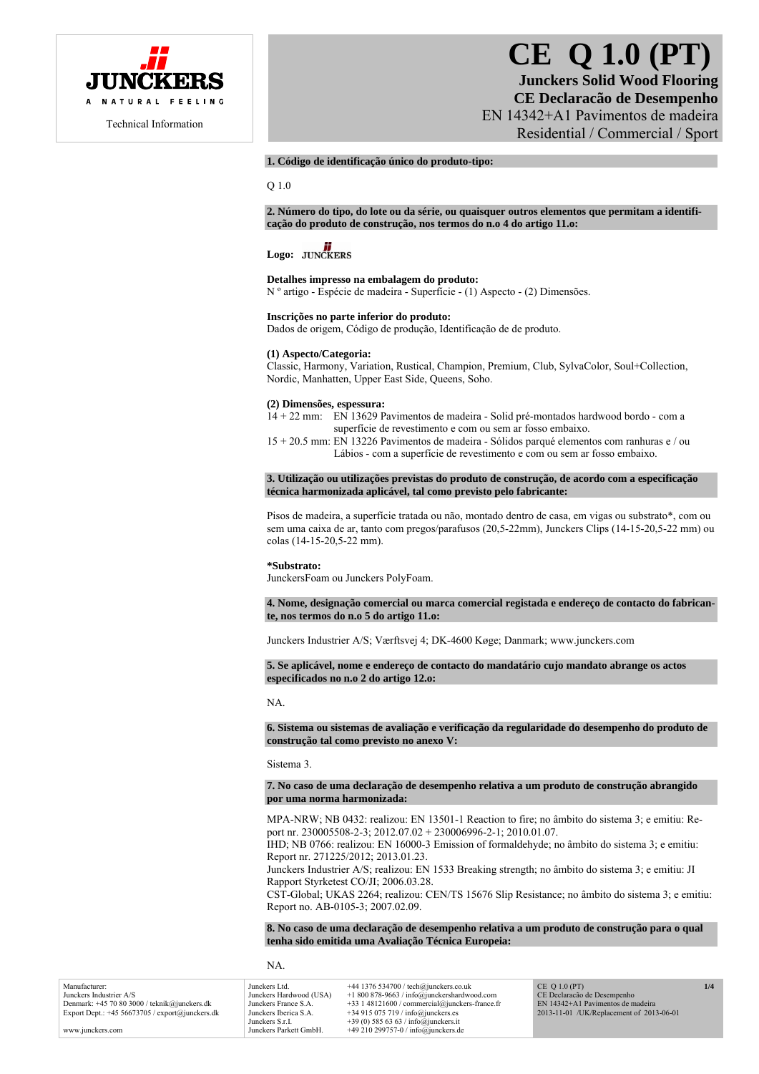

# **CE Q 1.0 (PT)**

**Junckers Solid Wood Flooring CE Declaracão de Desempenho**  EN 14342+A1 Pavimentos de madeira Residential / Commercial / Sport

# **1. Código de identificação único do produto-tipo:**

Q 1.0

**2. Número do tipo, do lote ou da série, ou quaisquer outros elementos que permitam a identificação do produto de construção, nos termos do n.o 4 do artigo 11.o:** 

# Logo: **JUNCKERS**

#### **Detalhes impresso na embalagem do produto:**

N º artigo - Espécie de madeira - Superfície - (1) Aspecto - (2) Dimensões.

#### **Inscrições no parte inferior do produto:**

Dados de origem, Código de produção, Identificação de de produto.

#### **(1) Aspecto/Categoria:**

Classic, Harmony, Variation, Rustical, Champion, Premium, Club, SylvaColor, Soul+Collection, Nordic, Manhatten, Upper East Side, Queens, Soho.

# **(2) Dimensões, espessura:**

14 + 22 mm: EN 13629 Pavimentos de madeira - Solid pré-montados hardwood bordo - com a superfície de revestimento e com ou sem ar fosso embaixo.

15 + 20.5 mm: EN 13226 Pavimentos de madeira - Sólidos parqué elementos com ranhuras e / ou Lábios - com a superfície de revestimento e com ou sem ar fosso embaixo.

#### **3. Utilização ou utilizações previstas do produto de construção, de acordo com a especificação técnica harmonizada aplicável, tal como previsto pelo fabricante:**

Pisos de madeira, a superfície tratada ou não, montado dentro de casa, em vigas ou substrato\*, com ou sem uma caixa de ar, tanto com pregos/parafusos (20,5-22mm), Junckers Clips (14-15-20,5-22 mm) ou colas (14-15-20,5-22 mm).

#### **\*Substrato:**

JunckersFoam ou Junckers PolyFoam.

#### **4. Nome, designação comercial ou marca comercial registada e endereço de contacto do fabricante, nos termos do n.o 5 do artigo 11.o:**

Junckers Industrier A/S; Værftsvej 4; DK-4600 Køge; Danmark; www.junckers.com

**5. Se aplicável, nome e endereço de contacto do mandatário cujo mandato abrange os actos especificados no n.o 2 do artigo 12.o:** 

NA.

**6. Sistema ou sistemas de avaliação e verificação da regularidade do desempenho do produto de construção tal como previsto no anexo V:** 

Sistema 3.

#### **7. No caso de uma declaração de desempenho relativa a um produto de construção abrangido por uma norma harmonizada:**

MPA-NRW; NB 0432: realizou: EN 13501-1 Reaction to fire; no âmbito do sistema 3; e emitiu: Report nr. 230005508-2-3; 2012.07.02 + 230006996-2-1; 2010.01.07.

IHD; NB 0766: realizou: EN 16000-3 Emission of formaldehyde; no âmbito do sistema 3; e emitiu: Report nr. 271225/2012; 2013.01.23.

Junckers Industrier A/S; realizou: EN 1533 Breaking strength; no âmbito do sistema 3; e emitiu: JI Rapport Styrketest CO/JI; 2006.03.28.

CST-Global; UKAS 2264; realizou: CEN/TS 15676 Slip Resistance; no âmbito do sistema 3; e emitiu: Report no. AB-0105-3; 2007.02.09.

**8. No caso de uma declaração de desempenho relativa a um produto de construção para o qual tenha sido emitida uma Avaliação Técnica Europeia:** 

NA.

| Manufacturer:                                      | Junckers Ltd.           | $+44$ 1376 534700 / tech@junckers.co.uk          | $CE$ O 1.0 (PT)                          | 1/4 |
|----------------------------------------------------|-------------------------|--------------------------------------------------|------------------------------------------|-----|
| Junckers Industrier A/S                            | Junckers Hardwood (USA) | $+1800878-9663$ / info@junckershardwood.com      | CE Declaração de Desempenho              |     |
| Denmark: +45 70 80 3000 / teknik@junckers.dk       | Junckers France S.A.    | $+33$ 1 48121600 / commercial@junckers-france.fr | EN 14342+A1 Pavimentos de madeira        |     |
| Export Dept.: $+45\,56673705$ / export@junckers.dk | Junckers Iberica S.A.   | $+34915075719/$ info@junckers.es                 | 2013-11-01 /UK/Replacement of 2013-06-01 |     |
|                                                    | Junckers S.r.I.         | +39 (0) 585 63 63 / info@junckers.it             |                                          |     |
| www.junckers.com                                   | Junckers Parkett GmbH.  | +49 210 299757-0 / info@junckers.de              |                                          |     |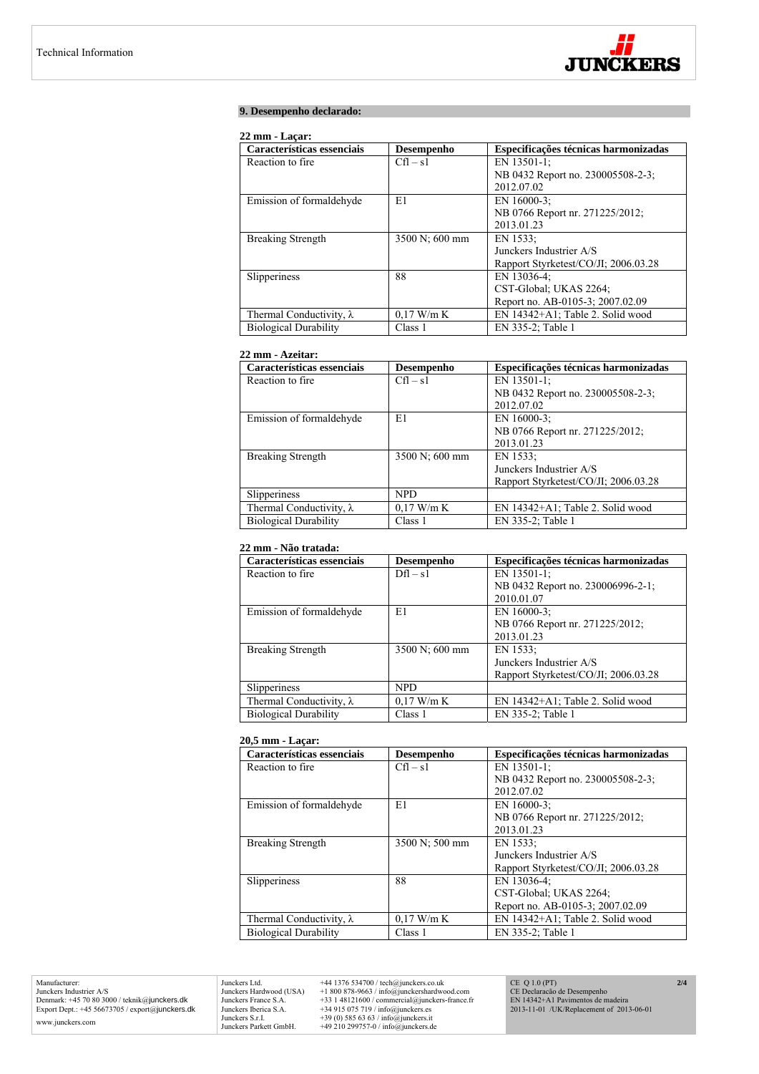

# **9. Desempenho declarado:**

# **22 mm - Laçar:**

| Características essenciais      | Desempenho     | Especificações técnicas harmonizadas |
|---------------------------------|----------------|--------------------------------------|
| Reaction to fire.               | $Cfl - s1$     | EN 13501-1:                          |
|                                 |                | NB 0432 Report no. 230005508-2-3;    |
|                                 |                | 2012.07.02                           |
| Emission of formaldehyde        | E1             | EN $16000-3$ ;                       |
|                                 |                | NB 0766 Report nr. 271225/2012;      |
|                                 |                | 2013.01.23                           |
| <b>Breaking Strength</b>        | 3500 N; 600 mm | EN 1533;                             |
|                                 |                | Junckers Industrier A/S              |
|                                 |                | Rapport Styrketest/CO/JI; 2006.03.28 |
| Slipperiness                    | 88             | EN 13036-4:                          |
|                                 |                | CST-Global; UKAS 2264;               |
|                                 |                | Report no. AB-0105-3; 2007.02.09     |
| Thermal Conductivity, $\lambda$ | $0.17$ W/m K   | EN 14342+A1; Table 2. Solid wood     |
| <b>Biological Durability</b>    | Class 1        | EN 335-2; Table 1                    |

## **22 mm - Azeitar:**

| Características essenciais      | Desempenho     | Especificações técnicas harmonizadas |
|---------------------------------|----------------|--------------------------------------|
| Reaction to fire.               | $Cfl - s1$     | EN 13501-1;                          |
|                                 |                | NB 0432 Report no. 230005508-2-3;    |
|                                 |                | 2012.07.02                           |
| Emission of formaldehyde        | E1             | EN 16000-3;                          |
|                                 |                | NB 0766 Report nr. 271225/2012;      |
|                                 |                | 2013.01.23                           |
| <b>Breaking Strength</b>        | 3500 N; 600 mm | EN 1533;                             |
|                                 |                | Junckers Industrier A/S              |
|                                 |                | Rapport Styrketest/CO/JI; 2006.03.28 |
| Slipperiness                    | <b>NPD</b>     |                                      |
| Thermal Conductivity, $\lambda$ | $0.17$ W/m K   | EN 14342+A1; Table 2. Solid wood     |
| <b>Biological Durability</b>    | Class 1        | EN 335-2; Table 1                    |

#### **22 mm - Não tratada:**

| Características essenciais      | Desempenho     | Especificações técnicas harmonizadas |
|---------------------------------|----------------|--------------------------------------|
| Reaction to fire.               | $Dfl - s1$     | EN 13501-1;                          |
|                                 |                | NB 0432 Report no. 230006996-2-1;    |
|                                 |                | 2010.01.07                           |
| Emission of formaldehyde        | E1             | EN 16000-3;                          |
|                                 |                | NB 0766 Report nr. 271225/2012;      |
|                                 |                | 2013.01.23                           |
| <b>Breaking Strength</b>        | 3500 N; 600 mm | EN 1533:                             |
|                                 |                | Junckers Industrier A/S              |
|                                 |                | Rapport Styrketest/CO/JI; 2006.03.28 |
| Slipperiness                    | <b>NPD</b>     |                                      |
| Thermal Conductivity, $\lambda$ | $0.17$ W/m K   | EN 14342+A1; Table 2. Solid wood     |
| <b>Biological Durability</b>    | Class 1        | EN 335-2; Table 1                    |

#### **20,5 mm - Laçar:**

| Características essenciais      | Desempenho     | Especificações técnicas harmonizadas |
|---------------------------------|----------------|--------------------------------------|
| Reaction to fire.               | $Cfl - s1$     | EN 13501-1;                          |
|                                 |                | NB 0432 Report no. 230005508-2-3;    |
|                                 |                | 2012.07.02                           |
| Emission of formaldehyde        | E1             | EN 16000-3;                          |
|                                 |                | NB 0766 Report nr. 271225/2012;      |
|                                 |                | 2013.01.23                           |
| <b>Breaking Strength</b>        | 3500 N; 500 mm | EN 1533:                             |
|                                 |                | Junckers Industrier A/S              |
|                                 |                | Rapport Styrketest/CO/JI; 2006.03.28 |
| Slipperiness                    | 88             | EN 13036-4;                          |
|                                 |                | CST-Global; UKAS 2264;               |
|                                 |                | Report no. AB-0105-3; 2007.02.09     |
| Thermal Conductivity, $\lambda$ | $0.17$ W/m K   | EN 14342+A1; Table 2. Solid wood     |
| <b>Biological Durability</b>    | Class 1        | EN 335-2; Table 1                    |

Manufacturer: Junckers Industrier A/S Denmark: +45 70 80 3000 / teknik@junckers.dk Export Dept.: +45 56673705 / export@junckers.dk www.junckers.com

Junckers Ltd. +44 1376 534700 / tech@junckers.co.uk<br>Junckers Hardwood (USA) +1 800 878-9663 / info@junckershardwo<br>Junckers France S.A. +33 1 48121600 / commercial@junckers.<br>Junckers Iberica S.A. +34 915 075 719 / info@junc Junckers Hardwood (USA) +1 800 878-9663 / info@junckershardwood.com<br>Junckers Iberica S.A. +33 1 48121600 / commercial@junckers-france.fr<br>Junckers Iberica S.A. +34 915 075 719 / info@junckers.est<br>Junckers S.r.I. +39 (0) 585

CE Q 1.0 (PT) CE Declaracão de Desempenho EN 14342+A1 Pavimentos de madeira 2013-11-01 /UK/Replacement of 2013-06-01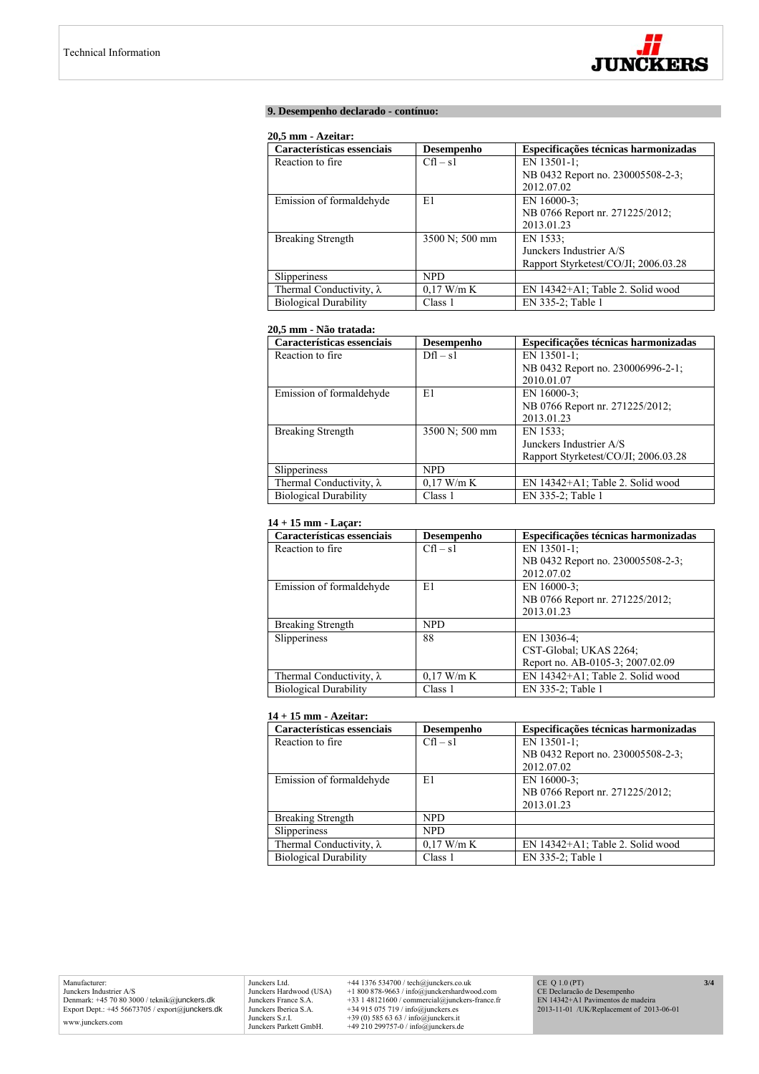

## **9. Desempenho declarado - contínuo:**

#### **20,5 mm - Azeitar:**

| Características essenciais      | Desempenho     | Especificações técnicas harmonizadas |
|---------------------------------|----------------|--------------------------------------|
| Reaction to fire.               | $Cfl - s1$     | EN 13501-1;                          |
|                                 |                | NB 0432 Report no. 230005508-2-3;    |
|                                 |                | 2012.07.02                           |
| Emission of formaldehyde        | E1             | EN 16000-3:                          |
|                                 |                | NB 0766 Report nr. 271225/2012;      |
|                                 |                | 2013.01.23                           |
| <b>Breaking Strength</b>        | 3500 N; 500 mm | EN 1533:                             |
|                                 |                | Junckers Industrier A/S              |
|                                 |                | Rapport Styrketest/CO/JI: 2006.03.28 |
| Slipperiness                    | NPD.           |                                      |
| Thermal Conductivity, $\lambda$ | $0.17$ W/m K   | EN 14342+A1; Table 2. Solid wood     |
| <b>Biological Durability</b>    | Class 1        | EN 335-2; Table 1                    |

# **20,5 mm - Não tratada:**

| Características essenciais      | Desempenho     | Especificações técnicas harmonizadas |
|---------------------------------|----------------|--------------------------------------|
| Reaction to fire.               | $Dfl - s1$     | EN 13501-1;                          |
|                                 |                | NB 0432 Report no. 230006996-2-1;    |
|                                 |                | 2010.01.07                           |
| Emission of formaldehyde        | E1             | EN 16000-3:                          |
|                                 |                | NB 0766 Report nr. 271225/2012;      |
|                                 |                | 2013.01.23                           |
| <b>Breaking Strength</b>        | 3500 N; 500 mm | EN 1533:                             |
|                                 |                | Junckers Industrier A/S              |
|                                 |                | Rapport Styrketest/CO/JI; 2006.03.28 |
| Slipperiness                    | <b>NPD</b>     |                                      |
| Thermal Conductivity, $\lambda$ | $0.17$ W/m K   | EN 14342+A1; Table 2. Solid wood     |
| <b>Biological Durability</b>    | Class 1        | EN 335-2; Table 1                    |

# **14 + 15 mm - Laçar:**

| Características essenciais      | Desempenho   | Especificações técnicas harmonizadas |
|---------------------------------|--------------|--------------------------------------|
| Reaction to fire.               | $Cfl - s1$   | EN 13501-1;                          |
|                                 |              | NB 0432 Report no. 230005508-2-3;    |
|                                 |              | 2012.07.02                           |
| Emission of formaldehyde        | E1           | EN 16000-3:                          |
|                                 |              | NB 0766 Report nr. 271225/2012;      |
|                                 |              | 2013.01.23                           |
| <b>Breaking Strength</b>        | <b>NPD</b>   |                                      |
| Slipperiness                    | 88           | EN 13036-4;                          |
|                                 |              | CST-Global; UKAS 2264;               |
|                                 |              | Report no. AB-0105-3; 2007.02.09     |
| Thermal Conductivity, $\lambda$ | $0.17$ W/m K | EN 14342+A1; Table 2. Solid wood     |
| <b>Biological Durability</b>    | Class 1      | EN 335-2; Table 1                    |

## **14 + 15 mm - Azeitar:**

| Características essenciais      | Desempenho   | Especificações técnicas harmonizadas |
|---------------------------------|--------------|--------------------------------------|
| Reaction to fire.               | $Cfl - s1$   | EN 13501-1;                          |
|                                 |              | NB 0432 Report no. 230005508-2-3;    |
|                                 |              | 2012.07.02                           |
| Emission of formaldehyde        | E1           | EN 16000-3:                          |
|                                 |              | NB 0766 Report nr. 271225/2012;      |
|                                 |              | 2013.01.23                           |
| <b>Breaking Strength</b>        | <b>NPD</b>   |                                      |
| Slipperiness                    | <b>NPD</b>   |                                      |
| Thermal Conductivity, $\lambda$ | $0.17$ W/m K | EN 14342+A1; Table 2. Solid wood     |
| <b>Biological Durability</b>    | Class 1      | EN 335-2; Table 1                    |

Junckers Ltd.  $+44$  1376 534700 / tech@junckers.co.uk<br>Junckers Hardwood (USA)  $+18008789.63$  / info@junckershardwood.com<br>Junckers France S.A.  $+33$  148121600 / commercial@junckers-france.fr<br>Junckers Berica S.A.  $+34915075$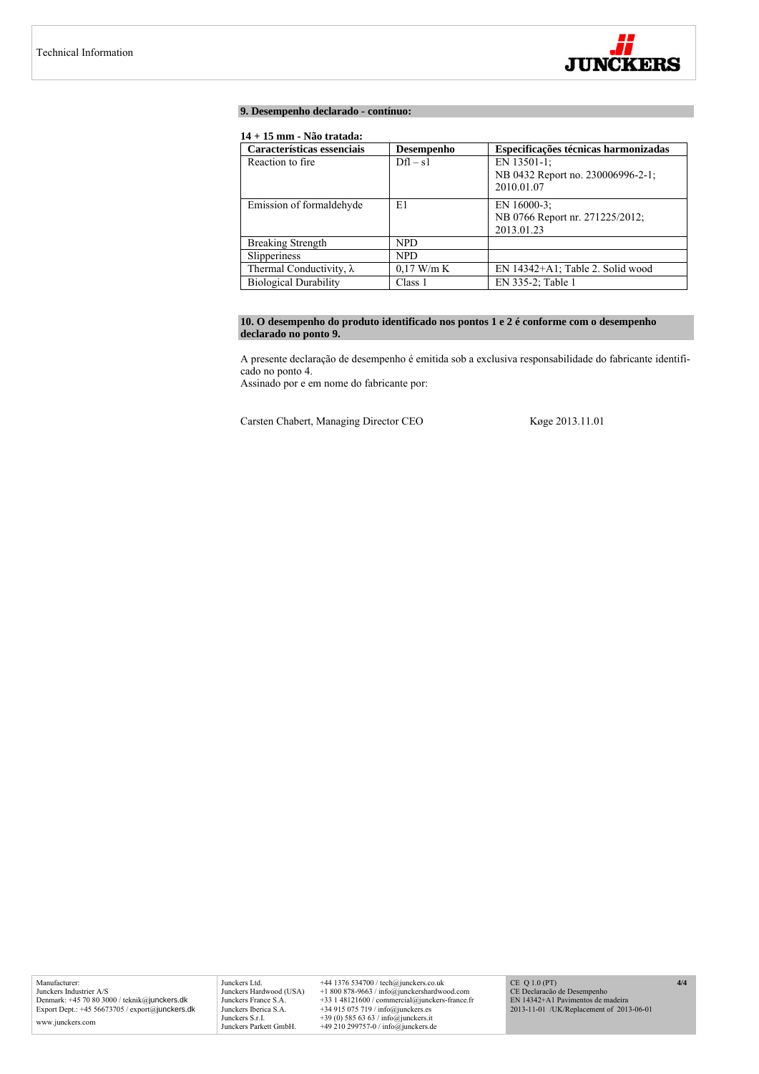

#### **9. Desempenho declarado - contínuo:**

# **14 + 15 mm - Não tratada:**

| Características essenciais      | Desempenho   | Especificações técnicas harmonizadas                           |
|---------------------------------|--------------|----------------------------------------------------------------|
| Reaction to fire.               | $Dfl - s1$   | EN 13501-1;<br>NB 0432 Report no. 230006996-2-1;<br>2010.01.07 |
| Emission of formaldehyde        | E1           | EN 16000-3:<br>NB 0766 Report nr. 271225/2012;<br>2013.01.23   |
| <b>Breaking Strength</b>        | <b>NPD</b>   |                                                                |
| Slipperiness                    | <b>NPD</b>   |                                                                |
| Thermal Conductivity, $\lambda$ | $0.17$ W/m K | EN 14342+A1; Table 2. Solid wood                               |
| <b>Biological Durability</b>    | Class 1      | EN 335-2; Table 1                                              |

# **10. O desempenho do produto identificado nos pontos 1 e 2 é conforme com o desempenho declarado no ponto 9.**

A presente declaração de desempenho é emitida sob a exclusiva responsabilidade do fabricante identificado no ponto 4.

Assinado por e em nome do fabricante por:

Carsten Chabert, Managing Director CEO Køge 2013.11.01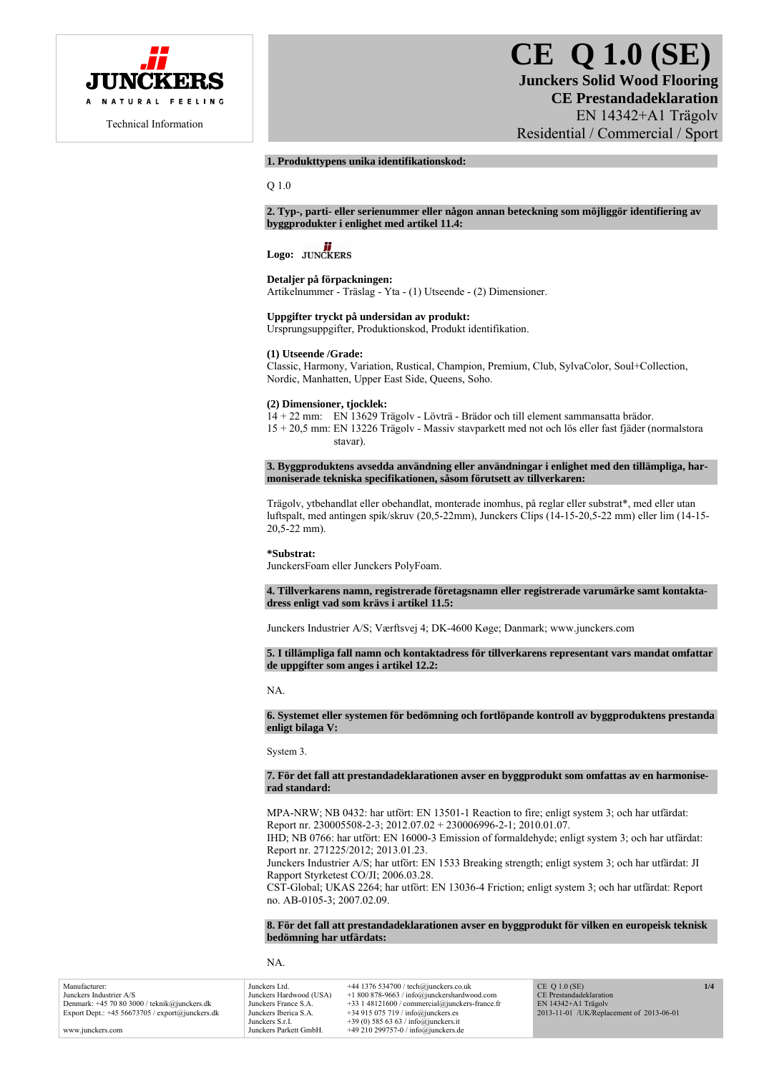

# **CE Q 1.0 (SE) Junckers Solid Wood Flooring CE Prestandadeklaration**  EN 14342+A1 Trägolv Residential / Commercial / Sport

# **1. Produkttypens unika identifikationskod:**

Q 1.0

**2. Typ-, parti- eller serienummer eller någon annan beteckning som möjliggör identifiering av byggprodukter i enlighet med artikel 11.4:** 

# Logo: **JUNCKERS**

# **Detaljer på förpackningen:**

Artikelnummer - Träslag - Yta - (1) Utseende - (2) Dimensioner.

# **Uppgifter tryckt på undersidan av produkt:**

Ursprungsuppgifter, Produktionskod, Produkt identifikation.

# **(1) Utseende /Grade:**

Classic, Harmony, Variation, Rustical, Champion, Premium, Club, SylvaColor, Soul+Collection, Nordic, Manhatten, Upper East Side, Queens, Soho.

#### **(2) Dimensioner, tjocklek:**

14 + 22 mm: EN 13629 Trägolv - Lövträ - Brädor och till element sammansatta brädor. 15 + 20,5 mm: EN 13226 Trägolv - Massiv stavparkett med not och lös eller fast fjäder (normalstora stavar).

**3. Byggproduktens avsedda användning eller användningar i enlighet med den tillämpliga, harmoniserade tekniska specifikationen, såsom förutsett av tillverkaren:** 

Trägolv, ytbehandlat eller obehandlat, monterade inomhus, på reglar eller substrat\*, med eller utan luftspalt, med antingen spik/skruv (20,5-22mm), Junckers Clips (14-15-20,5-22 mm) eller lim (14-15- 20,5-22 mm).

#### **\*Substrat:**

JunckersFoam eller Junckers PolyFoam.

**4. Tillverkarens namn, registrerade företagsnamn eller registrerade varumärke samt kontaktadress enligt vad som krävs i artikel 11.5:** 

Junckers Industrier A/S; Værftsvej 4; DK-4600 Køge; Danmark; www.junckers.com

#### **5. I tillämpliga fall namn och kontaktadress för tillverkarens representant vars mandat omfattar de uppgifter som anges i artikel 12.2:**

NA.

#### **6. Systemet eller systemen för bedömning och fortlöpande kontroll av byggproduktens prestanda enligt bilaga V:**

System 3.

#### **7. För det fall att prestandadeklarationen avser en byggprodukt som omfattas av en harmoniserad standard:**

MPA-NRW; NB 0432: har utfört: EN 13501-1 Reaction to fire; enligt system 3; och har utfärdat: Report nr. 230005508-2-3; 2012.07.02 + 230006996-2-1; 2010.01.07.

IHD; NB 0766: har utfört: EN 16000-3 Emission of formaldehyde; enligt system 3; och har utfärdat: Report nr. 271225/2012; 2013.01.23.

Junckers Industrier A/S; har utfört: EN 1533 Breaking strength; enligt system 3; och har utfärdat: JI Rapport Styrketest CO/JI; 2006.03.28.

CST-Global; UKAS 2264; har utfört: EN 13036-4 Friction; enligt system 3; och har utfärdat: Report no. AB-0105-3; 2007.02.09.

**8. För det fall att prestandadeklarationen avser en byggprodukt för vilken en europeisk teknisk bedömning har utfärdats:** 

NA.

| Manufacturer:                                      | Junckers Ltd.           | $+44$ 1376 534700 / tech@junckers.co.uk          | $CE$ Q 1.0 (SE)                          | 1/4 |
|----------------------------------------------------|-------------------------|--------------------------------------------------|------------------------------------------|-----|
| Junckers Industrier A/S                            | Junckers Hardwood (USA) | $+1800878-9663$ / info@junckershardwood.com      | CE Prestandadeklaration                  |     |
| Denmark: $+45$ 70 80 3000 / teknik@junckers.dk     | Junckers France S.A.    | $+33$ 1 48121600 / commercial@junckers-france.fr | $EN$ 14342+A1 Trägoly                    |     |
| Export Dept.: $+45\,56673705$ / export@junckers.dk | Junckers Iberica S.A.   | $+34915075719$ / info@junckers.es                | 2013-11-01 /UK/Replacement of 2013-06-01 |     |
|                                                    | Junckers S.r.I.         | +39 (0) 585 63 63 / info@junckers.it             |                                          |     |
| www.junckers.com                                   | Junckers Parkett GmbH.  | +49 210 299757-0 / info@junckers.de              |                                          |     |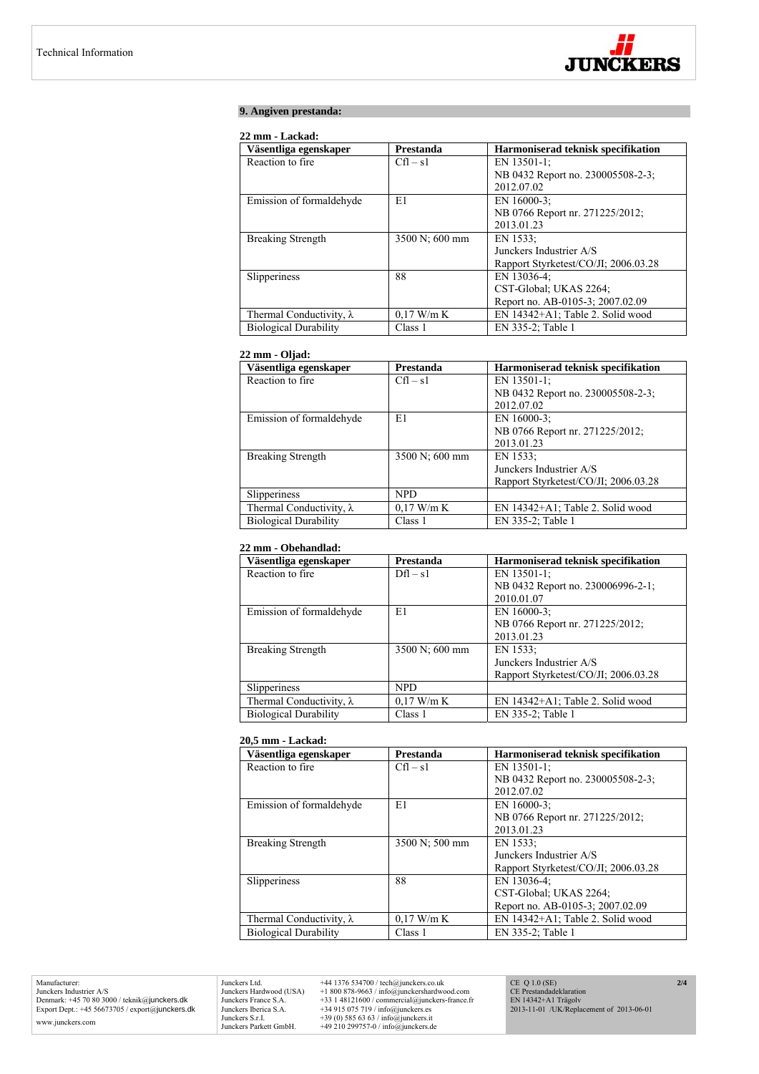

# **9. Angiven prestanda:**

# **22 mm - Lackad:**

| Väsentliga egenskaper           | Prestanda      | Harmoniserad teknisk specifikation   |
|---------------------------------|----------------|--------------------------------------|
| Reaction to fire                | $Cfl - s1$     | EN 13501-1;                          |
|                                 |                | NB 0432 Report no. 230005508-2-3;    |
|                                 |                | 2012.07.02                           |
| Emission of formaldehyde        | E1             | EN 16000-3:                          |
|                                 |                | NB 0766 Report nr. 271225/2012;      |
|                                 |                | 2013.01.23                           |
| <b>Breaking Strength</b>        | 3500 N; 600 mm | EN 1533;                             |
|                                 |                | Junckers Industrier A/S              |
|                                 |                | Rapport Styrketest/CO/JI; 2006.03.28 |
| Slipperiness                    | 88             | EN 13036-4;                          |
|                                 |                | CST-Global; UKAS 2264;               |
|                                 |                | Report no. AB-0105-3; 2007.02.09     |
| Thermal Conductivity, $\lambda$ | $0.17$ W/m K   | EN 14342+A1; Table 2. Solid wood     |
| <b>Biological Durability</b>    | Class 1        | EN 335-2; Table 1                    |

# **22 mm - Oljad:**

| Väsentliga egenskaper           | Prestanda      | Harmoniserad teknisk specifikation   |
|---------------------------------|----------------|--------------------------------------|
| Reaction to fire.               | $Cfl - s1$     | EN 13501-1;                          |
|                                 |                | NB 0432 Report no. 230005508-2-3;    |
|                                 |                | 2012.07.02                           |
| Emission of formaldehyde        | E1             | EN 16000-3;                          |
|                                 |                | NB 0766 Report nr. 271225/2012;      |
|                                 |                | 2013.01.23                           |
| <b>Breaking Strength</b>        | 3500 N; 600 mm | EN 1533;                             |
|                                 |                | Junckers Industrier A/S              |
|                                 |                | Rapport Styrketest/CO/JI; 2006.03.28 |
| Slipperiness                    | <b>NPD</b>     |                                      |
| Thermal Conductivity, $\lambda$ | $0.17$ W/m K   | EN 14342+A1; Table 2. Solid wood     |
| <b>Biological Durability</b>    | Class 1        | EN 335-2; Table 1                    |

# **22 mm - Obehandlad:**

| Väsentliga egenskaper           | Prestanda      | Harmoniserad teknisk specifikation   |
|---------------------------------|----------------|--------------------------------------|
| Reaction to fire.               | $Dfl - s1$     | EN 13501-1;                          |
|                                 |                | NB 0432 Report no. 230006996-2-1;    |
|                                 |                | 2010.01.07                           |
| Emission of formaldehyde        | E1             | EN 16000-3;                          |
|                                 |                | NB 0766 Report nr. 271225/2012;      |
|                                 |                | 2013.01.23                           |
| <b>Breaking Strength</b>        | 3500 N; 600 mm | EN 1533:                             |
|                                 |                | Junckers Industrier A/S              |
|                                 |                | Rapport Styrketest/CO/JI; 2006.03.28 |
| Slipperiness                    | <b>NPD</b>     |                                      |
| Thermal Conductivity, $\lambda$ | $0.17$ W/m K   | EN 14342+A1; Table 2. Solid wood     |
| <b>Biological Durability</b>    | Class 1        | EN 335-2; Table 1                    |

#### **20,5 mm - Lackad:**

| Väsentliga egenskaper           | Prestanda      | Harmoniserad teknisk specifikation   |
|---------------------------------|----------------|--------------------------------------|
| Reaction to fire.               | $Cfl - s1$     | EN 13501-1;                          |
|                                 |                | NB 0432 Report no. 230005508-2-3;    |
|                                 |                | 2012.07.02                           |
| Emission of formaldehyde        | E1             | EN 16000-3;                          |
|                                 |                | NB 0766 Report nr. 271225/2012;      |
|                                 |                | 2013.01.23                           |
| <b>Breaking Strength</b>        | 3500 N; 500 mm | EN 1533:                             |
|                                 |                | Junckers Industrier A/S              |
|                                 |                | Rapport Styrketest/CO/JI; 2006.03.28 |
| Slipperiness                    | 88             | EN 13036-4;                          |
|                                 |                | CST-Global; UKAS 2264;               |
|                                 |                | Report no. AB-0105-3; 2007.02.09     |
| Thermal Conductivity, $\lambda$ | $0.17$ W/m K   | EN 14342+A1; Table 2. Solid wood     |
| <b>Biological Durability</b>    | Class 1        | EN 335-2; Table 1                    |

Manufacturer: Junckers Industrier A/S Denmark: +45 70 80 3000 / teknik@junckers.dk Export Dept.: +45 56673705 / export@junckers.dk www.junckers.com

Junckers Ltd. +44 1376 534700 / tech@junckers.co.uk<br>Junckers Hardwood (USA) +1 800 878-9663 / info@junckershardword<br>Junckers France S.A. +33 1 48121600 / commercial@junckers.<br>Junckers Iberica S.A. +34 915 075 719 / info@ju Junckers Hardwood (USA) +1 800 878-9663 / info@junckershardwood.com<br>Junckers Iberica S.A. +33 1 48121600 / commercial@junckers-france.fr<br>Junckers Iberica S.A. +34 915 075 719 / info@junckers.est<br>Junckers S.r.I. +39 (0) 585

CE Q 1.0 (SE) CE Prestandadeklaration EN 14342+A1 Trägolv 2013-11-01 /UK/Replacement of 2013-06-01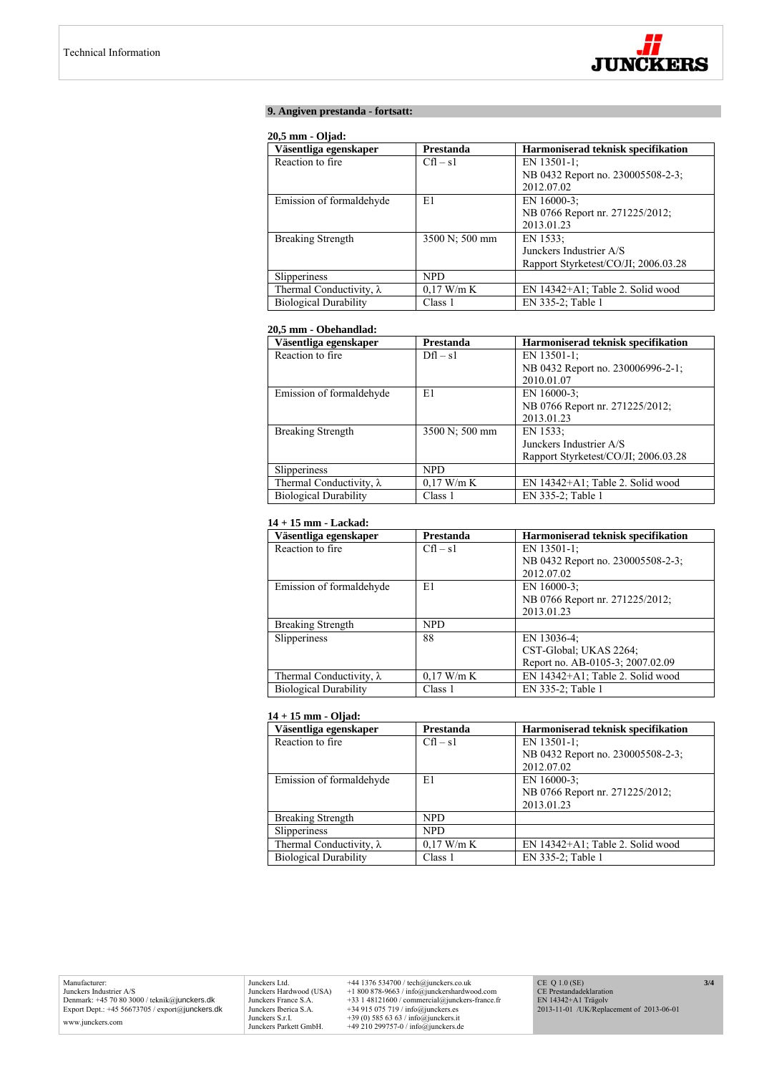

# **9. Angiven prestanda - fortsatt:**

#### **20,5 mm - Oljad:**

| Väsentliga egenskaper           | Prestanda      | Harmoniserad teknisk specifikation   |
|---------------------------------|----------------|--------------------------------------|
| Reaction to fire.               | $Cfl - s1$     | EN 13501-1:                          |
|                                 |                | NB 0432 Report no. 230005508-2-3;    |
|                                 |                | 2012.07.02                           |
| Emission of formaldehyde        | E1             | EN 16000-3:                          |
|                                 |                | NB 0766 Report nr. 271225/2012;      |
|                                 |                | 2013.01.23                           |
| <b>Breaking Strength</b>        | 3500 N; 500 mm | EN 1533:                             |
|                                 |                | Junckers Industrier A/S              |
|                                 |                | Rapport Styrketest/CO/JI: 2006.03.28 |
| Slipperiness                    | NPD.           |                                      |
| Thermal Conductivity, $\lambda$ | $0.17$ W/m K   | EN 14342+A1; Table 2. Solid wood     |
| <b>Biological Durability</b>    | Class 1        | EN 335-2; Table 1                    |

# **20,5 mm - Obehandlad:**

| Väsentliga egenskaper           | Prestanda      | Harmoniserad teknisk specifikation   |
|---------------------------------|----------------|--------------------------------------|
| Reaction to fire.               | $Dfl - s1$     | EN 13501-1:                          |
|                                 |                | NB 0432 Report no. 230006996-2-1;    |
|                                 |                | 2010.01.07                           |
| Emission of formaldehyde        | E1             | EN $16000-3$ ;                       |
|                                 |                | NB 0766 Report nr. 271225/2012;      |
|                                 |                | 2013.01.23                           |
| <b>Breaking Strength</b>        | 3500 N; 500 mm | EN 1533:                             |
|                                 |                | Junckers Industrier A/S              |
|                                 |                | Rapport Styrketest/CO/JI; 2006.03.28 |
| Slipperiness                    | <b>NPD</b>     |                                      |
| Thermal Conductivity, $\lambda$ | $0.17$ W/m K   | EN 14342+A1; Table 2. Solid wood     |
| <b>Biological Durability</b>    | Class 1        | EN 335-2; Table 1                    |

# **14 + 15 mm - Lackad:**

| Väsentliga egenskaper           | Prestanda    | Harmoniserad teknisk specifikation |
|---------------------------------|--------------|------------------------------------|
| Reaction to fire.               | $Cfl - s1$   | EN $13501-1$ ;                     |
|                                 |              | NB 0432 Report no. 230005508-2-3;  |
|                                 |              | 2012.07.02                         |
| Emission of formaldehyde        | E1           | EN $16000-3$ ;                     |
|                                 |              | NB 0766 Report nr. 271225/2012;    |
|                                 |              | 2013.01.23                         |
| <b>Breaking Strength</b>        | <b>NPD</b>   |                                    |
| <b>Slipperiness</b>             | 88           | EN 13036-4;                        |
|                                 |              | CST-Global; UKAS 2264;             |
|                                 |              | Report no. AB-0105-3; 2007.02.09   |
| Thermal Conductivity, $\lambda$ | $0.17$ W/m K | EN 14342+A1; Table 2. Solid wood   |
| <b>Biological Durability</b>    | Class 1      | EN 335-2; Table 1                  |

## **14 + 15 mm - Oljad:**

| Väsentliga egenskaper           | Prestanda    | Harmoniserad teknisk specifikation |
|---------------------------------|--------------|------------------------------------|
| Reaction to fire.               | $Cfl - s1$   | EN 13501-1:                        |
|                                 |              | NB 0432 Report no. 230005508-2-3;  |
|                                 |              | 2012.07.02                         |
| Emission of formaldehyde        | E1           | EN 16000-3:                        |
|                                 |              | NB 0766 Report nr. 271225/2012;    |
|                                 |              | 2013.01.23                         |
| <b>Breaking Strength</b>        | <b>NPD</b>   |                                    |
| Slipperiness                    | <b>NPD</b>   |                                    |
| Thermal Conductivity, $\lambda$ | $0.17$ W/m K | EN 14342+A1; Table 2. Solid wood   |
| <b>Biological Durability</b>    | Class 1      | EN 335-2; Table 1                  |

Junckers Ltd.  $+44$  1376 534700 / tech@junckers.co.uk<br>Junckers Hardwood (USA)  $+18008789.63$  / info@junckershardwood.com<br>Junckers France S.A.  $+33$  148121600 / commercial@junckers-france.fr<br>Junckers Berica S.A.  $+34915075$